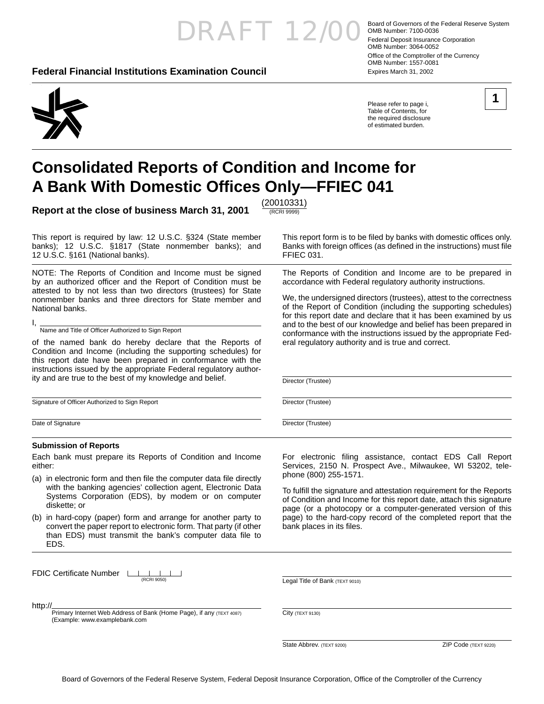## RAFT 12/00 Board of Governors of the Federal Reserve System<br>External Reserve System

(RCRI 9999)

FFIEC 031.

Director (Trustee)

Director (Trustee)

Director (Trustee)

#### **Federal Financial Institutions Examination Council** Expires March 31, 2002

OMB Number: 7100-0036 Federal Deposit Insurance Corporation OMB Number: 3064-0052 Office of the Comptroller of the Currency OMB Number: 1557-0081



Please refer to page i, Table of Contents, for the required disclosure of estimated burden.

This report form is to be filed by banks with domestic offices only. Banks with foreign offices (as defined in the instructions) must file

The Reports of Condition and Income are to be prepared in accordance with Federal regulatory authority instructions.

We, the undersigned directors (trustees), attest to the correctness of the Report of Condition (including the supporting schedules) for this report date and declare that it has been examined by us and to the best of our knowledge and belief has been prepared in conformance with the instructions issued by the appropriate Fed-

eral regulatory authority and is true and correct.



## **Consolidated Reports of Condition and Income for A Bank With Domestic Offi ces Only—FFIEC 041**

**Report at the close of business March 31, 2001** (20010331)

This report is required by law: 12 U.S.C. §324 (State member banks); 12 U.S.C. §1817 (State nonmember banks); and 12 U.S.C. §161 (National banks).

NOTE: The Reports of Condition and Income must be signed by an authorized officer and the Report of Condition must be attested to by not less than two directors (trustees) for State nonmember banks and three directors for State member and National banks.

I, Name and Title of Officer Authorized to Sign Report

of the named bank do hereby declare that the Reports of Condition and Income (including the supporting schedules) for this report date have been prepared in conformance with the instructions issued by the appropriate Federal regulatory authority and are true to the best of my knowledge and belief.

Signature of Officer Authorized to Sign Report

Date of Signature

#### **Submission of Reports**

Each bank must prepare its Reports of Condition and Income either:

- (a) in electronic form and then file the computer data file directly with the banking agencies' collection agent, Electronic Data Systems Corporation (EDS), by modem or on computer diskette; or
- (b) in hard-copy (paper) form and arrange for another party to convert the paper report to electronic form. That party (if other than EDS) must transmit the bank's computer data file to EDS.

**FDIC Certificate Number** LARE (RCRI 9050)

http://

Primary Internet Web Address of Bank (Home Page), if any (TEXT 4087) (Example: www.examplebank.com

For electronic filing assistance, contact EDS Call Report Services, 2150 N. Prospect Ave., Milwaukee, WI 53202, telephone (800) 255-1571.

To fulfill the signature and attestation requirement for the Reports of Condition and Income for this report date, attach this signature page (or a photocopy or a computer-generated version of this page) to the hard-copy record of the completed report that the bank places in its files.

Legal Title of Bank (TEXT 9010)

City (TEXT 9130)

State Abbrev. (TEXT 9200) 2IP Code (TEXT 9220)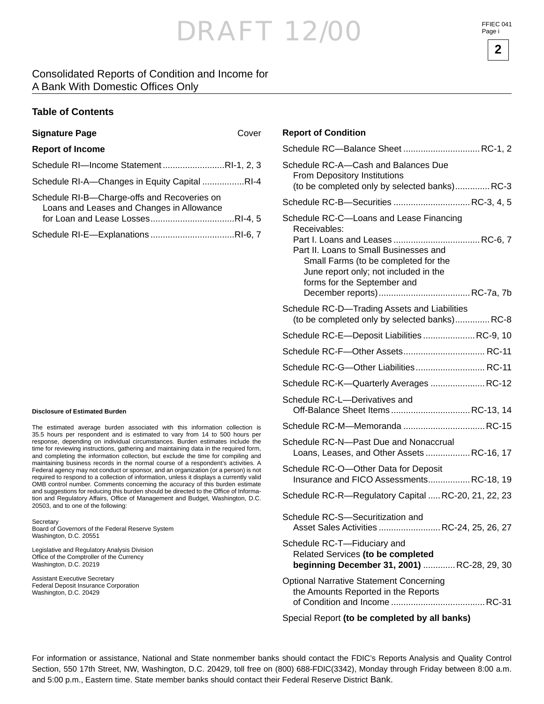**2**

#### Consolidated Reports of Condition and Income for A Bank With Domestic Offices Only

#### **Table of Contents**

| <b>Signature Page</b>                                                                    | Cover |
|------------------------------------------------------------------------------------------|-------|
| <b>Report of Income</b>                                                                  |       |
| Schedule RI-Income StatementRI-1, 2, 3                                                   |       |
| Schedule RI-A-Changes in Equity Capital RI-4                                             |       |
| Schedule RI-B-Charge-offs and Recoveries on<br>Loans and Leases and Changes in Allowance |       |
|                                                                                          |       |

#### **Disclosure of Estimated Burden**

The estimated average burden associated with this information collection is 35.5 hours per respondent and is estimated to vary from 14 to 500 hours per response, depending on individual circumstances. Burden estimates include the time for reviewing instructions, gathering and maintaining data in the required form, and completing the information collection, but exclude the time for compiling and maintaining business records in the normal course of a respondent's activities. A Federal agency may not conduct or sponsor, and an organization (or a person) is not required to respond to a collection of information, unless it displays a currently valid OMB control number. Comments concerning the accuracy of this burden estimate and suggestions for reducing this burden should be directed to the Office of Information and Regulatory Affairs, Office of Management and Budget, Washington, D.C. 20503, and to one of the following:

**Secretary** Board of Governors of the Federal Reserve System Washington, D.C. 20551

Legislative and Regulatory Analysis Division Office of the Comptroller of the Currency Washington, D.C. 20219

Assistant Executive Secretary Federal Deposit Insurance Corporation Washington, D.C. 20429

#### **Report of Condition**

| Schedule RC-Balance Sheet  RC-1, 2                                                                                                                                                                                |
|-------------------------------------------------------------------------------------------------------------------------------------------------------------------------------------------------------------------|
| Schedule RC-A-Cash and Balances Due<br>From Depository Institutions<br>(to be completed only by selected banks)RC-3                                                                                               |
| Schedule RC-B-Securities  RC-3, 4, 5                                                                                                                                                                              |
| Schedule RC-C-Loans and Lease Financing<br>Receivables:<br>Part II. Loans to Small Businesses and<br>Small Farms (to be completed for the<br>June report only; not included in the<br>forms for the September and |
| Schedule RC-D-Trading Assets and Liabilities<br>(to be completed only by selected banks)RC-8                                                                                                                      |
| Schedule RC-E-Deposit Liabilities  RC-9, 10                                                                                                                                                                       |
|                                                                                                                                                                                                                   |
| Schedule RC-G-Other Liabilities RC-11                                                                                                                                                                             |
| Schedule RC-K-Quarterly Averages  RC-12                                                                                                                                                                           |
| Schedule RC-L--Derivatives and<br>Off-Balance Sheet Items RC-13, 14                                                                                                                                               |
|                                                                                                                                                                                                                   |
| Schedule RC-N—Past Due and Nonaccrual<br>Loans, Leases, and Other Assets RC-16, 17                                                                                                                                |
| Schedule RC-O-Other Data for Deposit<br>Insurance and FICO Assessments RC-18, 19                                                                                                                                  |
| Schedule RC-R-Regulatory Capital  RC-20, 21, 22, 23                                                                                                                                                               |
| Schedule RC-S-Securitization and<br>Asset Sales Activities  RC-24, 25, 26, 27                                                                                                                                     |
| Schedule RC-T-Fiduciary and<br>Related Services (to be completed<br>beginning December 31, 2001) RC-28, 29, 30                                                                                                    |
| <b>Optional Narrative Statement Concerning</b><br>the Amounts Reported in the Reports                                                                                                                             |

Special Report **(to be completed by all banks)**

For information or assistance, National and State nonmember banks should contact the FDIC's Reports Analysis and Quality Control Section, 550 17th Street, NW, Washington, D.C. 20429, toll free on (800) 688-FDIC(3342), Monday through Friday between 8:00 a.m. and 5:00 p.m., Eastern time. State member banks should contact their Federal Reserve District Bank.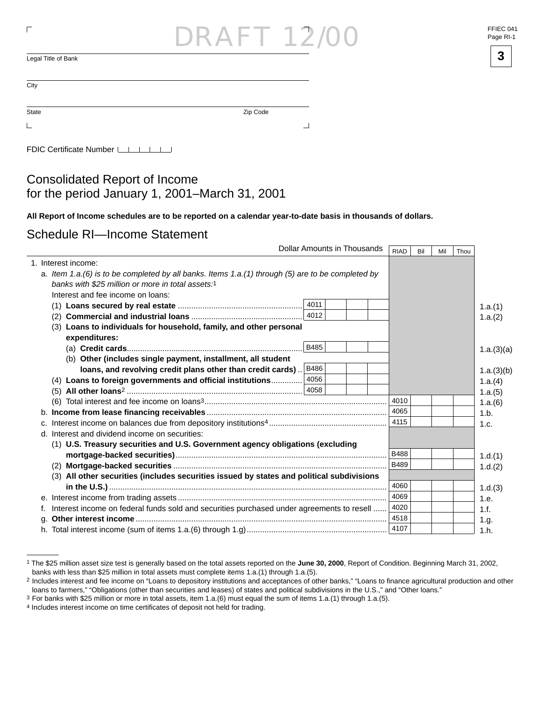## RAF 12

 $\overline{\mathsf{L}}$ egal Title of Bank  $\overline{\mathsf{3}}$ 

State **Zip Code**  $\mathsf{L}$ 

 $\overline{\phantom{a}}$ 

FDIC Certificate Number LATA

Consolidated Report of Income for the period January 1, 2001 –March 31, 2001

**All Report of Income schedules are to be reported on a calendar year-to-date basis in thousands of dollars.**

Schedule RI—Income Statement

|                                                                                                                                                        |      | Dollar Amounts in Thousands | <b>RIAD</b> | Bil | Mil | Thou |            |
|--------------------------------------------------------------------------------------------------------------------------------------------------------|------|-----------------------------|-------------|-----|-----|------|------------|
| 1. Interest income:                                                                                                                                    |      |                             |             |     |     |      |            |
| a. Item 1.a.(6) is to be completed by all banks. Items 1.a.(1) through (5) are to be completed by<br>banks with \$25 million or more in total assets:1 |      |                             |             |     |     |      |            |
| Interest and fee income on loans:                                                                                                                      |      |                             |             |     |     |      |            |
|                                                                                                                                                        | 4011 |                             |             |     |     |      | 1.a.(1)    |
| (2)                                                                                                                                                    | 4012 |                             |             |     |     |      | 1.a.(2)    |
| (3) Loans to individuals for household, family, and other personal                                                                                     |      |                             |             |     |     |      |            |
| expenditures:                                                                                                                                          |      |                             |             |     |     |      |            |
|                                                                                                                                                        | B485 |                             |             |     |     |      | 1.a.(3)(a) |
| (b) Other (includes single payment, installment, all student                                                                                           |      |                             |             |     |     |      |            |
| loans, and revolving credit plans other than credit cards)                                                                                             | B486 |                             |             |     |     |      | 1.a.(3)(b) |
| (4) Loans to foreign governments and official institutions                                                                                             | 4056 |                             |             |     |     |      | 1.a.(4)    |
|                                                                                                                                                        |      |                             |             |     |     |      | 1.a.(5)    |
|                                                                                                                                                        |      |                             | 4010        |     |     |      | 1.a.(6)    |
|                                                                                                                                                        |      |                             | 4065        |     |     |      | 1.b.       |
|                                                                                                                                                        |      |                             | 4115        |     |     |      | 1.c.       |
| d. Interest and dividend income on securities:                                                                                                         |      |                             |             |     |     |      |            |
| (1) U.S. Treasury securities and U.S. Government agency obligations (excluding                                                                         |      |                             |             |     |     |      |            |
|                                                                                                                                                        |      |                             | <b>B488</b> |     |     |      | 1.d.(1)    |
| (2)                                                                                                                                                    |      |                             | B489        |     |     |      | 1.d.(2)    |
| (3) All other securities (includes securities issued by states and political subdivisions                                                              |      |                             |             |     |     |      |            |
|                                                                                                                                                        |      |                             | 4060        |     |     |      | 1.d.(3)    |
|                                                                                                                                                        |      |                             | 4069        |     |     |      | 1.e.       |
| Interest income on federal funds sold and securities purchased under agreements to resell                                                              |      |                             | 4020        |     |     |      | 1.f.       |
|                                                                                                                                                        |      |                             | 4518        |     |     |      | 1.g.       |
|                                                                                                                                                        |      |                             | 4107        |     |     |      | 1.h.       |

<sup>1</sup> The \$25 million asset size test is generally based on the total assets reported on the **June 30, 2000**, Report of Condition. Beginning March 31, 2002, banks with less than \$25 million in total assets must complete items 1.a.(1) through 1.a.(5).

 $\overline{\Gamma}$ 

| FFIEC 041 |  |
|-----------|--|
| Page RI-1 |  |



<sup>&</sup>lt;sup>2</sup> Includes interest and fee income on "Loans to depository institutions and acceptances of other banks," "Loans to finance agricultural production and other loans to farmers," "Obligations (other than securities and leases) of states and political subdivisions in the U.S.," and "Other loans."

 $3$  For banks with \$25 million or more in total assets, item 1.a.(6) must equal the sum of items 1.a.(1) through 1.a.(5).

<sup>&</sup>lt;sup>4</sup> Includes interest income on time certificates of deposit not held for trading.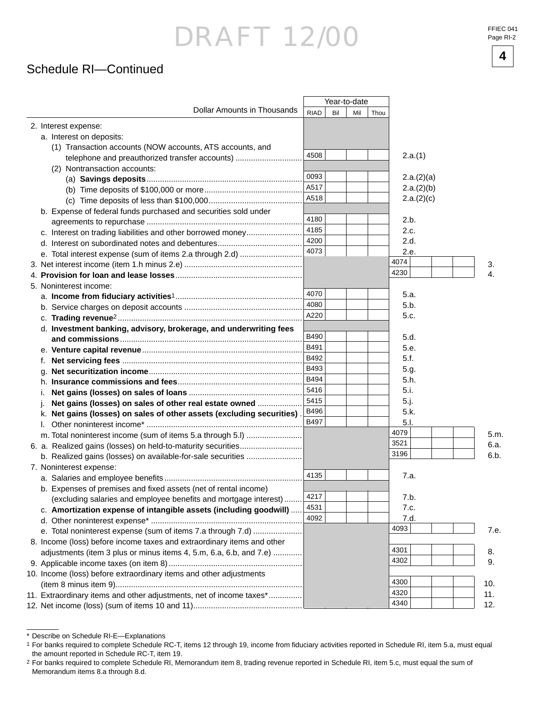Schedule RI—Continued

|                                                                        |             | Year-to-date |     |      |      |            |          |
|------------------------------------------------------------------------|-------------|--------------|-----|------|------|------------|----------|
| <b>Dollar Amounts in Thousands</b>                                     | <b>RIAD</b> | Bil          | Mil | Thou |      |            |          |
| 2. Interest expense:                                                   |             |              |     |      |      |            |          |
| a. Interest on deposits:                                               |             |              |     |      |      |            |          |
| (1) Transaction accounts (NOW accounts, ATS accounts, and              |             |              |     |      |      |            |          |
| telephone and preauthorized transfer accounts)                         | 4508        |              |     |      |      | 2.a.(1)    |          |
| (2) Nontransaction accounts:                                           |             |              |     |      |      |            |          |
|                                                                        | 0093        |              |     |      |      | 2.a.(2)(a) |          |
|                                                                        | A517        |              |     |      |      | 2.a.(2)(b) |          |
|                                                                        | A518        |              |     |      |      | 2.a.(2)(c) |          |
| b. Expense of federal funds purchased and securities sold under        |             |              |     |      |      |            |          |
|                                                                        | 4180        |              |     |      | 2.b. |            |          |
| c. Interest on trading liabilities and other borrowed money            | 4185        |              |     |      | 2.c. |            |          |
|                                                                        | 4200        |              |     |      | 2.d. |            |          |
|                                                                        | 4073        |              |     |      | 2.e. |            |          |
|                                                                        |             |              |     |      | 4074 |            |          |
|                                                                        |             |              |     |      | 4230 |            | 3.<br>4. |
|                                                                        |             |              |     |      |      |            |          |
| 5. Noninterest income:                                                 | 4070        |              |     |      | 5.a. |            |          |
|                                                                        | 4080        |              |     |      | 5.b. |            |          |
|                                                                        | A220        |              |     |      | 5.c. |            |          |
|                                                                        |             |              |     |      |      |            |          |
| d. Investment banking, advisory, brokerage, and underwriting fees      | B490        |              |     |      | 5.d. |            |          |
|                                                                        | B491        |              |     |      | 5.e. |            |          |
|                                                                        | B492        |              |     |      | 5.f. |            |          |
| f.                                                                     | B493        |              |     |      |      |            |          |
| q.                                                                     |             |              |     |      | 5.g. |            |          |
|                                                                        | B494        |              |     |      | 5.h. |            |          |
| ı.                                                                     | 5416        |              |     |      | 5.i. |            |          |
| Net gains (losses) on sales of other real estate owned                 | 5415        |              |     |      | 5.j. |            |          |
| k. Net gains (losses) on sales of other assets (excluding securities). | B496        |              |     |      | 5.k. |            |          |
|                                                                        | B497        |              |     |      | 5.1. |            |          |
|                                                                        |             |              |     |      | 4079 |            | 5.m.     |
|                                                                        |             |              |     |      | 3521 |            | 6.a.     |
|                                                                        |             |              |     |      | 3196 |            | 6.b.     |
| 7. Noninterest expense:                                                |             |              |     |      |      |            |          |
|                                                                        | 4135        |              |     |      | 7.a. |            |          |
| b. Expenses of premises and fixed assets (net of rental income)        |             |              |     |      |      |            |          |
| (excluding salaries and employee benefits and mortgage interest)       | 4217        |              |     |      | 7.b. |            |          |
| c. Amortization expense of intangible assets (including goodwill)      | 4531        |              |     |      | 7.c. |            |          |
|                                                                        | 4092        |              |     |      | 7.d. |            |          |
| e. Total noninterest expense (sum of items 7.a through 7.d)            |             |              |     |      | 4093 |            | 7.e.     |
| 8. Income (loss) before income taxes and extraordinary items and other |             |              |     |      |      |            |          |
| adjustments (item 3 plus or minus items 4, 5.m, 6.a, 6.b, and 7.e)     |             |              |     |      | 4301 |            | 8.       |
|                                                                        |             |              |     |      | 4302 |            | 9.       |
| 10. Income (loss) before extraordinary items and other adjustments     |             |              |     |      |      |            |          |
|                                                                        |             |              |     |      | 4300 |            | 10.      |
| 11. Extraordinary items and other adjustments, net of income taxes*    |             |              |     |      | 4320 |            | 11.      |
|                                                                        |             |              |     |      | 4340 |            | 12.      |

<sup>\*</sup> Describe on Schedule RI-E—Explanations



<sup>&</sup>lt;sup>1</sup> For banks required to complete Schedule RC-T, items 12 through 19, income from fiduciary activities reported in Schedule RI, item 5.a, must equal the amount reported in Schedule RC-T, item 19.

<sup>2</sup> For banks required to complete Schedule RI, Memorandum item 8, trading revenue reported in Schedule RI, item 5.c, must equal the sum of Memorandum items 8.a through 8.d.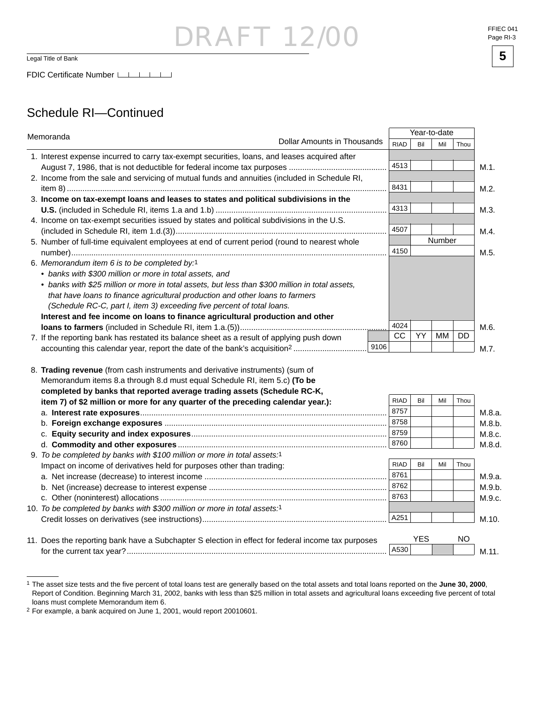## RAFT 1

### Schedule RI—Continued

| Memoranda                                                                                       |                             |      |             |     | Year-to-date |               |      |  |  |
|-------------------------------------------------------------------------------------------------|-----------------------------|------|-------------|-----|--------------|---------------|------|--|--|
|                                                                                                 | Dollar Amounts in Thousands |      | <b>RIAD</b> | Bil | Mil          | Thou          |      |  |  |
| 1. Interest expense incurred to carry tax-exempt securities, loans, and leases acquired after   |                             |      |             |     |              |               |      |  |  |
|                                                                                                 |                             |      | 4513        |     |              |               | M.1. |  |  |
| 2. Income from the sale and servicing of mutual funds and annuities (included in Schedule RI,   |                             |      |             |     |              |               |      |  |  |
|                                                                                                 |                             |      | 8431        |     |              |               | M.2. |  |  |
| 3. Income on tax-exempt loans and leases to states and political subdivisions in the            |                             |      |             |     |              |               |      |  |  |
|                                                                                                 |                             |      | 4313        |     |              |               | M.3. |  |  |
| 4. Income on tax-exempt securities issued by states and political subdivisions in the U.S.      |                             |      |             |     |              |               |      |  |  |
|                                                                                                 |                             |      | 4507        |     |              |               | M.4. |  |  |
| 5. Number of full-time equivalent employees at end of current period (round to nearest whole    |                             |      |             |     |              | <b>Number</b> |      |  |  |
|                                                                                                 |                             |      | 4150        |     |              |               | M.5. |  |  |
| 6. Memorandum item 6 is to be completed by:1                                                    |                             |      |             |     |              |               |      |  |  |
| • banks with \$300 million or more in total assets, and                                         |                             |      |             |     |              |               |      |  |  |
| • banks with \$25 million or more in total assets, but less than \$300 million in total assets, |                             |      |             |     |              |               |      |  |  |
| that have loans to finance agricultural production and other loans to farmers                   |                             |      |             |     |              |               |      |  |  |
| (Schedule RC-C, part I, item 3) exceeding five percent of total loans.                          |                             |      |             |     |              |               |      |  |  |
| Interest and fee income on loans to finance agricultural production and other                   |                             |      | 4024        |     |              |               |      |  |  |
|                                                                                                 |                             |      | CC          | YY. | MМ           | DD            | M.6. |  |  |
| 7. If the reporting bank has restated its balance sheet as a result of applying push down       |                             | 9106 |             |     |              |               |      |  |  |
|                                                                                                 |                             |      |             |     |              |               | M.7. |  |  |
| 8. Trading revenue (from cash instruments and derivative instruments) (sum of                   |                             |      |             |     |              |               |      |  |  |

Memorandum items 8.a through 8.d must equal Schedule RI, item 5.c) **(To be completed by banks that reported average trading assets (Schedule RC-K, item 7) of \$2 million or more for any quarter of the preceding calendar year.):** a. **Interest rate exposures**............................................................................................................... b. **Foreign exchange exposures** .................................................................................................... c. **Equity security and index exposures**........................................................................................ d. **Commodity and other exposures** .............................................................................................. 9. *To be completed by banks with \$100 million or more in total assets:*1 Impact on income of derivatives held for purposes other than trading: a. Net increase (decrease) to interest income .................................................................................. b. Net (increase) decrease to interest expense ................................................................................ c. Other (noninterest) allocations ...................................................................................................... 10. *To be completed by banks with \$300 million or more in total assets:*1 Credit losses on derivatives (see instructions)................................................................................... 11. Does the reporting bank have a Subchapter S election in effect for federal income tax purposes for the current tax year?..................................................................................................................... RIAD | Bil | Mil | Thou YES NO M.9.a. M.9.b. M.9.c. M.10. M.11. 8757 8758 8759 8760 M.8.a. M.8.b. M.8.c. M.8.d. RIAD Bil Mil Thou  $A530$  8761 8762 8763 A251



<sup>&</sup>lt;sup>1</sup> The asset size tests and the five percent of total loans test are generally based on the total assets and total loans reported on the **June 30, 2000**, Report of Condition. Beginning March 31, 2002, banks with less than \$25 million in total assets and agricultural loans exceeding five percent of total loans must complete Memorandum item 6.

<sup>2</sup> For example, a bank acquired on June 1, 2001, would report 20010601.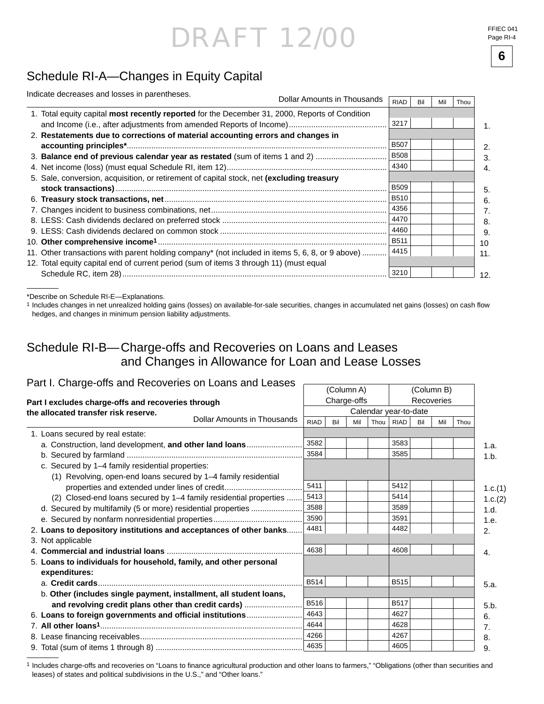FFIEC 041 Page RI-4

**6**

## Schedule RI-A—Changes in Equity Capital

| Indicate decreases and losses in parentheses.                                                   |                             |             |     |     |      |
|-------------------------------------------------------------------------------------------------|-----------------------------|-------------|-----|-----|------|
|                                                                                                 | Dollar Amounts in Thousands | <b>RIAD</b> | Bil | Mil | Thou |
| 1. Total equity capital most recently reported for the December 31, 2000, Reports of Condition  |                             |             |     |     |      |
|                                                                                                 |                             | 3217        |     |     |      |
| 2. Restatements due to corrections of material accounting errors and changes in                 |                             |             |     |     |      |
|                                                                                                 |                             | <b>B507</b> |     |     |      |
| 3. Balance end of previous calendar year as restated (sum of items 1 and 2)                     |                             | <b>B508</b> |     |     |      |
|                                                                                                 |                             | 4340        |     |     |      |
| 5. Sale, conversion, acquisition, or retirement of capital stock, net (excluding treasury       |                             |             |     |     |      |
|                                                                                                 |                             | <b>B509</b> |     |     |      |
|                                                                                                 |                             | <b>B510</b> |     |     |      |
|                                                                                                 |                             | 4356        |     |     |      |
|                                                                                                 |                             | 4470        |     |     |      |
|                                                                                                 |                             | 4460        |     |     |      |
|                                                                                                 |                             | <b>B511</b> |     |     |      |
| 11. Other transactions with parent holding company* (not included in items 5, 6, 8, or 9 above) |                             | 4415        |     |     |      |
| 12. Total equity capital end of current period (sum of items 3 through 11) (must equal          |                             |             |     |     |      |
|                                                                                                 |                             | 3210        |     |     |      |

\*Describe on Schedule RI-E—Explanations.

<sup>1</sup> Includes changes in net unrealized holding gains (losses) on available-for-sale securities, changes in accumulated net gains (losses) on cash flow hedges, and changes in minimum pension liability adjustments.

### Schedule RI-B— Charge-offs and Recoveries on Loans and Leases and Changes in Allowance for Loan and Lease Losses

| Part I. Charge-offs and Recoveries on Loans and Leases             |                                               |             |             |            |      |                       |     |            |      |         |  |  |
|--------------------------------------------------------------------|-----------------------------------------------|-------------|-------------|------------|------|-----------------------|-----|------------|------|---------|--|--|
|                                                                    |                                               |             |             | (Column A) |      |                       |     | (Column B) |      |         |  |  |
| Part I excludes charge-offs and recoveries through                 |                                               |             | Charge-offs |            |      |                       |     | Recoveries |      |         |  |  |
| the allocated transfer risk reserve.                               |                                               |             |             |            |      | Calendar year-to-date |     |            |      |         |  |  |
|                                                                    | Dollar Amounts in Thousands                   | <b>RIAD</b> | Bil         | Mil        | Thou | <b>RIAD</b>           | Bil | Mil        | Thou |         |  |  |
| 1. Loans secured by real estate:                                   |                                               |             |             |            |      |                       |     |            |      |         |  |  |
| a. Construction, land development, and other land loans            |                                               | 3582        |             |            |      | 3583                  |     |            |      | 1.a.    |  |  |
|                                                                    |                                               | 3584        |             |            |      | 3585                  |     |            |      | 1.b.    |  |  |
| c. Secured by 1-4 family residential properties:                   |                                               |             |             |            |      |                       |     |            |      |         |  |  |
| (1) Revolving, open-end loans secured by 1-4 family residential    |                                               |             |             |            |      |                       |     |            |      |         |  |  |
|                                                                    | properties and extended under lines of credit | 5411        |             |            |      | 5412                  |     |            |      | 1.c.(1) |  |  |
| (2) Closed-end loans secured by 1-4 family residential properties  |                                               | 5413        |             |            |      | 5414                  |     |            |      | 1.c.(2) |  |  |
| d. Secured by multifamily (5 or more) residential properties       |                                               | 3588        |             |            |      | 3589                  |     |            |      | 1.d.    |  |  |
|                                                                    |                                               | 3590        |             |            |      | 3591                  |     |            |      | 1.e.    |  |  |
| 2. Loans to depository institutions and acceptances of other banks |                                               | 4481        |             |            |      | 4482                  |     |            |      | 2.      |  |  |
| 3. Not applicable                                                  |                                               |             |             |            |      |                       |     |            |      |         |  |  |
|                                                                    |                                               | 4638        |             |            |      | 4608                  |     |            |      | 4.      |  |  |
| 5. Loans to individuals for household, family, and other personal  |                                               |             |             |            |      |                       |     |            |      |         |  |  |
| expenditures:                                                      |                                               |             |             |            |      |                       |     |            |      |         |  |  |
|                                                                    |                                               | <b>B514</b> |             |            |      | <b>B515</b>           |     |            |      | 5.a.    |  |  |
| b. Other (includes single payment, installment, all student loans, |                                               |             |             |            |      |                       |     |            |      |         |  |  |
| and revolving credit plans other than credit cards)                |                                               | B516        |             |            |      | <b>B517</b>           |     |            |      | 5.b.    |  |  |
| 6. Loans to foreign governments and official institutions          |                                               | 4643        |             |            |      | 4627                  |     |            |      | 6.      |  |  |
|                                                                    |                                               | 4644        |             |            |      | 4628                  |     |            |      | 7.      |  |  |
|                                                                    |                                               | 4266        |             |            |      | 4267                  |     |            |      | 8.      |  |  |
|                                                                    |                                               | 4635        |             |            |      | 4605                  |     |            |      | 9.      |  |  |

1 Includes charge-offs and recoveries on "Loans to finance agricultural production and other loans to farmers," "Obligations (other than securities and leases) of states and political subdivisions in the U.S.," and "Other loans."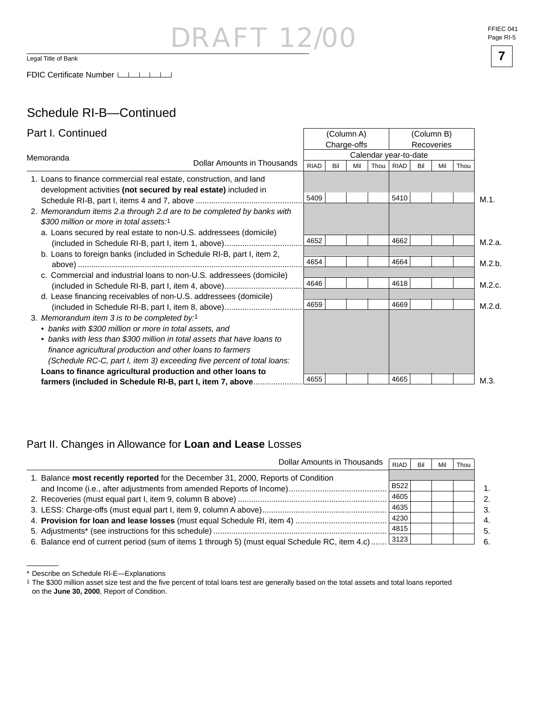## DRAFT 12 Legal Title of Bank **7**

### Schedule RI-B—Continued

| Part I. Continued                                                                                                                     |  |             | (Column A)<br>Charge-offs |     |        |                       | (Column B)<br>Recoveries |     |      |        |
|---------------------------------------------------------------------------------------------------------------------------------------|--|-------------|---------------------------|-----|--------|-----------------------|--------------------------|-----|------|--------|
| Memoranda                                                                                                                             |  |             |                           |     |        | Calendar year-to-date |                          |     |      |        |
| Dollar Amounts in Thousands                                                                                                           |  | <b>RIAD</b> | Bil                       | Mil | Thou I | <b>RIAD</b>           | Bil                      | Mil | Thou |        |
| 1. Loans to finance commercial real estate, construction, and land<br>development activities (not secured by real estate) included in |  |             |                           |     |        |                       |                          |     |      |        |
|                                                                                                                                       |  | 5409        |                           |     |        | 5410                  |                          |     |      | M.1.   |
| 2. Memorandum items 2.a through 2.d are to be completed by banks with<br>\$300 million or more in total assets:1                      |  |             |                           |     |        |                       |                          |     |      |        |
| a. Loans secured by real estate to non-U.S. addressees (domicile)                                                                     |  | 4652        |                           |     |        | 4662                  |                          |     |      | M.2.a. |
| b. Loans to foreign banks (included in Schedule RI-B, part I, item 2,                                                                 |  |             |                           |     |        |                       |                          |     |      |        |
|                                                                                                                                       |  | 4654        |                           |     |        | 4664                  |                          |     |      | M.2.b. |
| c. Commercial and industrial loans to non-U.S. addressees (domicile)                                                                  |  |             |                           |     |        |                       |                          |     |      |        |
| (included in Schedule RI-B, part I, item 4, above)                                                                                    |  | 4646        |                           |     |        | 4618                  |                          |     |      | M.2.c. |
| d. Lease financing receivables of non-U.S. addressees (domicile)                                                                      |  |             |                           |     |        |                       |                          |     |      |        |
|                                                                                                                                       |  | 4659        |                           |     |        | 4669                  |                          |     |      | M.2.d. |
| 3. Memorandum item 3 is to be completed by:1                                                                                          |  |             |                           |     |        |                       |                          |     |      |        |
| • banks with \$300 million or more in total assets, and                                                                               |  |             |                           |     |        |                       |                          |     |      |        |
| • banks with less than \$300 million in total assets that have loans to                                                               |  |             |                           |     |        |                       |                          |     |      |        |
| finance agricultural production and other loans to farmers                                                                            |  |             |                           |     |        |                       |                          |     |      |        |
| (Schedule RC-C, part I, item 3) exceeding five percent of total loans:                                                                |  |             |                           |     |        |                       |                          |     |      |        |
| Loans to finance agricultural production and other loans to                                                                           |  |             |                           |     |        |                       |                          |     |      |        |
| farmers (included in Schedule RI-B, part I, item 7, above                                                                             |  | 4655        |                           |     |        | 4665                  |                          |     |      | M.3.   |

### Part II. Changes in Allowance for **Loan and Lease** Losses

| Dollar Amounts in Thousands                                                                    | <b>RIAD</b> | Bil | Mil | Thou |
|------------------------------------------------------------------------------------------------|-------------|-----|-----|------|
| 1. Balance <b>most recently reported</b> for the December 31, 2000, Reports of Condition       |             |     |     |      |
|                                                                                                | <b>B522</b> |     |     |      |
|                                                                                                | 4605        |     |     |      |
|                                                                                                | 4635        |     |     |      |
|                                                                                                | 4230        |     |     |      |
|                                                                                                | 4815        |     |     |      |
| 6. Balance end of current period (sum of items 1 through 5) (must equal Schedule RC, item 4.c) | 3123        |     |     |      |

<sup>\*</sup> Describe on Schedule RI-E—Explanations

1 The \$300 million asset size test and the five percent of total loans test are generally based on the total assets and total loans reported on the **June 30, 2000**, Report of Condition.

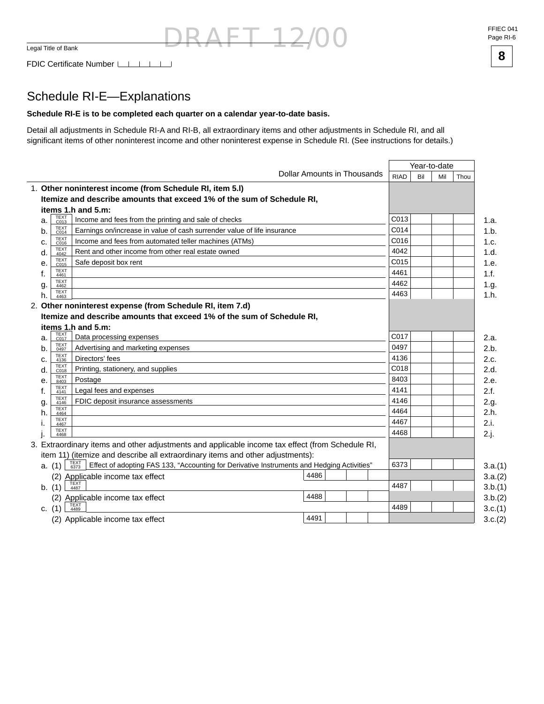FFIEC 041 Page RI-6



### Schedule RI-E—Explanations

#### **Schedule RI-E is to be completed each quarter on a calendar year-to-date basis.**

Detail all adjustments in Schedule RI-A and RI-B, all extraordinary items and other adjustments in Schedule RI, and all significant items of other noninterest income and other noninterest expense in Schedule RI. (See instructions for details.)

DRAFT 12/00

|    |                     |                                                                                                            |                             |             | Year-to-date |     |         |
|----|---------------------|------------------------------------------------------------------------------------------------------------|-----------------------------|-------------|--------------|-----|---------|
|    |                     |                                                                                                            | Dollar Amounts in Thousands | <b>RIAD</b> | Bil          | Mil | Thou    |
|    |                     | 1. Other noninterest income (from Schedule RI, item 5.I)                                                   |                             |             |              |     |         |
|    |                     | Itemize and describe amounts that exceed 1% of the sum of Schedule RI,                                     |                             |             |              |     |         |
|    |                     | items 1.h and 5.m:                                                                                         |                             |             |              |     |         |
| a. | TEXT<br>C013        | Income and fees from the printing and sale of checks                                                       |                             | C013        |              |     | 1.a.    |
| b. | <b>TEXT</b><br>C014 | Earnings on/increase in value of cash surrender value of life insurance                                    |                             | C014        |              |     | 1.b.    |
| c. | TEXT<br>C016        | Income and fees from automated teller machines (ATMs)                                                      |                             | C016        |              |     | 1.c.    |
| d. | TEXT<br>4042        | Rent and other income from other real estate owned                                                         |                             | 4042        |              |     | 1.d.    |
| е. | TEXT<br>C015        | Safe deposit box rent                                                                                      |                             | C015        |              |     | 1.e.    |
| f. | <b>TEXT</b><br>4461 |                                                                                                            |                             | 4461        |              |     | 1.f.    |
| g. | <b>TEXT</b><br>4462 |                                                                                                            |                             | 4462        |              |     | 1.g.    |
| h. | <b>TEXT</b><br>4463 |                                                                                                            |                             | 4463        |              |     | 1.h.    |
|    |                     | 2. Other noninterest expense (from Schedule RI, item 7.d)                                                  |                             |             |              |     |         |
|    |                     | Itemize and describe amounts that exceed 1% of the sum of Schedule RI,                                     |                             |             |              |     |         |
|    |                     | items 1.h and 5.m:                                                                                         |                             |             |              |     |         |
| a. | TEXT<br>C017        | Data processing expenses                                                                                   |                             | C017        |              |     | 2.a.    |
| b. | <b>TEXT</b><br>0497 | Advertising and marketing expenses                                                                         |                             | 0497        |              |     | 2.b.    |
| c. | <b>TEXT</b><br>4136 | Directors' fees                                                                                            |                             | 4136        |              |     | 2.c.    |
| d. | <b>TEXT</b><br>C018 | Printing, stationery, and supplies                                                                         |                             | C018        |              |     | 2.d.    |
| е. | <b>TEXT</b><br>8403 | Postage                                                                                                    |                             | 8403        |              |     | 2.e.    |
| f. | <b>TEXT</b><br>4141 | Legal fees and expenses                                                                                    |                             | 4141        |              |     | 2.f.    |
| g. | <b>TEXT</b><br>4146 | FDIC deposit insurance assessments                                                                         |                             | 4146        |              |     | 2.g.    |
| h. | <b>TEXT</b><br>4464 |                                                                                                            |                             | 4464        |              |     | 2.h.    |
|    | <b>TEXT</b><br>4467 |                                                                                                            |                             | 4467        |              |     | 2.i.    |
|    | <b>TEXT</b><br>4468 |                                                                                                            |                             | 4468        |              |     | 2.j.    |
|    |                     | 3. Extraordinary items and other adjustments and applicable income tax effect (from Schedule RI,           |                             |             |              |     |         |
|    |                     | item 11) (itemize and describe all extraordinary items and other adjustments):                             |                             |             |              |     |         |
|    | a. (1)              | TEXT<br>6373<br>Effect of adopting FAS 133, "Accounting for Derivative Instruments and Hedging Activities" |                             | 6373        |              |     | 3.a.(1) |
|    |                     | (2) Applicable income tax effect                                                                           | 4486                        |             |              |     | 3.a.(2) |
|    | b. (1)              | TEXT<br>4487                                                                                               |                             | 4487        |              |     | 3.b.(1) |
|    | (2)                 | Applicable income tax effect                                                                               | 4488                        |             |              |     | 3.b.(2) |
|    | c. $(1)$            | 4489                                                                                                       |                             | 4489        |              |     | 3.c.(1) |
|    |                     | (2) Applicable income tax effect                                                                           | 4491                        |             |              |     | 3.c.(2) |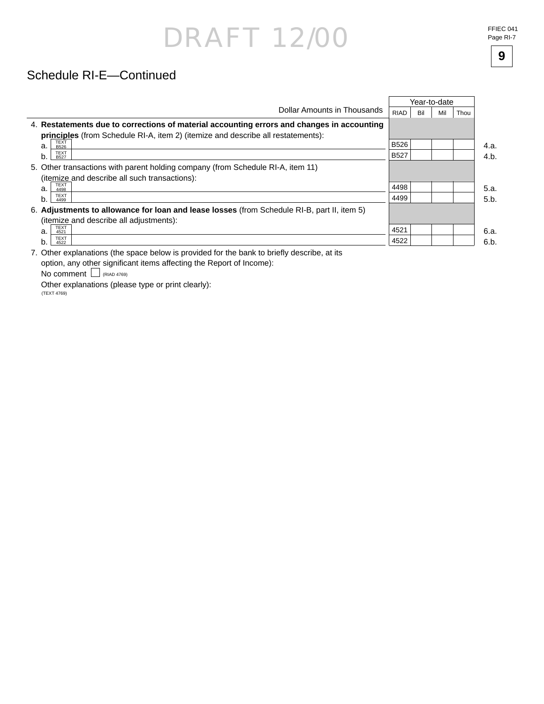### Schedule RI-E—Continued

|                                                                                             |             |     | Year-to-date |      |      |
|---------------------------------------------------------------------------------------------|-------------|-----|--------------|------|------|
| Dollar Amounts in Thousands                                                                 | RIAD        | Bil | Mil          | Thou |      |
| 4. Restatements due to corrections of material accounting errors and changes in accounting  |             |     |              |      |      |
| <b>principles</b> (from Schedule RI-A, item 2) (itemize and describe all restatements):     |             |     |              |      |      |
| <b>TEXT</b><br>a.<br><b>B526</b>                                                            | <b>B526</b> |     |              |      | 4.a. |
| <b>TEXT</b><br>b.<br><b>B527</b>                                                            | <b>B527</b> |     |              |      | 4.b. |
| 5. Other transactions with parent holding company (from Schedule RI-A, item 11)             |             |     |              |      |      |
| (itemize and describe all such transactions):                                               |             |     |              |      |      |
| <b>TEXT</b><br>a.<br>4498                                                                   | 4498        |     |              |      | 5.a. |
| <b>TEXT</b><br>b.<br>4499                                                                   | 4499        |     |              |      | 5.b. |
| 6. Adjustments to allowance for loan and lease losses (from Schedule RI-B, part II, item 5) |             |     |              |      |      |
| (itemize and describe all adjustments):                                                     |             |     |              |      |      |
| <b>TEXT</b><br>a.<br>4521                                                                   | 4521        |     |              |      | 6.a. |
| <b>TEXT</b><br>b.<br>4522                                                                   | 4522        |     |              |      | 6.b. |
|                                                                                             |             |     |              |      |      |

7. Other explanations (the space below is provided for the bank to briefly describe, at its option, any other significant items affecting the Report of Income):

No comment  $\Box$  (RIAD 4769)

 Other explanations (please type or print clearly): (TEXT 4769)

**9**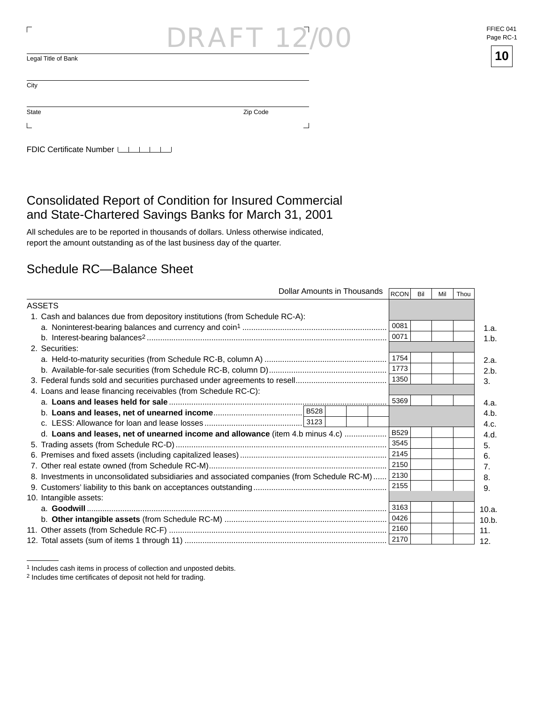| ┍                         | <b>DRAFT 12/00</b> | FFIEC (<br>Page R |
|---------------------------|--------------------|-------------------|
| Legal Title of Bank       |                    | 10                |
| City                      |                    |                   |
| State                     | Zip Code           |                   |
|                           | -                  |                   |
| FDIC Certificate Number I |                    |                   |

### Consolidated Report of Condition for Insured Commercial and State-Chartered Savings Banks for March 31, 2001

All schedules are to be reported in thousands of dollars. Unless otherwise indicated, report the amount outstanding as of the last business day of the quarter.

### Schedule RC—Balance Sheet

|                                                                                             | Dollar Amounts in Thousands |  |  | RCON        | Bil | Mil | Thou |       |
|---------------------------------------------------------------------------------------------|-----------------------------|--|--|-------------|-----|-----|------|-------|
| <b>ASSETS</b>                                                                               |                             |  |  |             |     |     |      |       |
| 1. Cash and balances due from depository institutions (from Schedule RC-A):                 |                             |  |  |             |     |     |      |       |
|                                                                                             |                             |  |  | 0081        |     |     |      | 1.a.  |
|                                                                                             |                             |  |  | 0071        |     |     |      | 1.b.  |
| 2. Securities:                                                                              |                             |  |  |             |     |     |      |       |
|                                                                                             |                             |  |  | 1754        |     |     |      | 2.a.  |
|                                                                                             |                             |  |  | 1773        |     |     |      | 2.b.  |
|                                                                                             |                             |  |  | 1350        |     |     |      | 3.    |
| 4. Loans and lease financing receivables (from Schedule RC-C):                              |                             |  |  |             |     |     |      |       |
|                                                                                             |                             |  |  | 5369        |     |     |      | 4.a.  |
|                                                                                             |                             |  |  |             |     |     |      | 4.b.  |
|                                                                                             |                             |  |  |             |     |     |      | 4.c.  |
| d. Loans and leases, net of unearned income and allowance (item 4.b minus 4.c)              |                             |  |  | <b>B529</b> |     |     |      | 4.d.  |
|                                                                                             |                             |  |  | 3545        |     |     |      | 5.    |
|                                                                                             |                             |  |  | 2145        |     |     |      | 6.    |
|                                                                                             |                             |  |  | 2150        |     |     |      | 7.    |
| 8. Investments in unconsolidated subsidiaries and associated companies (from Schedule RC-M) |                             |  |  | 2130        |     |     |      | 8.    |
|                                                                                             |                             |  |  | 2155        |     |     |      | 9.    |
| 10. Intangible assets:                                                                      |                             |  |  |             |     |     |      |       |
|                                                                                             |                             |  |  | 3163        |     |     |      | 10.a. |
|                                                                                             |                             |  |  | 0426        |     |     |      | 10.b. |
|                                                                                             |                             |  |  | 2160        |     |     |      | 11.   |
|                                                                                             |                             |  |  | 2170        |     |     |      | 12.   |

 $\overline{a}$ 



<sup>1</sup> Includes cash items in process of collection and unposted debits.

<sup>&</sup>lt;sup>2</sup> Includes time certificates of deposit not held for trading.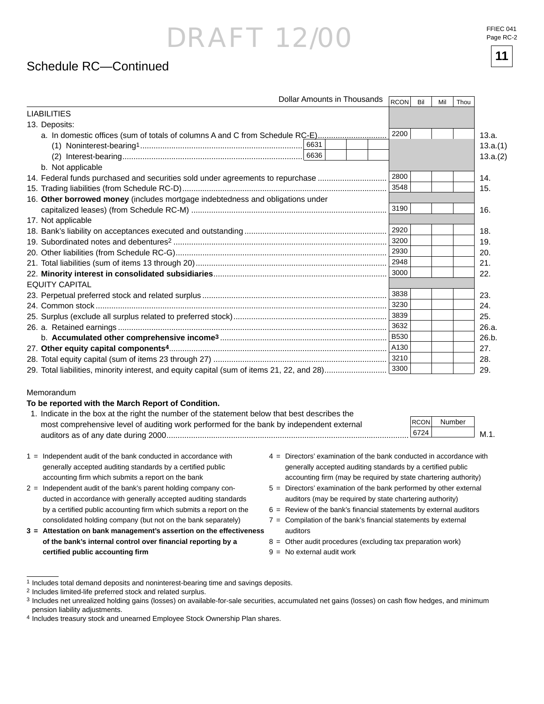### Schedule RC—Continued

| Dollar Amounts in Thousands                                                                | RCON        | Bil | Mil | Thou |          |
|--------------------------------------------------------------------------------------------|-------------|-----|-----|------|----------|
| <b>LIABILITIES</b>                                                                         |             |     |     |      |          |
| 13. Deposits:                                                                              |             |     |     |      |          |
| a. In domestic offices (sum of totals of columns A and C from Schedule RC-E)               | 2200        |     |     |      | 13.a.    |
|                                                                                            |             |     |     |      | 13.a.(1) |
|                                                                                            |             |     |     |      | 13.a.(2) |
| b. Not applicable                                                                          |             |     |     |      |          |
| 14. Federal funds purchased and securities sold under agreements to repurchase             | 2800        |     |     |      | 14.      |
|                                                                                            | 3548        |     |     |      | 15.      |
| 16. Other borrowed money (includes mortgage indebtedness and obligations under             |             |     |     |      |          |
|                                                                                            | 3190        |     |     |      | 16.      |
| 17. Not applicable                                                                         |             |     |     |      |          |
|                                                                                            | 2920        |     |     |      | 18.      |
|                                                                                            | 3200        |     |     |      | 19.      |
|                                                                                            | 2930        |     |     |      | 20.      |
|                                                                                            | 2948        |     |     |      | 21.      |
|                                                                                            | 3000        |     |     |      | 22.      |
| <b>EQUITY CAPITAL</b>                                                                      |             |     |     |      |          |
|                                                                                            | 3838        |     |     |      | 23.      |
|                                                                                            | 3230        |     |     |      | 24.      |
|                                                                                            | 3839        |     |     |      | 25.      |
|                                                                                            | 3632        |     |     |      | 26.a.    |
|                                                                                            | <b>B530</b> |     |     |      | 26.b.    |
|                                                                                            | A130        |     |     |      | 27.      |
|                                                                                            | 3210        |     |     |      | 28.      |
| 29. Total liabilities, minority interest, and equity capital (sum of items 21, 22, and 28) | 3300        |     |     |      | 29.      |

#### Memorandum

#### **To be reported with the March Report of Condition.**

| 1. Indicate in the box at the right the number of the statement below that best describes the |             |        |      |
|-----------------------------------------------------------------------------------------------|-------------|--------|------|
| most comprehensive level of auditing work performed for the bank by independent external      | <b>RCON</b> | Number |      |
|                                                                                               | 6724        |        | M.1. |
|                                                                                               |             |        |      |

- 1 = Independent audit of the bank conducted in accordance with generally accepted auditing standards by a certified public accounting firm which submits a report on the bank
- 2 = Independent audit of the bank's parent holding company conducted in accordance with generally accepted auditing standards by a certified public accounting firm which submits a report on the consolidated holding company (but not on the bank separately)
- **3 = Attestation on bank management's assertion on the effectiveness of the bank's internal control over fi nancial reporting by a certifi ed public accounting fi rm**
- 4 = Directors' examination of the bank conducted in accordance with generally accepted auditing standards by a certified public accounting firm (may be required by state chartering authority)
- 5 = Directors' examination of the bank performed by other external auditors (may be required by state chartering authority)
- $6 =$  Review of the bank's financial statements by external auditors
- $7 =$  Compilation of the bank's financial statements by external auditors
- 8 = Other audit procedures (excluding tax preparation work)
- $9 = No$  external audit work

<sup>1</sup> Includes total demand deposits and noninterest-bearing time and savings deposits.

<sup>2</sup> Includes limited-life preferred stock and related surplus.

<sup>3</sup> Includes net unrealized holding gains (losses) on available-for-sale securities, accumulated net gains (losses) on cash flow hedges, and minimum pension liability adjustments.

<sup>4</sup> Includes treasury stock and unearned Employee Stock Ownership Plan shares.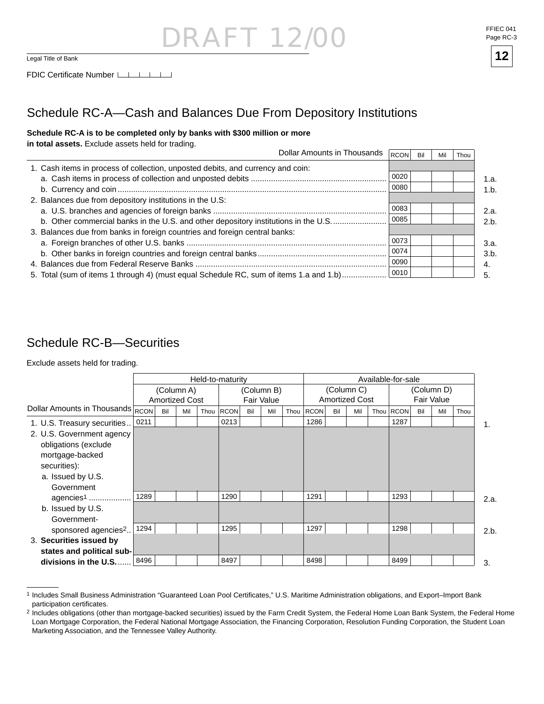## RAF 12  $\overline{\mathsf{Logal\text{-}Title\ of\ Bank}}$  12



## Schedule RC-A—Cash and Balances Due From Depository Institutions

#### **Schedule RC-A is to be completed only by banks with \$300 million or more**

**in total assets.** Exclude assets held for trading.

| Dollar Amounts in Thousands                                                            | RCON | Bil | Mil | Thou |
|----------------------------------------------------------------------------------------|------|-----|-----|------|
| 1. Cash items in process of collection, unposted debits, and currency and coin:        |      |     |     |      |
|                                                                                        | 0020 |     |     |      |
|                                                                                        | 0080 |     |     |      |
| 2. Balances due from depository institutions in the U.S:                               |      |     |     |      |
|                                                                                        | 0083 |     |     |      |
| b. Other commercial banks in the U.S. and other depository institutions in the U.S     | 0085 |     |     |      |
| 3. Balances due from banks in foreign countries and foreign central banks:             |      |     |     |      |
|                                                                                        | 0073 |     |     |      |
|                                                                                        | 0074 |     |     |      |
|                                                                                        | 0090 |     |     |      |
| 5. Total (sum of items 1 through 4) (must equal Schedule RC, sum of items 1.a and 1.b) | 0010 |     |     |      |

### Schedule RC-B—Securities

Exclude assets held for trading.

|                                                                                                                         |      | Held-to-maturity |                                     |      |                                 |     |     |                                     | Available-for-sale |     |     |  |            |     |     |      |      |
|-------------------------------------------------------------------------------------------------------------------------|------|------------------|-------------------------------------|------|---------------------------------|-----|-----|-------------------------------------|--------------------|-----|-----|--|------------|-----|-----|------|------|
|                                                                                                                         |      |                  | (Column A)<br><b>Amortized Cost</b> |      | (Column B)<br><b>Fair Value</b> |     |     | (Column C)<br><b>Amortized Cost</b> |                    |     |     |  | (Column D) |     |     |      |      |
| Dollar Amounts in Thousands RCON                                                                                        |      | Bil              | Mil                                 | Thou | <b>RCON</b>                     | Bil | Mil |                                     | Thou RCON          | Bil | Mil |  | Thou RCON  | Bil | Mil | Thou |      |
| 1. U.S. Treasury securities                                                                                             | 0211 |                  |                                     |      | 0213                            |     |     |                                     | 1286               |     |     |  | 1287       |     |     |      | 1.   |
| 2. U.S. Government agency<br>obligations (exclude<br>mortgage-backed<br>securities):<br>a. Issued by U.S.<br>Government |      |                  |                                     |      |                                 |     |     |                                     |                    |     |     |  |            |     |     |      |      |
| agencies <sup>1</sup>                                                                                                   | 1289 |                  |                                     |      | 1290                            |     |     |                                     | 1291               |     |     |  | 1293       |     |     |      | 2.a. |
| b. Issued by U.S.<br>Government-                                                                                        |      |                  |                                     |      |                                 |     |     |                                     |                    |     |     |  |            |     |     |      |      |
| sponsored agencies <sup>2</sup>                                                                                         | 1294 |                  |                                     |      | 1295                            |     |     |                                     | 1297               |     |     |  | 1298       |     |     |      | 2.b. |
| 3. Securities issued by                                                                                                 |      |                  |                                     |      |                                 |     |     |                                     |                    |     |     |  |            |     |     |      |      |
| states and political sub-                                                                                               |      |                  |                                     |      |                                 |     |     |                                     |                    |     |     |  |            |     |     |      |      |
| divisions in the U.S                                                                                                    | 8496 |                  |                                     |      | 8497                            |     |     |                                     | 8498               |     |     |  | 8499       |     |     |      | 3.   |

<sup>1</sup> Includes Small Business Administration "Guaranteed Loan Pool Certificates," U.S. Maritime Administration obligations, and Export–Import Bank participation certificates.

<sup>&</sup>lt;sup>2</sup> Includes obligations (other than mortgage-backed securities) issued by the Farm Credit System, the Federal Home Loan Bank System, the Federal Home Loan Mortgage Corporation, the Federal National Mortgage Association, the Financing Corporation, Resolution Funding Corporation, the Student Loan Marketing Association, and the Tennessee Valley Authority.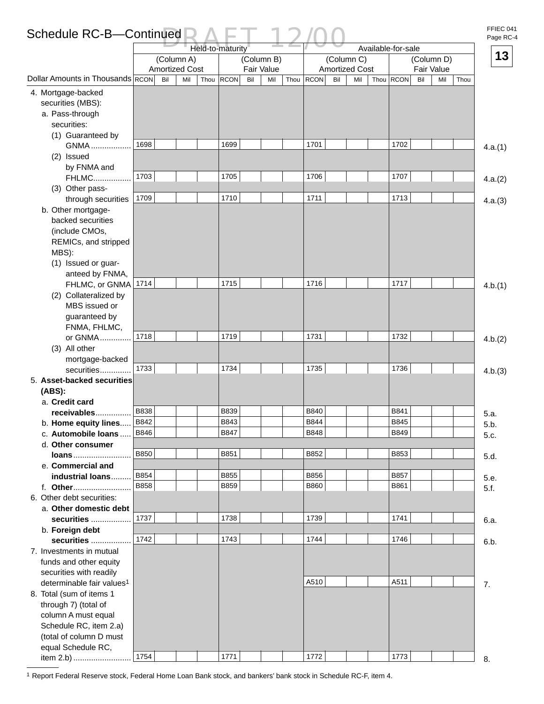## Schedule RC-B—Continued  $\sum_{\text{Held-to-maturity}}$  12/00

FFIEC 041 Page RC-4

|                                       |             | Held-to-maturity                    |             |     |                          |      |             |                                     | Available-for-sale |           |            |            |      |         |  |  |
|---------------------------------------|-------------|-------------------------------------|-------------|-----|--------------------------|------|-------------|-------------------------------------|--------------------|-----------|------------|------------|------|---------|--|--|
|                                       |             | (Column A)<br><b>Amortized Cost</b> |             |     | (Column B)<br>Fair Value |      |             | (Column C)<br><b>Amortized Cost</b> |                    |           | Fair Value | (Column D) |      | 13      |  |  |
| Dollar Amounts in Thousands RCON      | Bil         | Thou<br>Mil                         | <b>RCON</b> | Bil | Mil                      | Thou | RCON        | Bil                                 | Mil                | Thou RCON | Bil        | Mil        | Thou |         |  |  |
| 4. Mortgage-backed                    |             |                                     |             |     |                          |      |             |                                     |                    |           |            |            |      |         |  |  |
| securities (MBS):                     |             |                                     |             |     |                          |      |             |                                     |                    |           |            |            |      |         |  |  |
| a. Pass-through                       |             |                                     |             |     |                          |      |             |                                     |                    |           |            |            |      |         |  |  |
| securities:                           |             |                                     |             |     |                          |      |             |                                     |                    |           |            |            |      |         |  |  |
| (1) Guaranteed by                     |             |                                     |             |     |                          |      |             |                                     |                    |           |            |            |      |         |  |  |
| <b>GNMA</b>                           | 1698        |                                     | 1699        |     |                          |      | 1701        |                                     |                    | 1702      |            |            |      | 4.a.(1) |  |  |
| (2) Issued                            |             |                                     |             |     |                          |      |             |                                     |                    |           |            |            |      |         |  |  |
| by FNMA and                           |             |                                     |             |     |                          |      |             |                                     |                    |           |            |            |      |         |  |  |
| <b>FHLMC</b>                          | 1703        |                                     | 1705        |     |                          |      | 1706        |                                     |                    | 1707      |            |            |      | 4.a.(2) |  |  |
| (3) Other pass-                       |             |                                     |             |     |                          |      |             |                                     |                    |           |            |            |      |         |  |  |
| through securities                    | 1709        |                                     | 1710        |     |                          |      | 1711        |                                     |                    | 1713      |            |            |      | 4.a.(3) |  |  |
| b. Other mortgage-                    |             |                                     |             |     |                          |      |             |                                     |                    |           |            |            |      |         |  |  |
| backed securities                     |             |                                     |             |     |                          |      |             |                                     |                    |           |            |            |      |         |  |  |
| (include CMOs,                        |             |                                     |             |     |                          |      |             |                                     |                    |           |            |            |      |         |  |  |
| REMICs, and stripped                  |             |                                     |             |     |                          |      |             |                                     |                    |           |            |            |      |         |  |  |
| MBS):                                 |             |                                     |             |     |                          |      |             |                                     |                    |           |            |            |      |         |  |  |
| (1) Issued or guar-                   |             |                                     |             |     |                          |      |             |                                     |                    |           |            |            |      |         |  |  |
| anteed by FNMA,                       |             |                                     |             |     |                          |      |             |                                     |                    |           |            |            |      |         |  |  |
| FHLMC, or GNMA                        | 1714        |                                     | 1715        |     |                          |      | 1716        |                                     |                    | 1717      |            |            |      | 4.b.(1) |  |  |
| (2) Collateralized by                 |             |                                     |             |     |                          |      |             |                                     |                    |           |            |            |      |         |  |  |
| MBS issued or                         |             |                                     |             |     |                          |      |             |                                     |                    |           |            |            |      |         |  |  |
| guaranteed by<br>FNMA, FHLMC,         |             |                                     |             |     |                          |      |             |                                     |                    |           |            |            |      |         |  |  |
| or GNMA                               | 1718        |                                     | 1719        |     |                          |      | 1731        |                                     |                    | 1732      |            |            |      |         |  |  |
| (3) All other                         |             |                                     |             |     |                          |      |             |                                     |                    |           |            |            |      | 4.b.(2) |  |  |
| mortgage-backed                       |             |                                     |             |     |                          |      |             |                                     |                    |           |            |            |      |         |  |  |
| securities                            | 1733        |                                     | 1734        |     |                          |      | 1735        |                                     |                    | 1736      |            |            |      | 4.b.(3) |  |  |
| 5. Asset-backed securities            |             |                                     |             |     |                          |      |             |                                     |                    |           |            |            |      |         |  |  |
| (ABS):                                |             |                                     |             |     |                          |      |             |                                     |                    |           |            |            |      |         |  |  |
| a. Credit card                        |             |                                     |             |     |                          |      |             |                                     |                    |           |            |            |      |         |  |  |
| receivables                           | <b>B838</b> |                                     | <b>B839</b> |     |                          |      | <b>B840</b> |                                     |                    | B841      |            |            |      | 5.a.    |  |  |
| b. Home equity lines                  | B842        |                                     | B843        |     |                          |      | B844        |                                     |                    | B845      |            |            |      | 5.b.    |  |  |
| c. Automobile loans                   | B846        |                                     | B847        |     |                          |      | B848        |                                     |                    | B849      |            |            |      | 5.c.    |  |  |
| d. Other consumer                     |             |                                     |             |     |                          |      |             |                                     |                    |           |            |            |      |         |  |  |
| loans                                 | <b>B850</b> |                                     | B851        |     |                          |      | B852        |                                     |                    | B853      |            |            |      | 5.d.    |  |  |
| e. Commercial and                     |             |                                     |             |     |                          |      |             |                                     |                    |           |            |            |      |         |  |  |
| industrial loans                      | B854        |                                     | B855        |     |                          |      | B856        |                                     |                    | B857      |            |            |      | 5.e.    |  |  |
|                                       | <b>B858</b> |                                     | <b>B859</b> |     |                          |      | B860        |                                     |                    | B861      |            |            |      | 5.f.    |  |  |
| 6. Other debt securities:             |             |                                     |             |     |                          |      |             |                                     |                    |           |            |            |      |         |  |  |
| a. Other domestic debt                | 1737        |                                     | 1738        |     |                          |      | 1739        |                                     |                    | 1741      |            |            |      |         |  |  |
| securities                            |             |                                     |             |     |                          |      |             |                                     |                    |           |            |            |      | 6.a.    |  |  |
| b. Foreign debt<br>securities         | 1742        |                                     | 1743        |     |                          |      | 1744        |                                     |                    | 1746      |            |            |      |         |  |  |
| 7. Investments in mutual              |             |                                     |             |     |                          |      |             |                                     |                    |           |            |            |      | 6.b.    |  |  |
| funds and other equity                |             |                                     |             |     |                          |      |             |                                     |                    |           |            |            |      |         |  |  |
| securities with readily               |             |                                     |             |     |                          |      |             |                                     |                    |           |            |            |      |         |  |  |
| determinable fair values <sup>1</sup> |             |                                     |             |     |                          |      | A510        |                                     |                    | A511      |            |            |      | 7.      |  |  |
| 8. Total (sum of items 1              |             |                                     |             |     |                          |      |             |                                     |                    |           |            |            |      |         |  |  |
| through 7) (total of                  |             |                                     |             |     |                          |      |             |                                     |                    |           |            |            |      |         |  |  |
| column A must equal                   |             |                                     |             |     |                          |      |             |                                     |                    |           |            |            |      |         |  |  |
| Schedule RC, item 2.a)                |             |                                     |             |     |                          |      |             |                                     |                    |           |            |            |      |         |  |  |
| (total of column D must               |             |                                     |             |     |                          |      |             |                                     |                    |           |            |            |      |         |  |  |
| equal Schedule RC,                    |             |                                     |             |     |                          |      |             |                                     |                    |           |            |            |      |         |  |  |
| item 2.b)                             | 1754        |                                     | 1771        |     |                          |      | 1772        |                                     |                    | 1773      |            |            |      | 8.      |  |  |

1 Report Federal Reserve stock, Federal Home Loan Bank stock, and bankers' bank stock in Schedule RC-F, item 4.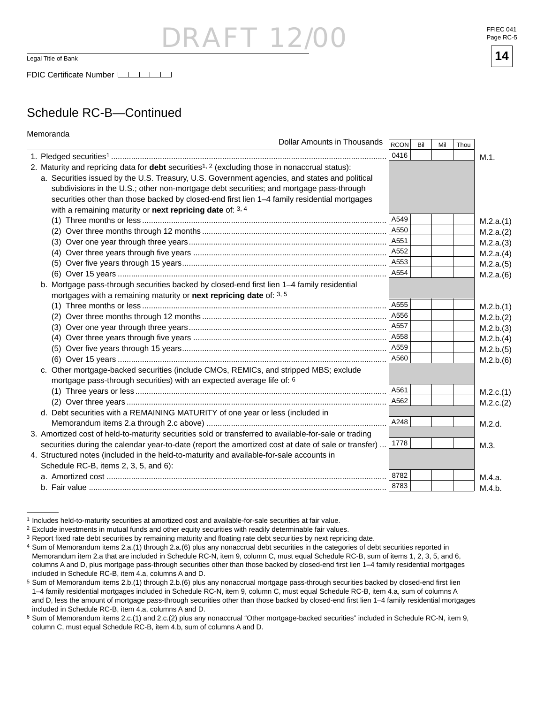$\frac{1}{2}$  Legal Title of Bank **14** 

FDIC Certificate Number LATA

## Schedule RC-B—Continued

| Memoranda                                                                                                         |      |     |     |      |           |
|-------------------------------------------------------------------------------------------------------------------|------|-----|-----|------|-----------|
| <b>Dollar Amounts in Thousands</b>                                                                                | RCON | Bil | Mil | Thou |           |
|                                                                                                                   | 0416 |     |     |      | M.1.      |
| 2. Maturity and repricing data for <b>debt</b> securities <sup>1, 2</sup> (excluding those in nonaccrual status): |      |     |     |      |           |
| a. Securities issued by the U.S. Treasury, U.S. Government agencies, and states and political                     |      |     |     |      |           |
| subdivisions in the U.S.; other non-mortgage debt securities; and mortgage pass-through                           |      |     |     |      |           |
| securities other than those backed by closed-end first lien 1-4 family residential mortgages                      |      |     |     |      |           |
| with a remaining maturity or next repricing date of: 3, 4                                                         |      |     |     |      |           |
|                                                                                                                   | A549 |     |     |      | M.2.a.(1) |
|                                                                                                                   | A550 |     |     |      | M.2.a.(2) |
|                                                                                                                   | A551 |     |     |      | M.2.a.(3) |
|                                                                                                                   | A552 |     |     |      | M.2.a.(4) |
|                                                                                                                   | A553 |     |     |      | M.2.a.(5) |
|                                                                                                                   | A554 |     |     |      | M.2.a.(6) |
| b. Mortgage pass-through securities backed by closed-end first lien 1-4 family residential                        |      |     |     |      |           |
| mortgages with a remaining maturity or next repricing date of: 3, 5                                               |      |     |     |      |           |
|                                                                                                                   | A555 |     |     |      | M.2.b.(1) |
|                                                                                                                   | A556 |     |     |      | M.2.b.(2) |
|                                                                                                                   | A557 |     |     |      | M.2.b.(3) |
|                                                                                                                   | A558 |     |     |      | M.2.b.(4) |
|                                                                                                                   | A559 |     |     |      | M.2.b.(5) |
|                                                                                                                   | A560 |     |     |      | M.2.b.(6) |
| c. Other mortgage-backed securities (include CMOs, REMICs, and stripped MBS; exclude                              |      |     |     |      |           |
| mortgage pass-through securities) with an expected average life of: 6                                             |      |     |     |      |           |
|                                                                                                                   | A561 |     |     |      | M.2.c.(1) |
|                                                                                                                   | A562 |     |     |      | M.2.c.(2) |
| d. Debt securities with a REMAINING MATURITY of one year or less (included in                                     |      |     |     |      |           |
|                                                                                                                   | A248 |     |     |      | M.2.d.    |
| 3. Amortized cost of held-to-maturity securities sold or transferred to available-for-sale or trading             |      |     |     |      |           |
| securities during the calendar year-to-date (report the amortized cost at date of sale or transfer)               | 1778 |     |     |      | M.3.      |
| 4. Structured notes (included in the held-to-maturity and available-for-sale accounts in                          |      |     |     |      |           |
| Schedule RC-B, items 2, 3, 5, and 6):                                                                             |      |     |     |      |           |
|                                                                                                                   | 8782 |     |     |      | M.4.a.    |
|                                                                                                                   | 8783 |     |     |      | M.4.b.    |

<sup>1</sup> Includes held-to-maturity securities at amortized cost and available-for-sale securities at fair value.



<sup>2</sup> Exclude investments in mutual funds and other equity securities with readily determinable fair values.

<sup>&</sup>lt;sup>3</sup> Report fixed rate debt securities by remaining maturity and floating rate debt securities by next repricing date.

<sup>4</sup> Sum of Memorandum items 2.a.(1) through 2.a.(6) plus any nonaccrual debt securities in the categories of debt securities reported in Memorandum item 2.a that are included in Schedule RC-N, item 9, column C, must equal Schedule RC-B, sum of items 1, 2, 3, 5, and 6, columns A and D, plus mortgage pass-through securities other than those backed by closed-end first lien 1-4 family residential mortgages included in Schedule RC-B, item 4.a, columns A and D.

 $5$  Sum of Memorandum items 2.b.(1) through 2.b.(6) plus any nonaccrual mortgage pass-through securities backed by closed-end first lien 1–4 family residential mortgages included in Schedule RC-N, item 9, column C, must equal Schedule RC-B, item 4.a, sum of columns A and D, less the amount of mortgage pass-through securities other than those backed by closed-end first lien 1-4 family residential mortgages included in Schedule RC-B, item 4.a, columns A and D.

<sup>6</sup> Sum of Memorandum items 2.c.(1) and 2.c.(2) plus any nonaccrual "Other mortgage-backed securities" included in Schedule RC-N, item 9, column C, must equal Schedule RC-B, item 4.b, sum of columns A and D.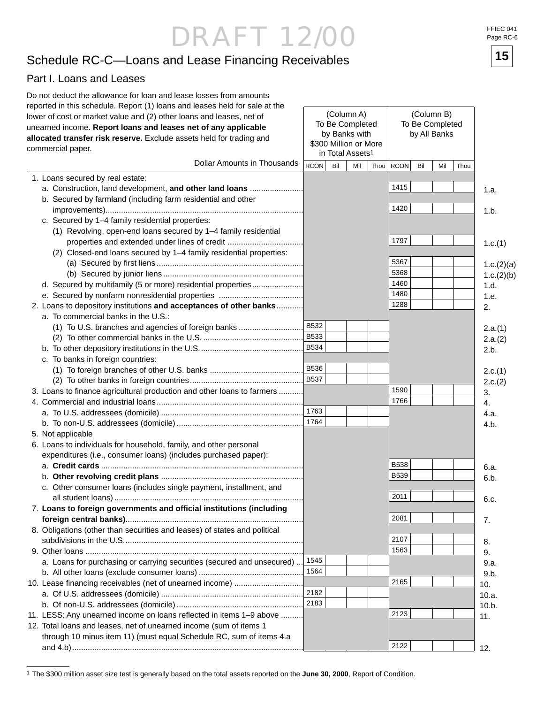## Schedule RC-C—Loans and Lease Financing Receivables **15**

#### Part I. Loans and Leases

| Do not deduct the allowance for loan and lease losses from amounts<br>reported in this schedule. Report (1) loans and leases held for sale at the |      |     |                              |      |             |     |                 |      |            |
|---------------------------------------------------------------------------------------------------------------------------------------------------|------|-----|------------------------------|------|-------------|-----|-----------------|------|------------|
| lower of cost or market value and (2) other loans and leases, net of                                                                              |      |     | (Column A)                   |      | (Column B)  |     |                 |      |            |
| unearned income. Report loans and leases net of any applicable                                                                                    |      |     | To Be Completed              |      |             |     | To Be Completed |      |            |
| allocated transfer risk reserve. Exclude assets held for trading and                                                                              |      |     | by Banks with                |      |             |     | by All Banks    |      |            |
| commercial paper.                                                                                                                                 |      |     | \$300 Million or More        |      |             |     |                 |      |            |
|                                                                                                                                                   |      |     | in Total Assets <sup>1</sup> |      |             |     |                 |      |            |
| Dollar Amounts in Thousands                                                                                                                       | RCON | Bil | Mil                          | Thou | <b>RCON</b> | Bil | Mil             | Thou |            |
| 1. Loans secured by real estate:                                                                                                                  |      |     |                              |      |             |     |                 |      |            |
| a. Construction, land development, and other land loans                                                                                           |      |     |                              |      | 1415        |     |                 |      | 1.a.       |
| b. Secured by farmland (including farm residential and other                                                                                      |      |     |                              |      |             |     |                 |      |            |
|                                                                                                                                                   |      |     |                              |      | 1420        |     |                 |      | 1.b.       |
| c. Secured by 1-4 family residential properties:                                                                                                  |      |     |                              |      |             |     |                 |      |            |
| (1) Revolving, open-end loans secured by 1-4 family residential                                                                                   |      |     |                              |      |             |     |                 |      |            |
| properties and extended under lines of credit                                                                                                     |      |     |                              |      | 1797        |     |                 |      | 1.c.(1)    |
| (2) Closed-end loans secured by 1-4 family residential properties:                                                                                |      |     |                              |      |             |     |                 |      |            |
|                                                                                                                                                   |      |     |                              |      | 5367        |     |                 |      | 1.c.(2)(a) |
|                                                                                                                                                   |      |     |                              |      | 5368        |     |                 |      | 1.c.(2)(b) |
| d. Secured by multifamily (5 or more) residential properties                                                                                      |      |     |                              |      | 1460        |     |                 |      | 1.d.       |
|                                                                                                                                                   |      |     |                              |      | 1480        |     |                 |      | 1.e.       |
| 2. Loans to depository institutions and acceptances of other banks                                                                                |      |     |                              |      | 1288        |     |                 |      | 2.         |
| a. To commercial banks in the U.S.:                                                                                                               |      |     |                              |      |             |     |                 |      |            |
|                                                                                                                                                   |      |     |                              |      |             |     |                 |      | 2.a.(1)    |
|                                                                                                                                                   |      |     |                              |      |             |     |                 |      | 2.a.(2)    |
|                                                                                                                                                   |      |     |                              |      |             |     |                 |      | 2.b.       |
| c. To banks in foreign countries:                                                                                                                 |      |     |                              |      |             |     |                 |      |            |
|                                                                                                                                                   |      |     |                              |      |             |     |                 |      | 2.c.(1)    |
|                                                                                                                                                   |      |     |                              |      |             |     |                 |      | 2.c.(2)    |
| 3. Loans to finance agricultural production and other loans to farmers                                                                            |      |     |                              |      | 1590        |     |                 |      | 3.         |
|                                                                                                                                                   |      |     |                              |      | 1766        |     |                 |      | 4.         |
|                                                                                                                                                   |      |     |                              |      |             |     |                 |      | 4.a.       |
|                                                                                                                                                   |      |     |                              |      |             |     |                 |      | 4.b.       |
| 5. Not applicable                                                                                                                                 |      |     |                              |      |             |     |                 |      |            |
| 6. Loans to individuals for household, family, and other personal                                                                                 |      |     |                              |      |             |     |                 |      |            |
| expenditures (i.e., consumer loans) (includes purchased paper):                                                                                   |      |     |                              |      |             |     |                 |      |            |
|                                                                                                                                                   |      |     |                              |      | <b>B538</b> |     |                 |      | 6.a.       |
|                                                                                                                                                   |      |     |                              |      | <b>B539</b> |     |                 |      | 6.b.       |
| c. Other consumer loans (includes single payment, installment, and                                                                                |      |     |                              |      |             |     |                 |      |            |
|                                                                                                                                                   |      |     |                              |      | 2011        |     |                 |      | 6.c.       |
| 7. Loans to foreign governments and official institutions (including                                                                              |      |     |                              |      |             |     |                 |      |            |
|                                                                                                                                                   |      |     |                              |      | 2081        |     |                 |      | 7.         |
| 8. Obligations (other than securities and leases) of states and political                                                                         |      |     |                              |      |             |     |                 |      |            |
|                                                                                                                                                   |      |     |                              |      | 2107        |     |                 |      | 8.         |
|                                                                                                                                                   |      |     |                              |      | 1563        |     |                 |      | 9.         |
| a. Loans for purchasing or carrying securities (secured and unsecured)  1545                                                                      |      |     |                              |      |             |     |                 |      | 9.a.       |
|                                                                                                                                                   | 1564 |     |                              |      |             |     |                 |      | 9.b.       |
| 10. Lease financing receivables (net of unearned income)                                                                                          |      |     |                              |      | 2165        |     |                 |      | 10.        |
|                                                                                                                                                   | 2182 |     |                              |      |             |     |                 |      | 10.a.      |
|                                                                                                                                                   | 2183 |     |                              |      |             |     |                 |      | 10.b.      |
| 11. LESS: Any unearned income on loans reflected in items 1-9 above                                                                               |      |     |                              |      | 2123        |     |                 |      | 11.        |
| 12. Total loans and leases, net of unearned income (sum of items 1                                                                                |      |     |                              |      |             |     |                 |      |            |
| through 10 minus item 11) (must equal Schedule RC, sum of items 4.a                                                                               |      |     |                              |      |             |     |                 |      |            |
|                                                                                                                                                   |      |     |                              |      | 2122        |     |                 |      | 12.        |



<sup>1</sup> The \$300 million asset size test is generally based on the total assets reported on the **June 30, 2000**, Report of Condition.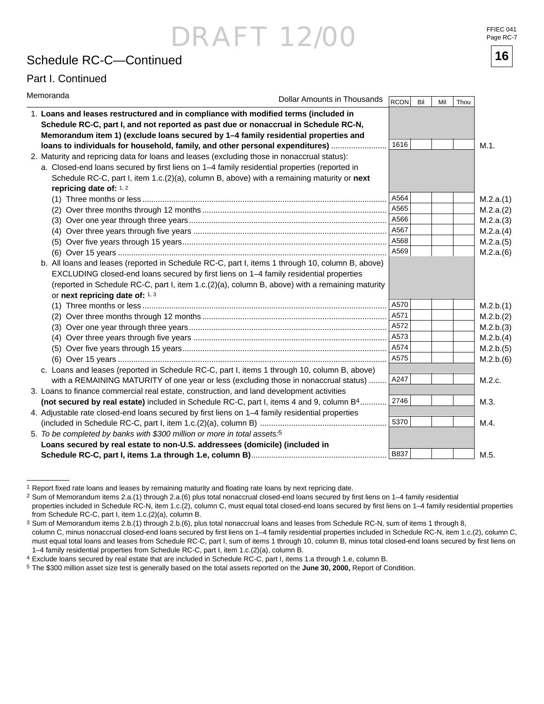## Schedule RC-C—Continued **16**

#### Part I. Continued

| Memoranda                                                                                                                                                                                                                                                                                                                        | Dollar Amounts in Thousands | RCON        | Bil<br>Mil | Thou |           |
|----------------------------------------------------------------------------------------------------------------------------------------------------------------------------------------------------------------------------------------------------------------------------------------------------------------------------------|-----------------------------|-------------|------------|------|-----------|
| 1. Loans and leases restructured and in compliance with modified terms (included in<br>Schedule RC-C, part I, and not reported as past due or nonaccrual in Schedule RC-N,<br>Memorandum item 1) (exclude loans secured by 1-4 family residential properties and                                                                 |                             |             |            |      |           |
| loans to individuals for household, family, and other personal expenditures)                                                                                                                                                                                                                                                     |                             | 1616        |            |      | M.1.      |
| 2. Maturity and repricing data for loans and leases (excluding those in nonaccrual status):                                                                                                                                                                                                                                      |                             |             |            |      |           |
| a. Closed-end loans secured by first liens on 1-4 family residential properties (reported in                                                                                                                                                                                                                                     |                             |             |            |      |           |
| Schedule RC-C, part I, item 1.c.(2)(a), column B, above) with a remaining maturity or next                                                                                                                                                                                                                                       |                             |             |            |      |           |
| repricing date of: 1, 2                                                                                                                                                                                                                                                                                                          |                             |             |            |      |           |
|                                                                                                                                                                                                                                                                                                                                  |                             | A564        |            |      | M.2.a.(1) |
|                                                                                                                                                                                                                                                                                                                                  |                             | A565        |            |      | M.2.a.(2) |
|                                                                                                                                                                                                                                                                                                                                  |                             | A566        |            |      | M.2.a.(3) |
|                                                                                                                                                                                                                                                                                                                                  |                             | A567        |            |      | M.2.a.(4) |
|                                                                                                                                                                                                                                                                                                                                  |                             | A568        |            |      | M.2.a.(5) |
|                                                                                                                                                                                                                                                                                                                                  |                             | A569        |            |      | M.2.a.(6) |
| b. All loans and leases (reported in Schedule RC-C, part I, items 1 through 10, column B, above)<br>EXCLUDING closed-end loans secured by first liens on 1-4 family residential properties<br>(reported in Schedule RC-C, part I, item 1.c.(2)(a), column B, above) with a remaining maturity<br>or next repricing date of: 1, 3 |                             |             |            |      |           |
|                                                                                                                                                                                                                                                                                                                                  |                             | A570        |            |      | M.2.b.(1) |
|                                                                                                                                                                                                                                                                                                                                  |                             | A571        |            |      | M.2.b.(2) |
|                                                                                                                                                                                                                                                                                                                                  |                             | A572        |            |      | M.2.b.(3) |
|                                                                                                                                                                                                                                                                                                                                  |                             | A573        |            |      | M.2.b.(4) |
|                                                                                                                                                                                                                                                                                                                                  |                             | A574        |            |      | M.2.b.(5) |
|                                                                                                                                                                                                                                                                                                                                  |                             | A575        |            |      | M.2.b.(6) |
| c. Loans and leases (reported in Schedule RC-C, part I, items 1 through 10, column B, above)                                                                                                                                                                                                                                     |                             |             |            |      |           |
| with a REMAINING MATURITY of one year or less (excluding those in nonaccrual status)                                                                                                                                                                                                                                             |                             | A247        |            |      | M.2.c.    |
| 3. Loans to finance commercial real estate, construction, and land development activities                                                                                                                                                                                                                                        |                             |             |            |      |           |
| (not secured by real estate) included in Schedule RC-C, part I, items 4 and 9, column B <sup>4</sup>                                                                                                                                                                                                                             |                             | 2746        |            |      | M.3.      |
| 4. Adjustable rate closed-end loans secured by first liens on 1-4 family residential properties                                                                                                                                                                                                                                  |                             |             |            |      |           |
|                                                                                                                                                                                                                                                                                                                                  |                             | 5370        |            |      | M.4.      |
| 5. To be completed by banks with \$300 million or more in total assets. <sup>5</sup>                                                                                                                                                                                                                                             |                             |             |            |      |           |
| Loans secured by real estate to non-U.S. addressees (domicile) (included in                                                                                                                                                                                                                                                      |                             |             |            |      |           |
|                                                                                                                                                                                                                                                                                                                                  |                             | <b>B837</b> |            |      | M.5.      |

<sup>&</sup>lt;sup>1</sup> Report fixed rate loans and leases by remaining maturity and floating rate loans by next repricing date.

1–4 family residential properties from Schedule RC-C, part I, item 1.c.(2)(a), column B.



<sup>2</sup> Sum of Memorandum items 2.a.(1) through 2.a.(6) plus total nonaccrual closed-end loans secured by first liens on 1–4 family residential properties included in Schedule RC-N, item 1.c.(2), column C, must equal total closed-end loans secured by first liens on 1-4 family residential properties from Schedule RC-C, part I, item 1.c.(2)(a), column B.

<sup>3</sup> Sum of Memorandum items 2.b.(1) through 2.b.(6), plus total nonaccrual loans and leases from Schedule RC-N, sum of items 1 through 8, column C, minus nonaccrual closed-end loans secured by first liens on 1-4 family residential properties included in Schedule RC-N, item 1.c.(2), column C, must equal total loans and leases from Schedule RC-C, part I, sum of items 1 through 10, column B, minus total closed-end loans secured by first liens on

<sup>4</sup> Exclude loans secured by real estate that are included in Schedule RC-C, part I, items 1.a through 1.e, column B.

<sup>5</sup> The \$300 million asset size test is generally based on the total assets reported on the **June 30, 2000,** Report of Condition.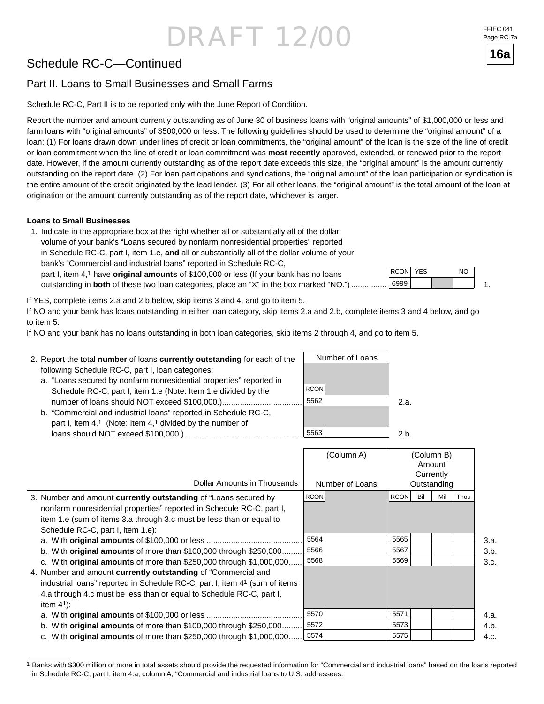## Schedule RC-C—Continued

### Part II. Loans to Small Businesses and Small Farms

Schedule RC-C, Part II is to be reported only with the June Report of Condition.

Report the number and amount currently outstanding as of June 30 of business loans with "original amounts" of \$1,000,000 or less and farm loans with "original amounts" of \$500,000 or less. The following guidelines should be used to determine the "original amount" of a loan: (1) For loans drawn down under lines of credit or loan commitments, the "original amount" of the loan is the size of the line of credit or loan commitment when the line of credit or loan commitment was **most recently** approved, extended, or renewed prior to the report date. However, if the amount currently outstanding as of the report date exceeds this size, the "original amount" is the amount currently outstanding on the report date. (2) For loan participations and syndications, the "original amount" of the loan participation or syndication is the entire amount of the credit originated by the lead lender. (3) For all other loans, the "original amount" is the total amount of the loan at origination or the amount currently outstanding as of the report date, whichever is larger.

#### **Loans to Small Businesses**

 1. Indicate in the appropriate box at the right whether all or substantially all of the dollar volume of your bank's "Loans secured by nonfarm nonresidential properties" reported in Schedule RC-C, part I, item 1.e, **and** all or substantially all of the dollar volume of your bank's "Commercial and industrial loans" reported in Schedule RC-C, part I, item 4,1 have **original amounts** of \$100,000 or less (If your bank has no loans outstanding in **both** of these two loan categories, place an "X" in the box marked "NO.") ................

If YES, complete items 2.a and 2.b below, skip items 3 and 4, and go to item 5.

If NO and your bank has loans outstanding in either loan category, skip items 2.a and 2.b, complete items 3 and 4 below, and go to item 5.

If NO and your bank has no loans outstanding in both loan categories, skip items 2 through 4, and go to item 5.

| 2. Report the total number of loans currently outstanding for each of the | Number of Loans |      |
|---------------------------------------------------------------------------|-----------------|------|
| following Schedule RC-C, part I, loan categories:                         |                 |      |
| a. "Loans secured by nonfarm nonresidential properties" reported in       |                 |      |
| Schedule RC-C, part I, item 1.e (Note: Item 1.e divided by the            | <b>RCON</b>     |      |
|                                                                           | 5562            | 2.а. |
| b. "Commercial and industrial loans" reported in Schedule RC-C,           |                 |      |
| part I, item 4.1 (Note: Item 4,1 divided by the number of                 |                 |      |
|                                                                           | 5563            | 2 h  |

| Dollar Amounts in Thousands                                                | (Column A)<br>Number of Loans | (Column B)<br>Amount<br>Currently<br>Outstanding |      |
|----------------------------------------------------------------------------|-------------------------------|--------------------------------------------------|------|
| 3. Number and amount <b>currently outstanding</b> of "Loans secured by     | <b>RCON</b>                   | <b>RCON</b><br>Bil<br>Mil<br>Thou                |      |
| nonfarm nonresidential properties" reported in Schedule RC-C, part I,      |                               |                                                  |      |
| item 1.e (sum of items 3.a through 3.c must be less than or equal to       |                               |                                                  |      |
| Schedule RC-C, part I, item 1.e):                                          |                               |                                                  |      |
|                                                                            | 5564                          | 5565                                             | 3.a. |
| b. With <b>original amounts</b> of more than $$100,000$ through $$250,000$ | 5566                          | 5567                                             | 3.b. |
| c. With original amounts of more than \$250,000 through \$1,000,000        | 5568                          | 5569                                             | 3.c. |
| 4. Number and amount currently outstanding of "Commercial and              |                               |                                                  |      |
| industrial loans" reported in Schedule RC-C, part I, item 41 (sum of items |                               |                                                  |      |
| 4.a through 4.c must be less than or equal to Schedule RC-C, part I,       |                               |                                                  |      |
| item $41$ :                                                                |                               |                                                  |      |
|                                                                            | 5570                          | 5571                                             | 4.a. |
| b. With <b>original amounts</b> of more than $$100,000$ through $$250,000$ | 5572                          | 5573                                             | 4.b. |
| c. With original amounts of more than $$250,000$ through $$1,000,000$      | 5574                          | 5575                                             | 4.c. |

<sup>&</sup>lt;sup>1</sup> Banks with \$300 million or more in total assets should provide the requested information for "Commercial and industrial loans" based on the loans reported in Schedule RC-C, part I, item 4.a, column A, "Commercial and industrial loans to U.S. addressees.



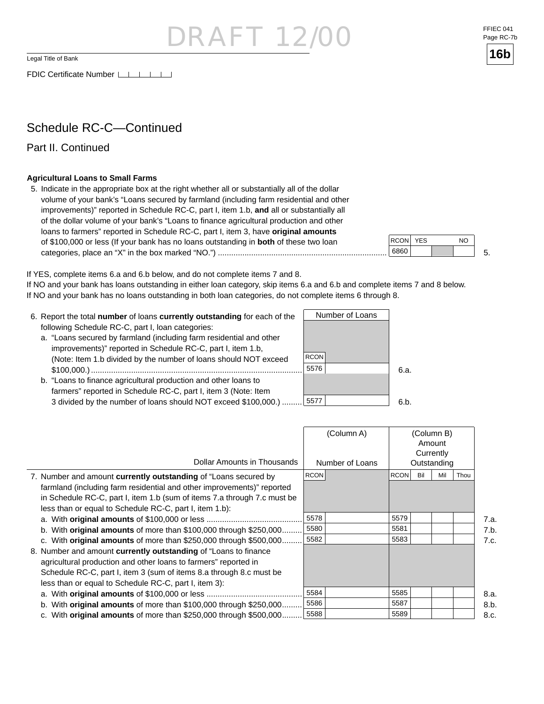RAF 12

Legal Title of Bank

FDIC Certificate Number LILLI

### Schedule RC-C—Continued

Part II. Continued

#### **Agricultural Loans to Small Farms**

 5. Indicate in the appropriate box at the right whether all or substantially all of the dollar volume of your bank's "Loans secured by farmland (including farm residential and other improvements)" reported in Schedule RC-C, part I, item 1.b, **and** all or substantially all of the dollar volume of your bank's "Loans to finance agricultural production and other loans to farmers" reported in Schedule RC-C, part I, item 3, have **original amounts** of \$100,000 or less (If your bank has no loans outstanding in **both** of these two loan categories, place an "X" in the box marked "NO.") ............................................................................

If YES, complete items 6.a and 6.b below, and do not complete items 7 and 8.

If NO and your bank has loans outstanding in either loan category, skip items 6.a and 6.b and complete items 7 and 8 below. If NO and your bank has no loans outstanding in both loan categories, do not complete items 6 through 8.

- 6. Report the total **number** of loans **currently outstanding** for each of the following Schedule RC-C, part I, loan categories: a. "Loans secured by farmland (including farm residential and other improvements)" reported in Schedule RC-C, part I, item 1.b, (Note: Item 1.b divided by the number of loans should NOT exceed
	- \$100,000.) ............................................................................................... b. "Loans to finance agricultural production and other loans to
	- farmers" reported in Schedule RC-C, part I, item 3 (Note: Item 3 divided by the number of loans should NOT exceed \$100,000.) .........

|                                                                          | (Column A)      | (Column B)<br>Amount<br>Currently |      |
|--------------------------------------------------------------------------|-----------------|-----------------------------------|------|
| Dollar Amounts in Thousands                                              | Number of Loans | Outstanding                       |      |
| 7. Number and amount currently outstanding of "Loans secured by          | RCON            | <b>RCON</b><br>Bil<br>Mil<br>Thou |      |
| farmland (including farm residential and other improvements)" reported   |                 |                                   |      |
| in Schedule RC-C, part I, item 1.b (sum of items 7.a through 7.c must be |                 |                                   |      |
| less than or equal to Schedule RC-C, part I, item 1.b):                  |                 |                                   |      |
|                                                                          | 5578            | 5579                              | 7.a. |
| b. With original amounts of more than $$100,000$ through $$250,000$      | 5580            | 5581                              | 7.b. |
| c. With original amounts of more than \$250,000 through \$500,000        | 5582            | 5583                              | 7.c. |
| 8. Number and amount currently outstanding of "Loans to finance          |                 |                                   |      |
| agricultural production and other loans to farmers" reported in          |                 |                                   |      |
| Schedule RC-C, part I, item 3 (sum of items 8.a through 8.c must be      |                 |                                   |      |
| less than or equal to Schedule RC-C, part I, item 3):                    |                 |                                   |      |
|                                                                          | 5584            | 5585                              | 8.a. |
| b. With original amounts of more than $$100,000$ through $$250,000$      | 5586            | 5587                              | 8.b. |
| c. With original amounts of more than \$250,000 through \$500,000.       | 5588            | 5589                              | 8.c. |



FFIEC 041



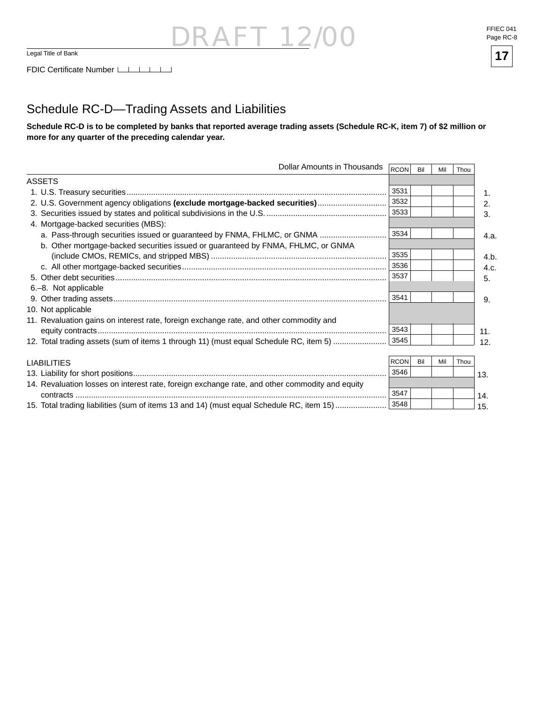

### Schedule RC-D—Trading Assets and Liabilities

**Schedule RC-D is to be completed by banks that reported average trading assets (Schedule RC-K, item 7) of \$2 million or more for any quarter of the preceding calendar year.**

| Dollar Amounts in Thousands                                                                    | RCON        | Bil | Mil | Thou |      |
|------------------------------------------------------------------------------------------------|-------------|-----|-----|------|------|
| <b>ASSETS</b>                                                                                  |             |     |     |      |      |
|                                                                                                | 3531        |     |     |      | 1.   |
| 2. U.S. Government agency obligations (exclude mortgage-backed securities)                     | 3532        |     |     |      | 2.   |
|                                                                                                | 3533        |     |     |      | 3.   |
| 4. Mortgage-backed securities (MBS):                                                           |             |     |     |      |      |
| a. Pass-through securities issued or guaranteed by FNMA, FHLMC, or GNMA                        | 3534        |     |     |      | 4.a. |
| b. Other mortgage-backed securities issued or guaranteed by FNMA, FHLMC, or GNMA               |             |     |     |      |      |
|                                                                                                | 3535        |     |     |      | 4.b. |
|                                                                                                | 3536        |     |     |      | 4.c. |
|                                                                                                | 3537        |     |     |      | 5.   |
| 6.-8. Not applicable                                                                           |             |     |     |      |      |
|                                                                                                | 3541        |     |     |      | 9.   |
| 10. Not applicable                                                                             |             |     |     |      |      |
| 11. Revaluation gains on interest rate, foreign exchange rate, and other commodity and         |             |     |     |      |      |
|                                                                                                | 3543        |     |     |      | 11.  |
| 12. Total trading assets (sum of items 1 through 11) (must equal Schedule RC, item 5)          | 3545        |     |     |      | 12.  |
|                                                                                                |             |     |     |      |      |
| <b>LIABILITIES</b>                                                                             | <b>RCON</b> | Bil | Mil | Thou |      |
|                                                                                                | 3546        |     |     |      | 13.  |
| 14. Revaluation losses on interest rate, foreign exchange rate, and other commodity and equity |             |     |     |      |      |
|                                                                                                | 3547        |     |     |      | 14.  |
| 15. Total trading liabilities (sum of items 13 and 14) (must equal Schedule RC, item 15)       | 3548        |     |     |      | 15.  |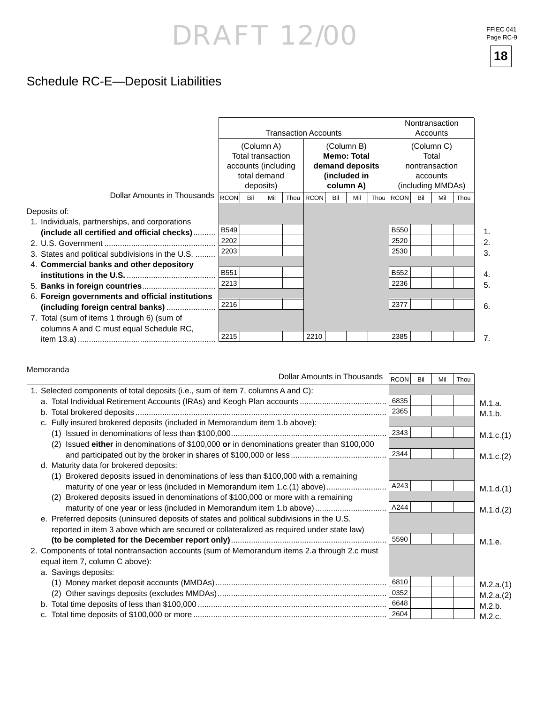## Schedule RC-E—Deposit Liabilities

|                                                                                                                                                                                                               |                                                                                            |     |     |                                                                                  | <b>Transaction Accounts</b> |     |     |                                                                        | Nontransaction<br>Accounts                         |     |     |      |  |  |
|---------------------------------------------------------------------------------------------------------------------------------------------------------------------------------------------------------------|--------------------------------------------------------------------------------------------|-----|-----|----------------------------------------------------------------------------------|-----------------------------|-----|-----|------------------------------------------------------------------------|----------------------------------------------------|-----|-----|------|--|--|
|                                                                                                                                                                                                               | (Column A)<br><b>Total transaction</b><br>accounts (including<br>total demand<br>deposits) |     |     | (Column B)<br><b>Memo: Total</b><br>demand deposits<br>(included in<br>column A) |                             |     |     | (Column C)<br>Total<br>nontransaction<br>accounts<br>(including MMDAs) |                                                    |     |     |      |  |  |
| Dollar Amounts in Thousands                                                                                                                                                                                   | <b>RCON</b>                                                                                | Bil | Mil |                                                                                  | Thou RCON                   | Bil | Mil | Thou                                                                   | <b>RCON</b>                                        | Bil | Mil | Thou |  |  |
| Deposits of:<br>1. Individuals, partnerships, and corporations<br>(include all certified and official checks)<br>3. States and political subdivisions in the U.S.<br>4. Commercial banks and other depository | <b>B549</b><br>2202<br>2203<br>B551<br>2213                                                |     |     |                                                                                  |                             |     |     |                                                                        | <b>B550</b><br>2520<br>2530<br><b>B552</b><br>2236 |     |     |      |  |  |
| 6. Foreign governments and official institutions<br>(including foreign central banks)<br>7. Total (sum of items 1 through 6) (sum of<br>columns A and C must equal Schedule RC,                               | 2216<br>2215                                                                               |     |     |                                                                                  | 2210                        |     |     |                                                                        | 2377<br>2385                                       |     |     |      |  |  |

#### Memoranda

| Dollar Amounts in Thousands                                                                   | RCON | Bil | Mil | Thou |           |
|-----------------------------------------------------------------------------------------------|------|-----|-----|------|-----------|
| 1. Selected components of total deposits (i.e., sum of item 7, columns A and C):              |      |     |     |      |           |
|                                                                                               | 6835 |     |     |      | M.1.a.    |
|                                                                                               | 2365 |     |     |      | M.1.b.    |
| c. Fully insured brokered deposits (included in Memorandum item 1.b above):                   |      |     |     |      |           |
|                                                                                               | 2343 |     |     |      | M.1.c.(1) |
| Issued either in denominations of \$100,000 or in denominations greater than \$100,000<br>(2) |      |     |     |      |           |
|                                                                                               | 2344 |     |     |      | M.1.c.(2) |
| d. Maturity data for brokered deposits:                                                       |      |     |     |      |           |
| (1) Brokered deposits issued in denominations of less than \$100,000 with a remaining         |      |     |     |      |           |
| maturity of one year or less (included in Memorandum item 1.c.(1) above)                      | A243 |     |     |      | M.1.d.(1) |
| (2) Brokered deposits issued in denominations of \$100,000 or more with a remaining           |      |     |     |      |           |
| maturity of one year or less (included in Memorandum item 1.b above)                          | A244 |     |     |      | M.1.d.(2) |
| e. Preferred deposits (uninsured deposits of states and political subdivisions in the U.S.    |      |     |     |      |           |
| reported in item 3 above which are secured or collateralized as required under state law)     |      |     |     |      |           |
|                                                                                               | 5590 |     |     |      | M.1.e.    |
| 2. Components of total nontransaction accounts (sum of Memorandum items 2.a through 2.c must  |      |     |     |      |           |
| equal item 7, column C above):                                                                |      |     |     |      |           |
| a. Savings deposits:                                                                          |      |     |     |      |           |
|                                                                                               | 6810 |     |     |      | M.2.a.(1) |
| (2)                                                                                           | 0352 |     |     |      | M.2.a.(2) |
|                                                                                               |      |     |     |      | M.2.b.    |
|                                                                                               |      |     |     |      | M.2.c.    |

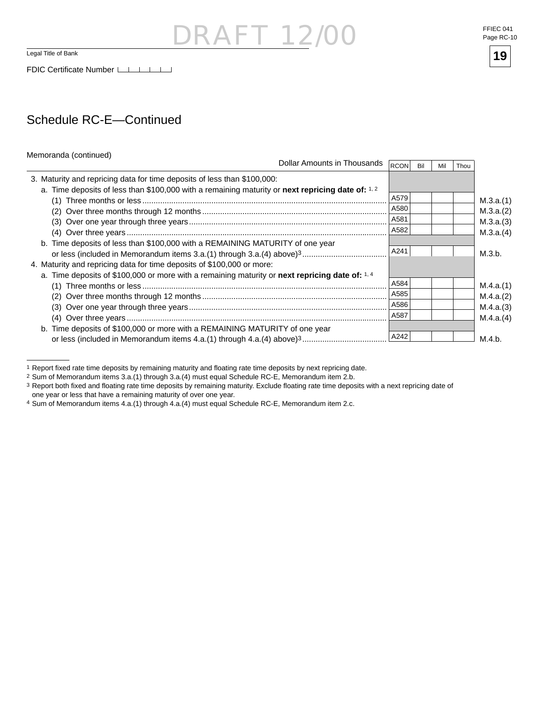#### FFIEC 041 Page RC-10



### Schedule RC-E—Continued

| Memoranda (continued) |  |
|-----------------------|--|
|-----------------------|--|

| <b>IVICITIVIATIVA (COTILITUCU)</b><br>Dollar Amounts in Thousands                                 | <b>RCON</b> | Bil | Mil | Thou |
|---------------------------------------------------------------------------------------------------|-------------|-----|-----|------|
| 3. Maturity and repricing data for time deposits of less than \$100,000:                          |             |     |     |      |
| a. Time deposits of less than \$100,000 with a remaining maturity or next repricing date of: 1, 2 |             |     |     |      |
|                                                                                                   | A579        |     |     |      |
|                                                                                                   | A580        |     |     |      |
|                                                                                                   | A581        |     |     |      |
|                                                                                                   | A582        |     |     |      |
| b. Time deposits of less than \$100,000 with a REMAINING MATURITY of one year                     |             |     |     |      |
|                                                                                                   | A241        |     |     |      |
| 4. Maturity and repricing data for time deposits of \$100,000 or more:                            |             |     |     |      |
| a. Time deposits of \$100,000 or more with a remaining maturity or next repricing date of: 1, 4   |             |     |     |      |
|                                                                                                   | A584        |     |     |      |
|                                                                                                   | A585        |     |     |      |
|                                                                                                   | A586        |     |     |      |
|                                                                                                   | A587        |     |     |      |
| b. Time deposits of \$100,000 or more with a REMAINING MATURITY of one year                       |             |     |     |      |
|                                                                                                   | A242        |     |     |      |

**RAFT 12/** 

4 Sum of Memorandum items 4.a.(1) through 4.a.(4) must equal Schedule RC-E, Memorandum item 2.c.

<sup>1</sup> Report fixed rate time deposits by remaining maturity and floating rate time deposits by next repricing date.

<sup>2</sup> Sum of Memorandum items 3.a.(1) through 3.a.(4) must equal Schedule RC-E, Memorandum item 2.b.

<sup>3</sup> Report both fixed and floating rate time deposits by remaining maturity. Exclude floating rate time deposits with a next repricing date of one year or less that have a remaining maturity of over one year.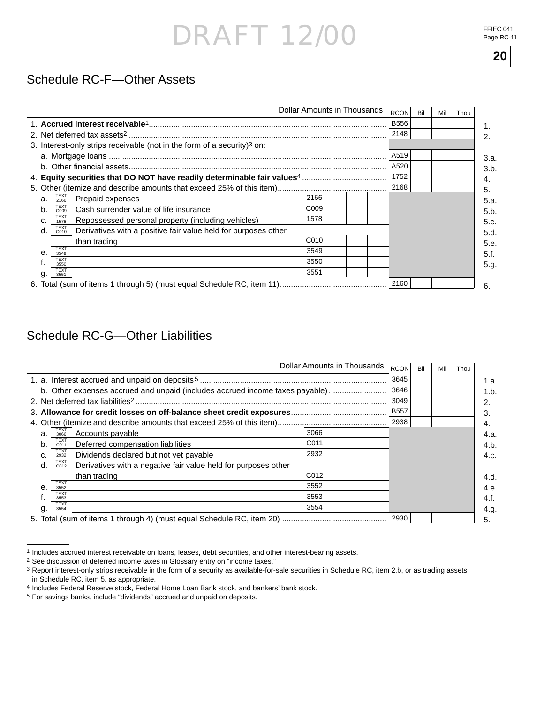FFIEC 041 Page RC-11

**20**

### Schedule RC-F—Other Assets

| Dollar Amounts in Thousands<br><b>RCON</b> |                                                                                       |                  |  |             |  | Mil | Thou |
|--------------------------------------------|---------------------------------------------------------------------------------------|------------------|--|-------------|--|-----|------|
|                                            |                                                                                       |                  |  | <b>B556</b> |  |     |      |
|                                            |                                                                                       |                  |  | 2148        |  |     |      |
|                                            | 3. Interest-only strips receivable (not in the form of a security) <sup>3</sup> on:   |                  |  |             |  |     |      |
|                                            |                                                                                       |                  |  | A519        |  |     |      |
|                                            |                                                                                       |                  |  |             |  |     |      |
|                                            |                                                                                       |                  |  | 1752        |  |     |      |
|                                            |                                                                                       |                  |  |             |  |     |      |
| a.                                         | TEXT<br>2166<br>Prepaid expenses                                                      | 2166             |  |             |  |     |      |
| b.                                         | <b>TEXT</b><br>Cash surrender value of life insurance<br>C009                         | C <sub>009</sub> |  |             |  |     |      |
| c.                                         | <b>TEXT</b><br>Repossessed personal property (including vehicles)<br>1578             | 1578             |  |             |  |     |      |
| d.                                         | <b>TEXT</b><br>Derivatives with a positive fair value held for purposes other<br>C010 |                  |  |             |  |     |      |
|                                            | than trading                                                                          | C <sub>010</sub> |  |             |  |     |      |
| $\mathbf{e}$                               | <b>TEXT</b><br>3549                                                                   | 3549             |  |             |  |     |      |
|                                            | <b>TEXT</b><br>3550                                                                   | 3550             |  |             |  |     |      |
| g.                                         | <b>TEXT</b><br>3551                                                                   | 3551             |  |             |  |     |      |
|                                            |                                                                                       |                  |  | 2160        |  |     |      |

### Schedule RC-G—Other Liabilities

|                                                                                      | Dollar Amounts in Thousands | RCON        | Bil | Mil | Thou |
|--------------------------------------------------------------------------------------|-----------------------------|-------------|-----|-----|------|
|                                                                                      |                             | 3645        |     |     |      |
| b. Other expenses accrued and unpaid (includes accrued income taxes payable)         |                             | 3646        |     |     |      |
|                                                                                      |                             | 3049        |     |     |      |
|                                                                                      |                             | <b>B557</b> |     |     |      |
|                                                                                      |                             | 2938        |     |     |      |
| <b>TEXT</b><br>Accounts payable<br>a.<br>3066                                        | 3066                        |             |     |     |      |
| <b>TEXT</b><br>Deferred compensation liabilities<br>b.<br>C011                       | C <sub>011</sub>            |             |     |     |      |
| <b>TEXT</b><br>Dividends declared but not yet payable<br>C.<br>2932                  | 2932                        |             |     |     |      |
| TEXT<br>C012<br>Derivatives with a negative fair value held for purposes other<br>d. |                             |             |     |     |      |
| than trading                                                                         | C012                        |             |     |     |      |
| <b>TEXT</b><br>$\theta$<br>3552                                                      | 3552                        |             |     |     |      |
| <b>TEXT</b><br>3553                                                                  | 3553                        |             |     |     |      |
| <b>TEXT</b><br>3554                                                                  | 3554                        |             |     |     |      |
|                                                                                      |                             | 2930        |     |     |      |

<sup>1</sup> Includes accrued interest receivable on loans, leases, debt securities, and other interest-bearing assets.

<sup>2</sup> See discussion of deferred income taxes in Glossary entry on "income taxes."

<sup>3</sup> Report interest-only strips receivable in the form of a security as available-for-sale securities in Schedule RC, item 2.b, or as trading assets in Schedule RC, item 5, as appropriate.

<sup>4</sup> Includes Federal Reserve stock, Federal Home Loan Bank stock, and bankers' bank stock.

<sup>5</sup> For savings banks, include "dividends" accrued and unpaid on deposits.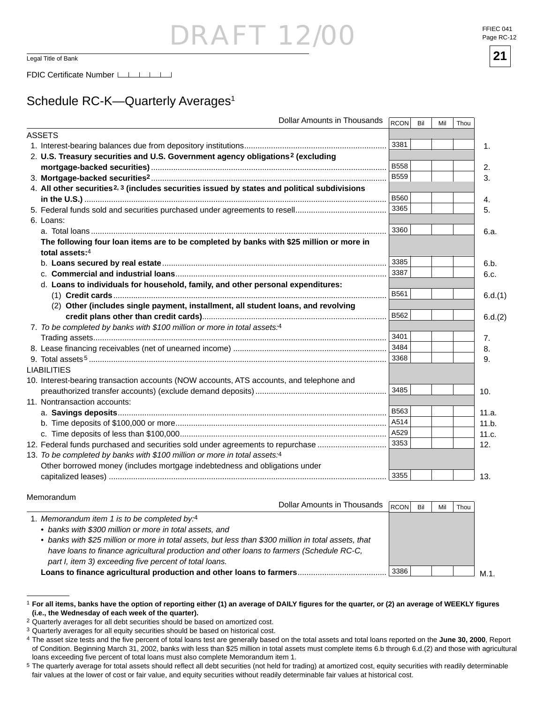$\frac{1}{21}$  Legal Title of Bank **21** 

### Schedule RC-K-Quarterly Averages<sup>1</sup>

| <b>ASSETS</b><br>3381<br>1.<br>2. U.S. Treasury securities and U.S. Government agency obligations <sup>2</sup> (excluding<br><b>B558</b><br>2.<br><b>B559</b><br>3.<br>4. All other securities <sup>2, 3</sup> (includes securities issued by states and political subdivisions<br><b>B560</b><br>4.<br>3365<br>5.<br>6. Loans:<br>3360<br>6.a.<br>The following four loan items are to be completed by banks with \$25 million or more in<br>total assets:4<br>3385<br>6.b.<br>3387<br>6.c.<br>d. Loans to individuals for household, family, and other personal expenditures:<br><b>B561</b><br>(2) Other (includes single payment, installment, all student loans, and revolving<br>B562<br>7. To be completed by banks with \$100 million or more in total assets:4<br>3401<br>7.<br>3484<br>8.<br>3368<br>9.<br><b>LIABILITIES</b><br>10. Interest-bearing transaction accounts (NOW accounts, ATS accounts, and telephone and | Dollar Amounts in Thousands<br>RCON<br>Bil<br>Mil<br>Thou |
|-------------------------------------------------------------------------------------------------------------------------------------------------------------------------------------------------------------------------------------------------------------------------------------------------------------------------------------------------------------------------------------------------------------------------------------------------------------------------------------------------------------------------------------------------------------------------------------------------------------------------------------------------------------------------------------------------------------------------------------------------------------------------------------------------------------------------------------------------------------------------------------------------------------------------------------|-----------------------------------------------------------|
|                                                                                                                                                                                                                                                                                                                                                                                                                                                                                                                                                                                                                                                                                                                                                                                                                                                                                                                                     |                                                           |
|                                                                                                                                                                                                                                                                                                                                                                                                                                                                                                                                                                                                                                                                                                                                                                                                                                                                                                                                     |                                                           |
|                                                                                                                                                                                                                                                                                                                                                                                                                                                                                                                                                                                                                                                                                                                                                                                                                                                                                                                                     |                                                           |
|                                                                                                                                                                                                                                                                                                                                                                                                                                                                                                                                                                                                                                                                                                                                                                                                                                                                                                                                     |                                                           |
|                                                                                                                                                                                                                                                                                                                                                                                                                                                                                                                                                                                                                                                                                                                                                                                                                                                                                                                                     |                                                           |
|                                                                                                                                                                                                                                                                                                                                                                                                                                                                                                                                                                                                                                                                                                                                                                                                                                                                                                                                     |                                                           |
|                                                                                                                                                                                                                                                                                                                                                                                                                                                                                                                                                                                                                                                                                                                                                                                                                                                                                                                                     |                                                           |
|                                                                                                                                                                                                                                                                                                                                                                                                                                                                                                                                                                                                                                                                                                                                                                                                                                                                                                                                     |                                                           |
|                                                                                                                                                                                                                                                                                                                                                                                                                                                                                                                                                                                                                                                                                                                                                                                                                                                                                                                                     |                                                           |
|                                                                                                                                                                                                                                                                                                                                                                                                                                                                                                                                                                                                                                                                                                                                                                                                                                                                                                                                     |                                                           |
|                                                                                                                                                                                                                                                                                                                                                                                                                                                                                                                                                                                                                                                                                                                                                                                                                                                                                                                                     |                                                           |
|                                                                                                                                                                                                                                                                                                                                                                                                                                                                                                                                                                                                                                                                                                                                                                                                                                                                                                                                     |                                                           |
|                                                                                                                                                                                                                                                                                                                                                                                                                                                                                                                                                                                                                                                                                                                                                                                                                                                                                                                                     |                                                           |
|                                                                                                                                                                                                                                                                                                                                                                                                                                                                                                                                                                                                                                                                                                                                                                                                                                                                                                                                     |                                                           |
|                                                                                                                                                                                                                                                                                                                                                                                                                                                                                                                                                                                                                                                                                                                                                                                                                                                                                                                                     |                                                           |
|                                                                                                                                                                                                                                                                                                                                                                                                                                                                                                                                                                                                                                                                                                                                                                                                                                                                                                                                     | 6.d.(1)                                                   |
|                                                                                                                                                                                                                                                                                                                                                                                                                                                                                                                                                                                                                                                                                                                                                                                                                                                                                                                                     |                                                           |
|                                                                                                                                                                                                                                                                                                                                                                                                                                                                                                                                                                                                                                                                                                                                                                                                                                                                                                                                     | 6.d.(2)                                                   |
|                                                                                                                                                                                                                                                                                                                                                                                                                                                                                                                                                                                                                                                                                                                                                                                                                                                                                                                                     |                                                           |
|                                                                                                                                                                                                                                                                                                                                                                                                                                                                                                                                                                                                                                                                                                                                                                                                                                                                                                                                     |                                                           |
|                                                                                                                                                                                                                                                                                                                                                                                                                                                                                                                                                                                                                                                                                                                                                                                                                                                                                                                                     |                                                           |
|                                                                                                                                                                                                                                                                                                                                                                                                                                                                                                                                                                                                                                                                                                                                                                                                                                                                                                                                     |                                                           |
|                                                                                                                                                                                                                                                                                                                                                                                                                                                                                                                                                                                                                                                                                                                                                                                                                                                                                                                                     |                                                           |
|                                                                                                                                                                                                                                                                                                                                                                                                                                                                                                                                                                                                                                                                                                                                                                                                                                                                                                                                     |                                                           |
| 10.                                                                                                                                                                                                                                                                                                                                                                                                                                                                                                                                                                                                                                                                                                                                                                                                                                                                                                                                 | 3485                                                      |
| 11. Nontransaction accounts:                                                                                                                                                                                                                                                                                                                                                                                                                                                                                                                                                                                                                                                                                                                                                                                                                                                                                                        |                                                           |
| <b>B563</b><br>11.a.                                                                                                                                                                                                                                                                                                                                                                                                                                                                                                                                                                                                                                                                                                                                                                                                                                                                                                                |                                                           |
| A514<br>11.b.                                                                                                                                                                                                                                                                                                                                                                                                                                                                                                                                                                                                                                                                                                                                                                                                                                                                                                                       |                                                           |
| A529<br>11.c.                                                                                                                                                                                                                                                                                                                                                                                                                                                                                                                                                                                                                                                                                                                                                                                                                                                                                                                       |                                                           |
| 3353<br>12. Federal funds purchased and securities sold under agreements to repurchase<br>12.                                                                                                                                                                                                                                                                                                                                                                                                                                                                                                                                                                                                                                                                                                                                                                                                                                       |                                                           |
| 13. To be completed by banks with \$100 million or more in total assets:4                                                                                                                                                                                                                                                                                                                                                                                                                                                                                                                                                                                                                                                                                                                                                                                                                                                           |                                                           |
| Other borrowed money (includes mortgage indebtedness and obligations under                                                                                                                                                                                                                                                                                                                                                                                                                                                                                                                                                                                                                                                                                                                                                                                                                                                          |                                                           |
| 3355<br>13.                                                                                                                                                                                                                                                                                                                                                                                                                                                                                                                                                                                                                                                                                                                                                                                                                                                                                                                         |                                                           |

#### Memorandum

 $\overline{a}$ 

| Dollar Amounts in Thousands                                                                          | <b>RCON</b> | Bil | Mil | Thou |     |
|------------------------------------------------------------------------------------------------------|-------------|-----|-----|------|-----|
| 1. Memorandum item 1 is to be completed by:4                                                         |             |     |     |      |     |
| • banks with \$300 million or more in total assets, and                                              |             |     |     |      |     |
| • banks with \$25 million or more in total assets, but less than \$300 million in total assets, that |             |     |     |      |     |
| have loans to finance agricultural production and other loans to farmers (Schedule RC-C,             |             |     |     |      |     |
| part I, item 3) exceeding five percent of total loans.                                               |             |     |     |      |     |
|                                                                                                      | 3386        |     |     |      | M 1 |



<sup>1</sup> **For all items, banks have the option of reporting either (1) an average of DAILY fi gures for the quarter, or (2) an average of WEEKLY fi gures (i.e., the Wednesday of each week of the quarter).**

<sup>2</sup> Quarterly averages for all debt securities should be based on amortized cost.

<sup>&</sup>lt;sup>3</sup> Quarterly averages for all equity securities should be based on historical cost.

<sup>&</sup>lt;sup>4</sup> The asset size tests and the five percent of total loans test are generally based on the total assets and total loans reported on the June 30, 2000, Report of Condition. Beginning March 31, 2002, banks with less than \$25 million in total assets must complete items 6.b through 6.d.(2) and those with agricultural loans exceeding five percent of total loans must also complete Memorandum item 1.

<sup>&</sup>lt;sup>5</sup> The quarterly average for total assets should reflect all debt securities (not held for trading) at amortized cost, equity securities with readily determinable fair values at the lower of cost or fair value, and equity securities without readily determinable fair values at historical cost.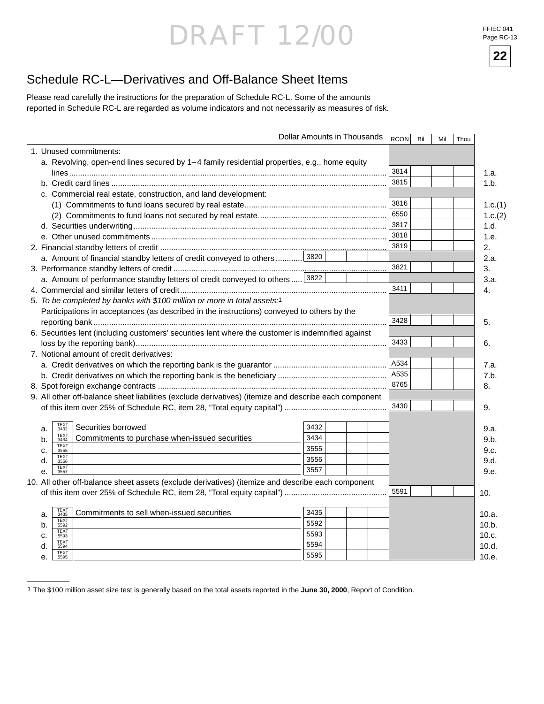FFIEC 041 Page RC-13

**22**

### Schedule RC-L—Derivatives and Off-Balance Sheet Items

Please read carefully the instructions for the preparation of Schedule RC-L. Some of the amounts reported in Schedule RC-L are regarded as volume indicators and not necessarily as measures of risk.

|                                                                                                       | Dollar Amounts in Thousands | <b>RCON</b> | Bil | Mil | Thou |         |
|-------------------------------------------------------------------------------------------------------|-----------------------------|-------------|-----|-----|------|---------|
| 1. Unused commitments:                                                                                |                             |             |     |     |      |         |
| a. Revolving, open-end lines secured by 1–4 family residential properties, e.g., home equity          |                             |             |     |     |      |         |
|                                                                                                       |                             | 3814        |     |     |      | 1.a.    |
|                                                                                                       |                             | 3815        |     |     |      | 1.b.    |
| c. Commercial real estate, construction, and land development:                                        |                             |             |     |     |      |         |
|                                                                                                       |                             | 3816        |     |     |      | 1.c.(1) |
|                                                                                                       |                             | 6550        |     |     |      | 1.c.(2) |
|                                                                                                       |                             | 3817        |     |     |      | 1.d.    |
|                                                                                                       |                             | 3818        |     |     |      | 1.e.    |
|                                                                                                       |                             | 3819        |     |     |      | 2.      |
| a. Amount of financial standby letters of credit conveyed to others  3820                             |                             |             |     |     |      | 2.a.    |
|                                                                                                       |                             | 3821        |     |     |      | 3.      |
| a. Amount of performance standby letters of credit conveyed to others                                 | 3822                        |             |     |     |      | 3.a.    |
|                                                                                                       |                             | 3411        |     |     |      | 4.      |
| 5. To be completed by banks with \$100 million or more in total assets:1                              |                             |             |     |     |      |         |
| Participations in acceptances (as described in the instructions) conveyed to others by the            |                             |             |     |     |      |         |
|                                                                                                       |                             | 3428        |     |     |      | 5.      |
| 6. Securities lent (including customers' securities lent where the customer is indemnified against    |                             |             |     |     |      |         |
|                                                                                                       |                             | 3433        |     |     |      | 6.      |
| 7. Notional amount of credit derivatives:                                                             |                             |             |     |     |      |         |
|                                                                                                       |                             | A534        |     |     |      | 7.a.    |
|                                                                                                       |                             | A535        |     |     |      | 7.b.    |
|                                                                                                       |                             | 8765        |     |     |      | 8.      |
| 9. All other off-balance sheet liabilities (exclude derivatives) (itemize and describe each component |                             |             |     |     |      |         |
|                                                                                                       |                             | 3430        |     |     |      | 9.      |
|                                                                                                       |                             |             |     |     |      |         |
| <b>TEXT</b><br>3432<br>Securities borrowed<br>a.                                                      | 3432                        |             |     |     |      | 9.a.    |
| <b>TEXT</b><br>Commitments to purchase when-issued securities<br>b.<br>3434                           | 3434                        |             |     |     |      | 9.b.    |
| TEXT<br>3555<br>c.<br><b>TEXT</b>                                                                     | 3555                        |             |     |     |      | 9.c.    |
| d.<br>3556                                                                                            | 3556                        |             |     |     |      | 9.d.    |
| TEXT<br>3557<br>$\mathbf{e}$                                                                          | 3557                        |             |     |     |      | 9.e.    |
| 10. All other off-balance sheet assets (exclude derivatives) (itemize and describe each component     |                             |             |     |     |      |         |
|                                                                                                       |                             | 5591        |     |     |      | 10.     |
|                                                                                                       |                             |             |     |     |      |         |
| TEXT<br>3435<br>Commitments to sell when-issued securities<br>a.<br><b>TEXT</b>                       | 3435                        |             |     |     |      | 10.a.   |
| b.<br>5592<br><b>TEXT</b>                                                                             | 5592                        |             |     |     |      | 10.b.   |
| c.<br>5593                                                                                            | 5593                        |             |     |     |      | 10.c.   |
| <b>TEXT</b><br>d.<br>5594                                                                             | 5594                        |             |     |     |      | 10.d.   |
| TEXT<br>5595<br>е.                                                                                    | 5595                        |             |     |     |      | 10.e.   |

<sup>1</sup> The \$100 million asset size test is generally based on the total assets reported in the **June 30, 2000**, Report of Condition.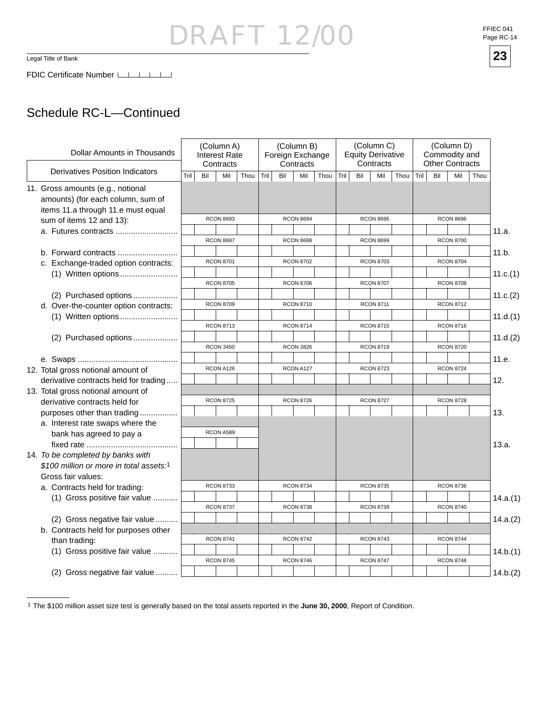### Schedule RC-L—Continued

| Dollar Amounts in Thousands                                                                                  |      |     | (Column A)<br>Interest Rate<br>Contracts |      |      |     | (Column B)<br>Foreign Exchange<br>Contracts |      |      | (Column C)<br>(Column D)<br>Commodity and<br><b>Equity Derivative</b><br>Contracts<br><b>Other Contracts</b> |                  |      |      |                  |                  |      |          |
|--------------------------------------------------------------------------------------------------------------|------|-----|------------------------------------------|------|------|-----|---------------------------------------------|------|------|--------------------------------------------------------------------------------------------------------------|------------------|------|------|------------------|------------------|------|----------|
| <b>Derivatives Position Indicators</b>                                                                       | Tril | Bil | Mil                                      | Thou | Tril | Bil | Mil                                         | Thou | Tril | Bil                                                                                                          | Mil              | Thou | Tril | Bil              | Mil              | Thou |          |
| 11. Gross amounts (e.g., notional<br>amounts) (for each column, sum of<br>items 11.a through 11.e must equal |      |     |                                          |      |      |     |                                             |      |      |                                                                                                              |                  |      |      |                  |                  |      |          |
| sum of items 12 and 13):                                                                                     |      |     | <b>RCON 8693</b>                         |      |      |     | <b>RCON 8694</b>                            |      |      |                                                                                                              | <b>RCON 8695</b> |      |      |                  | <b>RCON 8696</b> |      |          |
|                                                                                                              |      |     |                                          |      |      |     |                                             |      |      |                                                                                                              |                  |      |      |                  |                  |      | 11.a.    |
|                                                                                                              |      |     | <b>RCON 8697</b>                         |      |      |     | <b>RCON 8698</b>                            |      |      |                                                                                                              | <b>RCON 8699</b> |      |      |                  | <b>RCON 8700</b> |      |          |
| b. Forward contracts                                                                                         |      |     |                                          |      |      |     |                                             |      |      |                                                                                                              |                  |      |      |                  |                  |      | 11.b.    |
| c. Exchange-traded option contracts:                                                                         |      |     | <b>RCON 8701</b>                         |      |      |     | <b>RCON 8702</b>                            |      |      |                                                                                                              | <b>RCON 8703</b> |      |      |                  | <b>RCON 8704</b> |      |          |
|                                                                                                              |      |     |                                          |      |      |     |                                             |      |      |                                                                                                              |                  |      |      |                  |                  |      | 11.c.(1) |
|                                                                                                              |      |     | <b>RCON 8705</b>                         |      |      |     | <b>RCON 8706</b>                            |      |      |                                                                                                              | <b>RCON 8707</b> |      |      |                  | <b>RCON 8708</b> |      |          |
| (2) Purchased options                                                                                        |      |     |                                          |      |      |     |                                             |      |      |                                                                                                              |                  |      |      |                  |                  |      | 11.c.(2) |
| d. Over-the-counter option contracts:                                                                        |      |     | <b>RCON 8709</b>                         |      |      |     | <b>RCON 8710</b>                            |      |      |                                                                                                              | <b>RCON 8711</b> |      |      |                  | <b>RCON 8712</b> |      |          |
| (1) Written options                                                                                          |      |     |                                          |      |      |     |                                             |      |      |                                                                                                              |                  |      |      |                  |                  |      | 11.d.(1) |
|                                                                                                              |      |     | <b>RCON 8713</b>                         |      |      |     | <b>RCON 8714</b>                            |      |      | <b>RCON 8715</b>                                                                                             |                  |      |      | <b>RCON 8716</b> |                  |      |          |
| (2) Purchased options                                                                                        |      |     |                                          |      |      |     |                                             |      |      |                                                                                                              |                  |      |      |                  |                  |      | 11.d.(2) |
|                                                                                                              |      |     | <b>RCON 3450</b>                         |      |      |     | <b>RCON 3826</b>                            |      |      |                                                                                                              | <b>RCON 8719</b> |      |      |                  | <b>RCON 8720</b> |      |          |
|                                                                                                              |      |     |                                          |      |      |     |                                             |      |      |                                                                                                              |                  |      |      |                  |                  |      | 11.e.    |
| 12. Total gross notional amount of                                                                           |      |     | RCON A126                                |      |      |     | RCON A127                                   |      |      |                                                                                                              | <b>RCON 8723</b> |      |      |                  | <b>RCON 8724</b> |      |          |
| derivative contracts held for trading                                                                        |      |     |                                          |      |      |     |                                             |      |      |                                                                                                              |                  |      |      |                  |                  |      | 12.      |
| 13. Total gross notional amount of                                                                           |      |     |                                          |      |      |     |                                             |      |      |                                                                                                              |                  |      |      |                  |                  |      |          |
| derivative contracts held for                                                                                |      |     | <b>RCON 8725</b>                         |      |      |     | <b>RCON 8726</b>                            |      |      |                                                                                                              | <b>RCON 8727</b> |      |      |                  | <b>RCON 8728</b> |      |          |
| purposes other than trading                                                                                  |      |     |                                          |      |      |     |                                             |      |      |                                                                                                              |                  |      |      |                  |                  |      | 13.      |
| a. Interest rate swaps where the                                                                             |      |     |                                          |      |      |     |                                             |      |      |                                                                                                              |                  |      |      |                  |                  |      |          |
| bank has agreed to pay a                                                                                     |      |     | RCON A589                                |      |      |     |                                             |      |      |                                                                                                              |                  |      |      |                  |                  |      |          |
|                                                                                                              |      |     |                                          |      |      |     |                                             |      |      |                                                                                                              |                  |      |      |                  |                  |      | 13.a.    |
| 14. To be completed by banks with                                                                            |      |     |                                          |      |      |     |                                             |      |      |                                                                                                              |                  |      |      |                  |                  |      |          |
| \$100 million or more in total assets:1                                                                      |      |     |                                          |      |      |     |                                             |      |      |                                                                                                              |                  |      |      |                  |                  |      |          |
| Gross fair values:                                                                                           |      |     |                                          |      |      |     |                                             |      |      |                                                                                                              |                  |      |      |                  |                  |      |          |
| a. Contracts held for trading:                                                                               |      |     | <b>RCON 8733</b>                         |      |      |     | <b>RCON 8734</b>                            |      |      |                                                                                                              | <b>RCON 8735</b> |      |      |                  | <b>RCON 8736</b> |      |          |
| (1) Gross positive fair value                                                                                |      |     |                                          |      |      |     |                                             |      |      |                                                                                                              |                  |      |      |                  |                  |      | 14.a.(1) |
|                                                                                                              |      |     | <b>RCON 8737</b>                         |      |      |     | <b>RCON 8738</b>                            |      |      |                                                                                                              | <b>RCON 8739</b> |      |      |                  | <b>RCON 8740</b> |      |          |
| (2) Gross negative fair value                                                                                |      |     |                                          |      |      |     |                                             |      |      |                                                                                                              |                  |      |      |                  |                  |      | 14.a.(2) |
| b. Contracts held for purposes other                                                                         |      |     |                                          |      |      |     |                                             |      |      |                                                                                                              |                  |      |      |                  |                  |      |          |
| than trading:                                                                                                |      |     | <b>RCON 8741</b>                         |      |      |     | <b>RCON 8742</b>                            |      |      |                                                                                                              | <b>RCON 8743</b> |      |      |                  | <b>RCON 8744</b> |      |          |
| (1) Gross positive fair value                                                                                |      |     |                                          |      |      |     |                                             |      |      |                                                                                                              |                  |      |      |                  |                  |      | 14.b.(1) |
|                                                                                                              |      |     | <b>RCON 8745</b>                         |      |      |     | <b>RCON 8746</b>                            |      |      |                                                                                                              | <b>RCON 8747</b> |      |      |                  | <b>RCON 8748</b> |      |          |
| (2) Gross negative fair value                                                                                |      |     |                                          |      |      |     |                                             |      |      |                                                                                                              |                  |      |      |                  |                  |      | 14.b.(2) |

<sup>1</sup> The \$100 million asset size test is generally based on the total assets reported in the **June 30, 2000**, Report of Condition.

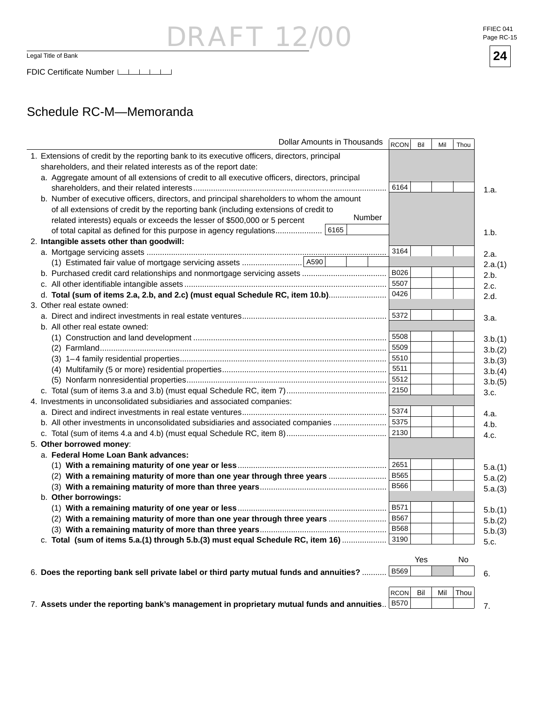Legal Title of Bank

### Schedule RC-M—Memoranda

| Dollar Amounts in Thousands                                                                     | RCON        | Bil | Mil | Thou |         |
|-------------------------------------------------------------------------------------------------|-------------|-----|-----|------|---------|
| 1. Extensions of credit by the reporting bank to its executive officers, directors, principal   |             |     |     |      |         |
| shareholders, and their related interests as of the report date:                                |             |     |     |      |         |
| a. Aggregate amount of all extensions of credit to all executive officers, directors, principal |             |     |     |      |         |
|                                                                                                 | 6164        |     |     |      | 1.a.    |
| b. Number of executive officers, directors, and principal shareholders to whom the amount       |             |     |     |      |         |
| of all extensions of credit by the reporting bank (including extensions of credit to            |             |     |     |      |         |
| Number<br>related interests) equals or exceeds the lesser of \$500,000 or 5 percent             |             |     |     |      |         |
| 6165<br>of total capital as defined for this purpose in agency regulations                      |             |     |     |      | 1.b.    |
| 2. Intangible assets other than goodwill:                                                       |             |     |     |      |         |
|                                                                                                 | 3164        |     |     |      | 2.a.    |
|                                                                                                 |             |     |     |      | 2.a.(1) |
|                                                                                                 | B026        |     |     |      | 2.b.    |
|                                                                                                 | 5507        |     |     |      | 2.c.    |
| d. Total (sum of items 2.a, 2.b, and 2.c) (must equal Schedule RC, item 10.b)                   | 0426        |     |     |      | 2.d.    |
| 3. Other real estate owned:                                                                     |             |     |     |      |         |
|                                                                                                 | 5372        |     |     |      | 3.a.    |
| b. All other real estate owned:                                                                 |             |     |     |      |         |
|                                                                                                 | 5508        |     |     |      | 3.b.(1) |
|                                                                                                 | 5509        |     |     |      | 3.b.(2) |
|                                                                                                 | 5510        |     |     |      | 3.b.(3) |
|                                                                                                 | 5511        |     |     |      | 3.b.(4) |
|                                                                                                 | 5512        |     |     |      | 3.b.(5) |
|                                                                                                 | 2150        |     |     |      | 3.c.    |
| 4. Investments in unconsolidated subsidiaries and associated companies:                         |             |     |     |      |         |
|                                                                                                 | 5374        |     |     |      | 4.a.    |
| b. All other investments in unconsolidated subsidiaries and associated companies                | 5375        |     |     |      | 4.b.    |
|                                                                                                 | 2130        |     |     |      | 4.c.    |
| 5. Other borrowed money:                                                                        |             |     |     |      |         |
| a. Federal Home Loan Bank advances:                                                             |             |     |     |      |         |
|                                                                                                 | 2651        |     |     |      | 5.a.(1) |
| (2) With a remaining maturity of more than one year through three years                         | <b>B565</b> |     |     |      | 5.a.(2) |
|                                                                                                 | <b>B566</b> |     |     |      | 5.a.(3) |
| b. Other borrowings:                                                                            |             |     |     |      |         |
|                                                                                                 | <b>B571</b> |     |     |      | 5.b.(1) |
| (2) With a remaining maturity of more than one year through three years                         | <b>B567</b> |     |     |      | 5.b.(2) |
|                                                                                                 | <b>B568</b> |     |     |      | 5.b.(3) |
| c. Total (sum of items 5.a.(1) through 5.b.(3) must equal Schedule RC, item 16)                 | 3190        |     |     |      | 5.c.    |
|                                                                                                 |             |     |     |      |         |
|                                                                                                 |             | Yes |     | No   |         |
| 6. Does the reporting bank sell private label or third party mutual funds and annuities?        | <b>B569</b> |     |     |      | 6.      |
|                                                                                                 |             |     |     |      |         |
|                                                                                                 | <b>RCON</b> | Bil | Mil | Thou |         |
| 7. Assets under the reporting bank's management in proprietary mutual funds and annuities       | <b>B570</b> |     |     |      | 7.      |

DRAFT 12/00

FFIEC 041 Page RC-15

**24**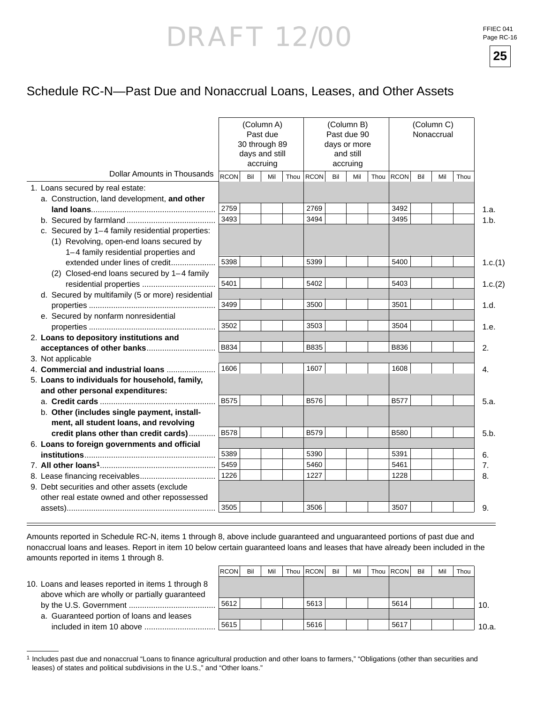FFIEC 041 Page RC-16

**25**



|                                                   |             | 30 through 89<br>days and still | (Column A)<br>Past due<br>accruing |      |             |     | (Column B)<br>Past due 90<br>days or more<br>and still<br>accruing |      |             | (Column C)<br>Nonaccrual |     |      |         |
|---------------------------------------------------|-------------|---------------------------------|------------------------------------|------|-------------|-----|--------------------------------------------------------------------|------|-------------|--------------------------|-----|------|---------|
| <b>Dollar Amounts in Thousands</b>                | <b>RCON</b> | Bil                             | Mil                                | Thou | <b>RCON</b> | Bil | Mil                                                                | Thou | <b>RCON</b> | Bil                      | Mil | Thou |         |
| 1. Loans secured by real estate:                  |             |                                 |                                    |      |             |     |                                                                    |      |             |                          |     |      |         |
| a. Construction, land development, and other      |             |                                 |                                    |      |             |     |                                                                    |      |             |                          |     |      |         |
|                                                   | 2759        |                                 |                                    |      | 2769        |     |                                                                    |      | 3492        |                          |     |      | 1.a.    |
|                                                   | 3493        |                                 |                                    |      | 3494        |     |                                                                    |      | 3495        |                          |     |      | 1.b.    |
| c. Secured by 1-4 family residential properties:  |             |                                 |                                    |      |             |     |                                                                    |      |             |                          |     |      |         |
| (1) Revolving, open-end loans secured by          |             |                                 |                                    |      |             |     |                                                                    |      |             |                          |     |      |         |
| 1-4 family residential properties and             |             |                                 |                                    |      |             |     |                                                                    |      |             |                          |     |      |         |
| extended under lines of credit                    | 5398        |                                 |                                    |      | 5399        |     |                                                                    |      | 5400        |                          |     |      | 1.c.(1) |
| (2) Closed-end loans secured by 1-4 family        |             |                                 |                                    |      |             |     |                                                                    |      |             |                          |     |      |         |
| residential properties                            | 5401        |                                 |                                    |      | 5402        |     |                                                                    |      | 5403        |                          |     |      | 1.c.(2) |
| d. Secured by multifamily (5 or more) residential |             |                                 |                                    |      |             |     |                                                                    |      |             |                          |     |      |         |
|                                                   | 3499        |                                 |                                    |      | 3500        |     |                                                                    |      | 3501        |                          |     |      | 1.d.    |
| e. Secured by nonfarm nonresidential              |             |                                 |                                    |      |             |     |                                                                    |      |             |                          |     |      |         |
|                                                   | 3502        |                                 |                                    |      | 3503        |     |                                                                    |      | 3504        |                          |     |      | 1.e.    |
| 2. Loans to depository institutions and           |             |                                 |                                    |      |             |     |                                                                    |      |             |                          |     |      |         |
| acceptances of other banks                        | B834        |                                 |                                    |      | B835        |     |                                                                    |      | B836        |                          |     |      | 2.      |
| 3. Not applicable                                 |             |                                 |                                    |      |             |     |                                                                    |      |             |                          |     |      |         |
| 4. Commercial and industrial loans                | 1606        |                                 |                                    |      | 1607        |     |                                                                    |      | 1608        |                          |     |      | 4.      |
| 5. Loans to individuals for household, family,    |             |                                 |                                    |      |             |     |                                                                    |      |             |                          |     |      |         |
| and other personal expenditures:                  |             |                                 |                                    |      |             |     |                                                                    |      |             |                          |     |      |         |
|                                                   | <b>B575</b> |                                 |                                    |      | <b>B576</b> |     |                                                                    |      | <b>B577</b> |                          |     |      | 5.a.    |
| b. Other (includes single payment, install-       |             |                                 |                                    |      |             |     |                                                                    |      |             |                          |     |      |         |
| ment, all student loans, and revolving            |             |                                 |                                    |      |             |     |                                                                    |      |             |                          |     |      |         |
| credit plans other than credit cards)             | <b>B578</b> |                                 |                                    |      | <b>B579</b> |     |                                                                    |      | <b>B580</b> |                          |     |      | 5.b.    |
| 6. Loans to foreign governments and official      |             |                                 |                                    |      |             |     |                                                                    |      |             |                          |     |      |         |
|                                                   | 5389        |                                 |                                    |      | 5390        |     |                                                                    |      | 5391        |                          |     |      | 6.      |
|                                                   | 5459        |                                 |                                    |      | 5460        |     |                                                                    |      | 5461        |                          |     |      | 7.      |
|                                                   | 1226        |                                 |                                    |      | 1227        |     |                                                                    |      | 1228        |                          |     |      | 8.      |
| 9. Debt securities and other assets (exclude      |             |                                 |                                    |      |             |     |                                                                    |      |             |                          |     |      |         |
| other real estate owned and other repossessed     |             |                                 |                                    |      |             |     |                                                                    |      |             |                          |     |      |         |
|                                                   | 3505        |                                 |                                    |      | 3506        |     |                                                                    |      | 3507        |                          |     |      | 9.      |

Amounts reported in Schedule RC-N, items 1 through 8, above include guaranteed and unguaranteed portions of past due and nonaccrual loans and leases. Report in item 10 below certain guaranteed loans and leases that have already been included in the amounts reported in items 1 through 8.

|                                                    | <b>RCON</b> | Bil | Mil | Thou   RCON | Bil | Mil | Thou RCON | Bil | Mil | Thou |       |
|----------------------------------------------------|-------------|-----|-----|-------------|-----|-----|-----------|-----|-----|------|-------|
| 10. Loans and leases reported in items 1 through 8 |             |     |     |             |     |     |           |     |     |      |       |
| above which are wholly or partially guaranteed     |             |     |     |             |     |     |           |     |     |      |       |
|                                                    | ا 5612.     |     |     | 5613        |     |     | 5614      |     |     |      | 10.   |
| a. Guaranteed portion of loans and leases          |             |     |     |             |     |     |           |     |     |      |       |
| included in item 10 above                          | 5615        |     |     | : 5616 '    |     |     | 5617      |     |     |      | 10.a. |

<sup>&</sup>lt;sup>1</sup> Includes past due and nonaccrual "Loans to finance agricultural production and other loans to farmers," "Obligations (other than securities and leases) of states and political subdivisions in the U.S.," and "Other loans."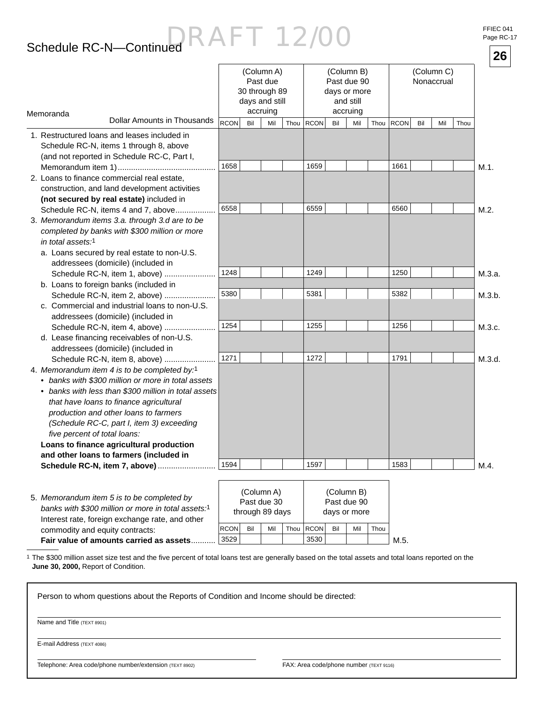## Schedule RC-N—Continued

| FFIEC 041 |            |
|-----------|------------|
|           | Page RC-17 |

|                                                                                                                                                                                                                                                                                                                                                                                                          |             |     |                                                                       |           |     |                                                                    |      |             |     |                          |      |      | 26     |
|----------------------------------------------------------------------------------------------------------------------------------------------------------------------------------------------------------------------------------------------------------------------------------------------------------------------------------------------------------------------------------------------------------|-------------|-----|-----------------------------------------------------------------------|-----------|-----|--------------------------------------------------------------------|------|-------------|-----|--------------------------|------|------|--------|
| Memoranda                                                                                                                                                                                                                                                                                                                                                                                                |             |     | (Column A)<br>Past due<br>30 through 89<br>days and still<br>accruing |           |     | (Column B)<br>Past due 90<br>days or more<br>and still<br>accruing |      |             |     | (Column C)<br>Nonaccrual |      |      |        |
| <b>Dollar Amounts in Thousands</b>                                                                                                                                                                                                                                                                                                                                                                       | <b>RCON</b> | Bil | Mil                                                                   | Thou RCON | Bil | Mil                                                                | Thou | <b>RCON</b> | Bil | Mil                      | Thou |      |        |
| 1. Restructured loans and leases included in<br>Schedule RC-N, items 1 through 8, above<br>(and not reported in Schedule RC-C, Part I,                                                                                                                                                                                                                                                                   | 1658        |     |                                                                       | 1659      |     |                                                                    |      | 1661        |     |                          |      | M.1. |        |
| 2. Loans to finance commercial real estate,<br>construction, and land development activities<br>(not secured by real estate) included in                                                                                                                                                                                                                                                                 |             |     |                                                                       |           |     |                                                                    |      |             |     |                          |      |      |        |
| Schedule RC-N, items 4 and 7, above<br>3. Memorandum items 3.a. through 3.d are to be<br>completed by banks with \$300 million or more<br><i>in total assets:</i> 1<br>a. Loans secured by real estate to non-U.S.<br>addressees (domicile) (included in                                                                                                                                                 | 6558        |     |                                                                       | 6559      |     |                                                                    |      | 6560        |     |                          |      | M.2. |        |
| Schedule RC-N, item 1, above)                                                                                                                                                                                                                                                                                                                                                                            | 1248        |     |                                                                       | 1249      |     |                                                                    |      | 1250        |     |                          |      |      | M.3.a. |
| b. Loans to foreign banks (included in<br>Schedule RC-N, item 2, above)                                                                                                                                                                                                                                                                                                                                  | 5380        |     |                                                                       | 5381      |     |                                                                    |      | 5382        |     |                          |      |      | M.3.b. |
| c. Commercial and industrial loans to non-U.S.<br>addressees (domicile) (included in                                                                                                                                                                                                                                                                                                                     |             |     |                                                                       |           |     |                                                                    |      |             |     |                          |      |      |        |
| Schedule RC-N, item 4, above)<br>d. Lease financing receivables of non-U.S.<br>addressees (domicile) (included in                                                                                                                                                                                                                                                                                        | 1254        |     |                                                                       | 1255      |     |                                                                    |      | 1256        |     |                          |      |      | M.3.c. |
| Schedule RC-N, item 8, above)<br>4. Memorandum item 4 is to be completed by:1<br>• banks with \$300 million or more in total assets<br>• banks with less than \$300 million in total assets<br>that have loans to finance agricultural<br>production and other loans to farmers<br>(Schedule RC-C, part I, item 3) exceeding<br>five percent of total loans:<br>Loans to finance agricultural production | 1271        |     |                                                                       | 1272      |     |                                                                    |      | 1791        |     |                          |      |      | M.3.d. |
| and other loans to farmers (included in                                                                                                                                                                                                                                                                                                                                                                  | 1594        |     |                                                                       | 1597      |     |                                                                    |      | 1583        |     |                          |      |      |        |
| Schedule RC-N, item 7, above)                                                                                                                                                                                                                                                                                                                                                                            |             |     |                                                                       |           |     |                                                                    |      |             |     |                          |      | M.4. |        |
| 5. Memorandum item 5 is to be completed by<br>banks with \$300 million or more in total assets:1                                                                                                                                                                                                                                                                                                         |             |     | (Column A)<br>Past due 30<br>through 89 days                          |           |     | (Column B)<br>Past due 90<br>days or more                          |      |             |     |                          |      |      |        |

3529 | | | | 3530  $|RCON|$  Bil  $|Mi|$  Thou  $|RCON|$  Bil  $|Mi|$  Thou commodity and equity contracts: **Fair value of amounts carried as assets...........**  $3529$   $\vert$   $\vert$   $\vert$   $3530$   $\vert$   $\vert$   $\vert$   $\vert$  M.5.

1 The \$300 million asset size test and the five percent of total loans test are generally based on the total assets and total loans reported on the **June 30, 2000,** Report of Condition.

Person to whom questions about the Reports of Condition and Income should be directed:

Name and Title (TEXT 8901)

E-mail Address (TEXT 4086)

Telephone: Area code/phone number/extension (TEXT 8902) FAX: Area code/phone number (TEXT 9116)

Interest rate, foreign exchange rate, and other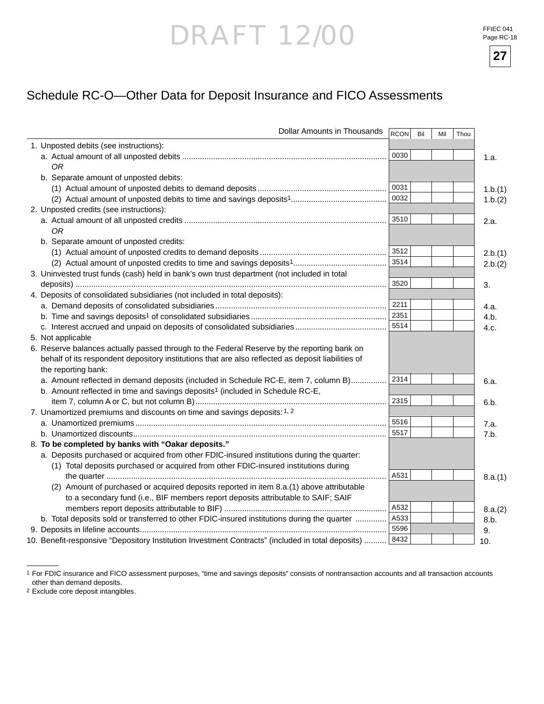**27**



| Dollar Amounts in Thousands                                                                        | RCON | Bil | Mil | Thou |         |
|----------------------------------------------------------------------------------------------------|------|-----|-----|------|---------|
| 1. Unposted debits (see instructions):                                                             |      |     |     |      |         |
|                                                                                                    | 0030 |     |     |      | 1.a.    |
| ОR                                                                                                 |      |     |     |      |         |
| b. Separate amount of unposted debits:                                                             |      |     |     |      |         |
|                                                                                                    | 0031 |     |     |      | 1.b.(1) |
|                                                                                                    | 0032 |     |     |      | 1.b.(2) |
| 2. Unposted credits (see instructions):                                                            |      |     |     |      |         |
|                                                                                                    | 3510 |     |     |      | 2.a.    |
| 0R                                                                                                 |      |     |     |      |         |
| b. Separate amount of unposted credits:                                                            |      |     |     |      |         |
|                                                                                                    | 3512 |     |     |      | 2.b.(1) |
|                                                                                                    | 3514 |     |     |      | 2.b.(2) |
| 3. Uninvested trust funds (cash) held in bank's own trust department (not included in total        |      |     |     |      |         |
|                                                                                                    | 3520 |     |     |      | 3.      |
| 4. Deposits of consolidated subsidiaries (not included in total deposits):                         |      |     |     |      |         |
|                                                                                                    | 2211 |     |     |      | 4.a.    |
|                                                                                                    | 2351 |     |     |      | 4.b.    |
|                                                                                                    | 5514 |     |     |      | 4.c.    |
| 5. Not applicable                                                                                  |      |     |     |      |         |
| 6. Reserve balances actually passed through to the Federal Reserve by the reporting bank on        |      |     |     |      |         |
| behalf of its respondent depository institutions that are also reflected as deposit liabilities of |      |     |     |      |         |
| the reporting bank:                                                                                |      |     |     |      |         |
| a. Amount reflected in demand deposits (included in Schedule RC-E, item 7, column B)               | 2314 |     |     |      | 6.a.    |
| b. Amount reflected in time and savings deposits <sup>1</sup> (included in Schedule RC-E,          |      |     |     |      |         |
|                                                                                                    | 2315 |     |     |      | 6.b.    |
| 7. Unamortized premiums and discounts on time and savings deposits: 1, 2                           |      |     |     |      |         |
|                                                                                                    | 5516 |     |     |      | 7.a.    |
|                                                                                                    | 5517 |     |     |      | 7.b.    |
| 8. To be completed by banks with "Oakar deposits."                                                 |      |     |     |      |         |
| a. Deposits purchased or acquired from other FDIC-insured institutions during the quarter:         |      |     |     |      |         |
| (1) Total deposits purchased or acquired from other FDIC-insured institutions during               |      |     |     |      |         |
|                                                                                                    | A531 |     |     |      | 8.a.(1) |
| (2) Amount of purchased or acquired deposits reported in item 8.a.(1) above attributable           |      |     |     |      |         |
| to a secondary fund (i.e., BIF members report deposits attributable to SAIF; SAIF                  |      |     |     |      |         |
|                                                                                                    | A532 |     |     |      | 8.a.(2) |
| b. Total deposits sold or transferred to other FDIC-insured institutions during the quarter        | A533 |     |     |      | 8.b.    |
|                                                                                                    | 5596 |     |     |      | 9.      |
| 10. Benefit-responsive "Depository Institution Investment Contracts" (included in total deposits)  | 8432 |     |     |      | 10.     |

<sup>1</sup> For FDIC insurance and FICO assessment purposes, "time and savings deposits" consists of nontransaction accounts and all transaction accounts other than demand deposits.

<sup>2</sup> Exclude core deposit intangibles.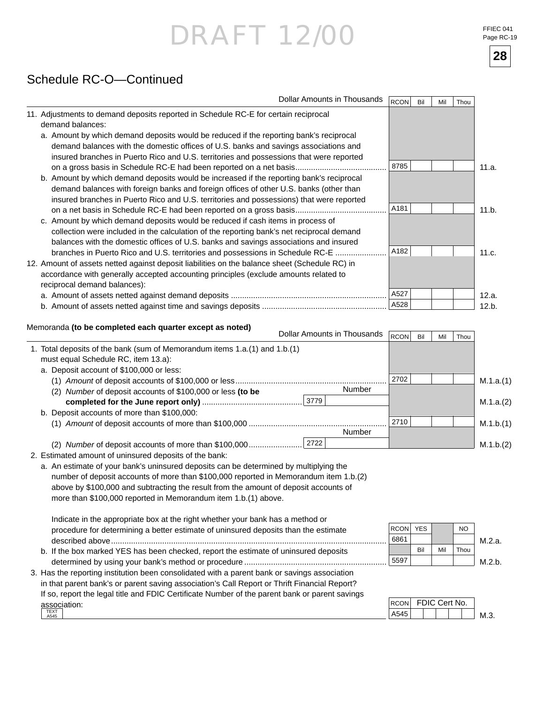FFIEC 041 Page RC-19

**28**

## Schedule RC-O—Continued

|                              |                                                                                                                                                                                                                                                                                | Dollar Amounts in Thousands | <b>RCON</b> | Bil | Mil | Thou |       |
|------------------------------|--------------------------------------------------------------------------------------------------------------------------------------------------------------------------------------------------------------------------------------------------------------------------------|-----------------------------|-------------|-----|-----|------|-------|
| demand balances:             | 11. Adjustments to demand deposits reported in Schedule RC-E for certain reciprocal                                                                                                                                                                                            |                             |             |     |     |      |       |
|                              | a. Amount by which demand deposits would be reduced if the reporting bank's reciprocal<br>demand balances with the domestic offices of U.S. banks and savings associations and                                                                                                 |                             |             |     |     |      |       |
|                              | insured branches in Puerto Rico and U.S. territories and possessions that were reported                                                                                                                                                                                        |                             | 8785        |     |     |      | 11.a. |
|                              | b. Amount by which demand deposits would be increased if the reporting bank's reciprocal<br>demand balances with foreign banks and foreign offices of other U.S. banks (other than<br>insured branches in Puerto Rico and U.S. territories and possessions) that were reported |                             |             |     |     |      |       |
|                              |                                                                                                                                                                                                                                                                                |                             | A181        |     |     |      | 11.b. |
|                              | c. Amount by which demand deposits would be reduced if cash items in process of<br>collection were included in the calculation of the reporting bank's net reciprocal demand<br>balances with the domestic offices of U.S. banks and savings associations and insured          |                             |             |     |     |      |       |
|                              | branches in Puerto Rico and U.S. territories and possessions in Schedule RC-E                                                                                                                                                                                                  |                             | A182        |     |     |      | 11.c. |
| reciprocal demand balances): | 12. Amount of assets netted against deposit liabilities on the balance sheet (Schedule RC) in<br>accordance with generally accepted accounting principles (exclude amounts related to                                                                                          |                             |             |     |     |      |       |
|                              |                                                                                                                                                                                                                                                                                |                             | A527        |     |     |      | 12.a. |
|                              |                                                                                                                                                                                                                                                                                |                             | A528        |     |     |      | 12.b. |
|                              | Memoranda (to be completed each quarter except as noted)                                                                                                                                                                                                                       | Dollar Amounts in Thousands |             |     |     |      |       |
|                              | 1 Total deposits of the bank (sum of Memorandum items 1 a (1) and 1 b (1)                                                                                                                                                                                                      |                             | RCON        | Bil | Mil | Thou |       |

| 1. Total deposits of the bank (sum of Memorandum items 1.a.(1) and 1.b.(1) |               |      |           |
|----------------------------------------------------------------------------|---------------|------|-----------|
| must equal Schedule RC, item 13.a):                                        |               |      |           |
| a. Deposit account of \$100,000 or less:                                   |               |      |           |
|                                                                            |               | 2702 | M.1.a.(1) |
| (2) Number of deposit accounts of \$100,000 or less (to be                 | <b>Number</b> |      |           |
|                                                                            | 3779          |      | M.1.a.(2) |
| b. Deposit accounts of more than \$100,000:                                |               |      |           |
|                                                                            |               | 2710 | M.1.b.(1) |
|                                                                            | Number        |      |           |
| (2)                                                                        |               |      | M.1.b.(2) |

2. Estimated amount of uninsured deposits of the bank:

| a. An estimate of your bank's uninsured deposits can be determined by multiplying the |
|---------------------------------------------------------------------------------------|
| number of deposit accounts of more than \$100,000 reported in Memorandum item 1.b.(2) |
| above by \$100,000 and subtracting the result from the amount of deposit accounts of  |
| more than \$100,000 reported in Memorandum item 1.b.(1) above.                        |

 Indicate in the appropriate box at the right whether your bank has a method or procedure for determining a better estimate of uninsured deposits than the estimate described above............................................................................................................................ b. If the box marked YES has been checked, report the estimate of uninsured deposits

| D. If the box marked TES has been checked, report the estimate or uninsured deposits |
|--------------------------------------------------------------------------------------|
|                                                                                      |
|                                                                                      |

| 3. Has the reporting institution been consolidated with a parent bank or savings association   |  |
|------------------------------------------------------------------------------------------------|--|
| in that parent bank's or parent saving association's Call Report or Thrift Financial Report?   |  |
| If so, report the legal title and FDIC Certificate Number of the parent bank or parent savings |  |
| association:                                                                                   |  |
| <b>TEXT</b><br>A545                                                                            |  |



| RCON FDIC Cert No. |  |  |  |
|--------------------|--|--|--|
|                    |  |  |  |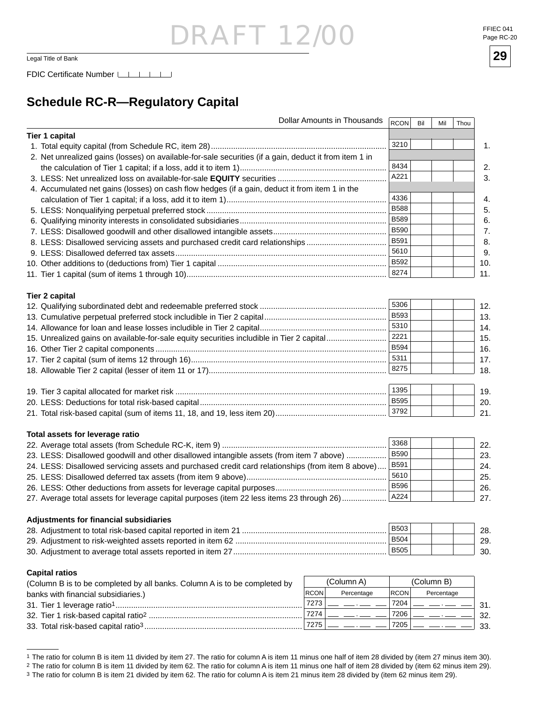Legal Title of Bank **29**

FDIC Certificate Number LACTER LACTER

### **Schedule RC-R—Regulatory Capital**

| Dollar Amounts in Thousands                                                                            | RCON        | Bil | Mil        | Thou |
|--------------------------------------------------------------------------------------------------------|-------------|-----|------------|------|
| <b>Tier 1 capital</b>                                                                                  |             |     |            |      |
|                                                                                                        | 3210        |     |            |      |
| 2. Net unrealized gains (losses) on available-for-sale securities (if a gain, deduct it from item 1 in |             |     |            |      |
|                                                                                                        | 8434        |     |            |      |
|                                                                                                        | A221        |     |            |      |
| 4. Accumulated net gains (losses) on cash flow hedges (if a gain, deduct it from item 1 in the         |             |     |            |      |
|                                                                                                        | 4336        |     |            |      |
|                                                                                                        | <b>B588</b> |     |            |      |
|                                                                                                        | <b>B589</b> |     |            |      |
|                                                                                                        | <b>B590</b> |     |            |      |
| 8. LESS: Disallowed servicing assets and purchased credit card relationships                           | B591        |     |            |      |
|                                                                                                        | 5610        |     |            |      |
|                                                                                                        | B592        |     |            |      |
|                                                                                                        | 8274        |     |            |      |
|                                                                                                        |             |     |            |      |
| <b>Tier 2 capital</b>                                                                                  |             |     |            |      |
|                                                                                                        | 5306        |     |            |      |
|                                                                                                        | <b>B593</b> |     |            |      |
|                                                                                                        | 5310        |     |            |      |
| 15. Unrealized gains on available-for-sale equity securities includible in Tier 2 capital              | 2221        |     |            |      |
|                                                                                                        | <b>B594</b> |     |            |      |
|                                                                                                        | 5311        |     |            |      |
|                                                                                                        | 8275        |     |            |      |
|                                                                                                        |             |     |            |      |
|                                                                                                        | 1395        |     |            |      |
|                                                                                                        | <b>B595</b> |     |            |      |
|                                                                                                        | 3792        |     |            |      |
|                                                                                                        |             |     |            |      |
|                                                                                                        |             |     |            |      |
| Total assets for leverage ratio                                                                        |             |     |            |      |
|                                                                                                        | 3368        |     |            |      |
| 23. LESS: Disallowed goodwill and other disallowed intangible assets (from item 7 above)               | <b>B590</b> |     |            |      |
| 24. LESS: Disallowed servicing assets and purchased credit card relationships (from item 8 above)      | B591        |     |            |      |
|                                                                                                        | 5610        |     |            |      |
|                                                                                                        | <b>B596</b> |     |            |      |
| 27. Average total assets for leverage capital purposes (item 22 less items 23 through 26)              | A224        |     |            |      |
|                                                                                                        |             |     |            |      |
| Adjustments for financial subsidiaries                                                                 | <b>B503</b> |     |            |      |
|                                                                                                        |             |     |            |      |
|                                                                                                        | <b>B504</b> |     |            |      |
|                                                                                                        | <b>B505</b> |     |            |      |
| <b>Capital ratios</b>                                                                                  |             |     |            |      |
| (Column A)<br>(Column B is to be completed by all banks. Column A is to be completed by                |             |     | (Column B) |      |
| <b>RCON</b><br>Percentage                                                                              | <b>RCON</b> |     | Percentage |      |
| banks with financial subsidiaries.)<br>7273                                                            | 7204        |     |            |      |
| 7274                                                                                                   | 7206        |     |            |      |



<sup>&</sup>lt;sup>1</sup> The ratio for column B is item 11 divided by item 27. The ratio for column A is item 11 minus one half of item 28 divided by (item 27 minus item 30). <sup>2</sup> The ratio for column B is item 11 divided by item 62. The ratio for column A is item 11 minus one half of item 28 divided by (item 62 minus item 29).

<sup>&</sup>lt;sup>3</sup> The ratio for column B is item 21 divided by item 62. The ratio for column A is item 21 minus item 28 divided by (item 62 minus item 29).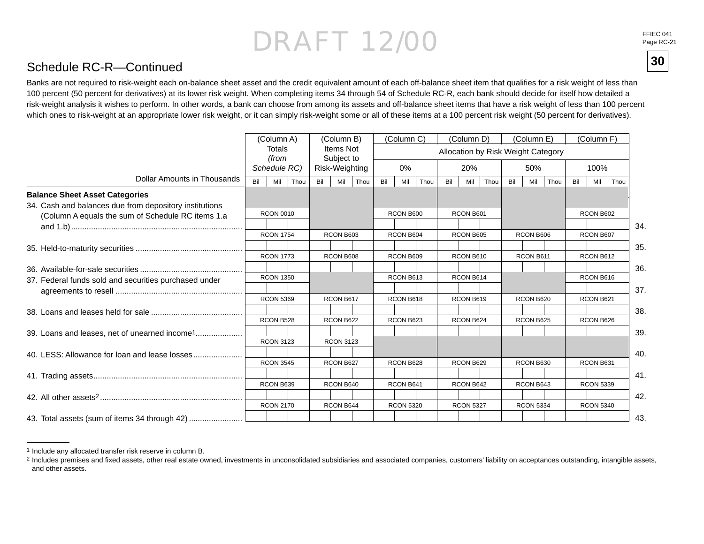FFIEC 041Page RC-21

**30**

### Schedule RC-R—Continued

Banks are not required to risk-weight each on-balance sheet asset and the credit equivalent amount of each off-balance sheet item that qualifies for a risk weight of less than 100 percent (50 percent for derivatives) at its lower risk weight. When completing items 34 through 54 of Schedule RC-R, each bank should decide for itself how detailed a risk-weight analysis it wishes to perform. In other words, a bank can choose from among its assets and off-balance sheet items that have a risk weight of less than 100 percent which ones to risk-weight at an appropriate lower risk weight, or it can simply risk-weight some or all of these items at a 100 percent risk weight (50 percent for derivatives).

|                                                           |     | (Column A)       |     | (Column B)              |      |     | (Column C)       |      |     | (Column D)       |      |     | (Column E)       |                                    |     | (Column F)       |      |
|-----------------------------------------------------------|-----|------------------|-----|-------------------------|------|-----|------------------|------|-----|------------------|------|-----|------------------|------------------------------------|-----|------------------|------|
|                                                           |     | Totals<br>(from  |     | Items Not<br>Subject to |      |     |                  |      |     |                  |      |     |                  | Allocation by Risk Weight Category |     |                  |      |
|                                                           |     | Schedule RC)     |     | Risk-Weighting          |      |     | $0\%$            |      |     | 20%              |      |     | 50%              |                                    |     | 100%             |      |
| Dollar Amounts in Thousands                               | Bil | Mil<br>Thou      | Bil | Mil                     | Thou | Bil | Mil              | Thou | Bil | Mil              | Thou | Bil | Mil              | Thou                               | Bil | Mil              | Thou |
| <b>Balance Sheet Asset Categories</b>                     |     |                  |     |                         |      |     |                  |      |     |                  |      |     |                  |                                    |     |                  |      |
| 34. Cash and balances due from depository institutions    |     |                  |     |                         |      |     |                  |      |     |                  |      |     |                  |                                    |     |                  |      |
| (Column A equals the sum of Schedule RC items 1.a         |     | <b>RCON 0010</b> |     |                         |      |     | RCON B600        |      |     | RCON B601        |      |     |                  |                                    |     | RCON B602        |      |
|                                                           |     |                  |     |                         |      |     |                  |      |     |                  |      |     |                  |                                    |     |                  | 34.  |
|                                                           |     | <b>RCON 1754</b> |     | RCON B603               |      |     | RCON B604        |      |     | RCON B605        |      |     | RCON B606        |                                    |     | RCON B607        |      |
|                                                           |     |                  |     |                         |      |     |                  |      |     |                  |      |     |                  |                                    |     |                  | 35.  |
|                                                           |     | <b>RCON 1773</b> |     | RCON B608               |      |     | RCON B609        |      |     | RCON B610        |      |     | RCON B611        |                                    |     | RCON B612        |      |
|                                                           |     |                  |     |                         |      |     |                  |      |     |                  |      |     |                  |                                    |     |                  | 36.  |
| 37. Federal funds sold and securities purchased under     |     | <b>RCON 1350</b> |     |                         |      |     | RCON B613        |      |     | RCON B614        |      |     |                  |                                    |     | RCON B616        | 37.  |
|                                                           |     | <b>RCON 5369</b> |     | RCON B617               |      |     | RCON B618        |      |     | RCON B619        |      |     | RCON B620        |                                    |     | RCON B621        |      |
|                                                           |     |                  |     |                         |      |     |                  |      |     |                  |      |     |                  |                                    |     |                  | 38.  |
|                                                           |     | RCON B528        |     | RCON B622               |      |     | RCON B623        |      |     | RCON B624        |      |     | RCON B625        |                                    |     | RCON B626        |      |
| 39. Loans and leases, net of unearned income <sup>1</sup> |     |                  |     |                         |      |     |                  |      |     |                  |      |     |                  |                                    |     |                  | 39.  |
|                                                           |     | <b>RCON 3123</b> |     | <b>RCON 3123</b>        |      |     |                  |      |     |                  |      |     |                  |                                    |     |                  |      |
|                                                           |     |                  |     |                         |      |     |                  |      |     |                  |      |     |                  |                                    |     |                  | 40.  |
|                                                           |     | <b>RCON 3545</b> |     | RCON B627               |      |     | RCON B628        |      |     | RCON B629        |      |     | RCON B630        |                                    |     | RCON B631        |      |
|                                                           |     |                  |     |                         |      |     |                  |      |     |                  |      |     |                  |                                    |     |                  | 41.  |
|                                                           |     | RCON B639        |     | RCON B640               |      |     | RCON B641        |      |     | RCON B642        |      |     | RCON B643        |                                    |     | <b>RCON 5339</b> |      |
|                                                           |     |                  |     |                         |      |     |                  |      |     |                  |      |     |                  |                                    |     |                  | 42.  |
|                                                           |     | <b>RCON 2170</b> |     | RCON B644               |      |     | <b>RCON 5320</b> |      |     | <b>RCON 5327</b> |      |     | <b>RCON 5334</b> |                                    |     | <b>RCON 5340</b> |      |
| 43. Total assets (sum of items 34 through 42)             |     |                  |     |                         |      |     |                  |      |     |                  |      |     |                  |                                    |     |                  | 43.  |

<sup>1</sup> Include any allocated transfer risk reserve in column B.

<sup>&</sup>lt;sup>2</sup> Includes premises and fixed assets, other real estate owned, investments in unconsolidated subsidiaries and associated companies, customers' liability on acceptances outstanding, intangible assets, and other assets.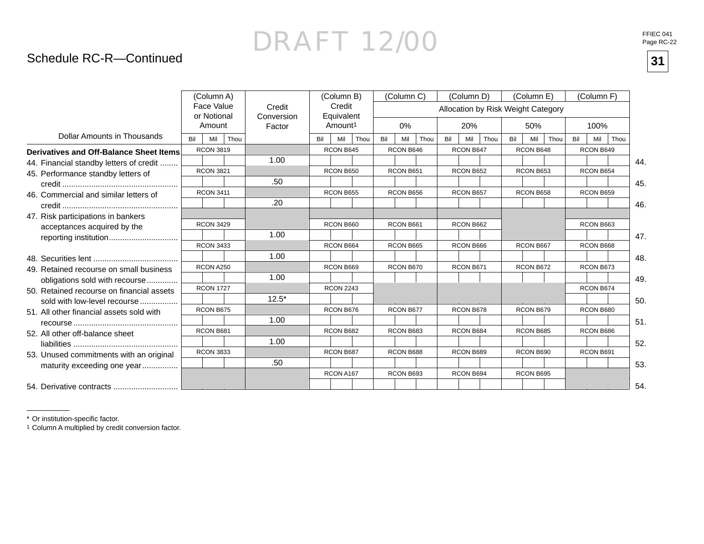### Schedule RC-R—Continued

|                                           |     | (Column A)                |      |                      |     | (Column B)           |      |     | (Column C) |      |     | (Column D) |                                    |     | (Column E) |      |     | (Column F) |      |
|-------------------------------------------|-----|---------------------------|------|----------------------|-----|----------------------|------|-----|------------|------|-----|------------|------------------------------------|-----|------------|------|-----|------------|------|
|                                           |     | Face Value<br>or Notional |      | Credit<br>Conversion |     | Credit<br>Equivalent |      |     |            |      |     |            | Allocation by Risk Weight Category |     |            |      |     |            |      |
|                                           |     | Amount                    |      | Factor               |     | Amount <sup>1</sup>  |      |     | $0\%$      |      |     | 20%        |                                    |     | 50%        |      |     | 100%       |      |
| <b>Dollar Amounts in Thousands</b>        | Bil | Mil                       | Thou |                      | Bil | Mil                  | Thou | Bil | Mil        | Thou | Bil | Mil        | Thou                               | Bil | Mil        | Thou | Bil | Mil        | Thou |
| Derivatives and Off-Balance Sheet Items   |     | <b>RCON 3819</b>          |      |                      |     | RCON B645            |      |     | RCON B646  |      |     | RCON B647  |                                    |     | RCON B648  |      |     | RCON B649  |      |
| 44. Financial standby letters of credit   |     |                           |      | 1.00                 |     |                      |      |     |            |      |     |            |                                    |     |            |      |     |            | 44.  |
| 45. Performance standby letters of        |     | <b>RCON 3821</b>          |      |                      |     | RCON B650            |      |     | RCON B651  |      |     | RCON B652  |                                    |     | RCON B653  |      |     | RCON B654  |      |
|                                           |     |                           |      | .50                  |     |                      |      |     |            |      |     |            |                                    |     |            |      |     |            | 45.  |
| 46. Commercial and similar letters of     |     | <b>RCON 3411</b>          |      |                      |     | RCON B655            |      |     | RCON B656  |      |     | RCON B657  |                                    |     | RCON B658  |      |     | RCON B659  |      |
|                                           |     |                           |      | .20                  |     |                      |      |     |            |      |     |            |                                    |     |            |      |     |            | 46.  |
| 47. Risk participations in bankers        |     | <b>RCON 3429</b>          |      |                      |     | RCON B660            |      |     | RCON B661  |      |     | RCON B662  |                                    |     |            |      |     | RCON B663  |      |
| acceptances acquired by the               |     |                           |      |                      |     |                      |      |     |            |      |     |            |                                    |     |            |      |     |            |      |
| reporting institution                     |     | <b>RCON 3433</b>          |      | 1.00                 |     |                      |      |     |            |      |     |            |                                    |     |            |      |     | RCON B668  | 47.  |
|                                           |     |                           |      |                      |     | RCON B664            |      |     | RCON B665  |      |     | RCON B666  |                                    |     | RCON B667  |      |     |            |      |
|                                           |     |                           |      | 1.00                 |     |                      |      |     |            |      |     |            |                                    |     |            |      |     |            | 48.  |
| 49. Retained recourse on small business   |     | RCON A250                 |      |                      |     | RCON B669            |      |     | RCON B670  |      |     | RCON B671  |                                    |     | RCON B672  |      |     | RCON B673  |      |
| obligations sold with recourse            |     |                           |      | 1.00                 |     |                      |      |     |            |      |     |            |                                    |     |            |      |     |            | 49.  |
| 50. Retained recourse on financial assets |     | <b>RCON 1727</b>          |      |                      |     | <b>RCON 2243</b>     |      |     |            |      |     |            |                                    |     |            |      |     | RCON B674  |      |
| sold with low-level recourse              |     |                           |      | $12.5*$              |     |                      |      |     |            |      |     |            |                                    |     |            |      |     |            | 50.  |
| 51. All other financial assets sold with  |     | RCON B675                 |      |                      |     | RCON B676            |      |     | RCON B677  |      |     | RCON B678  |                                    |     | RCON B679  |      |     | RCON B680  |      |
|                                           |     |                           |      | 1.00                 |     |                      |      |     |            |      |     |            |                                    |     |            |      |     |            | 51.  |
| 52. All other off-balance sheet           |     | RCON B681                 |      |                      |     | RCON B682            |      |     | RCON B683  |      |     | RCON B684  |                                    |     | RCON B685  |      |     | RCON B686  |      |
|                                           |     |                           |      | 1.00                 |     |                      |      |     |            |      |     |            |                                    |     |            |      |     |            | 52.  |
| 53. Unused commitments with an original   |     | <b>RCON 3833</b>          |      |                      |     | RCON B687            |      |     | RCON B688  |      |     | RCON B689  |                                    |     | RCON B690  |      |     | RCON B691  |      |
| maturity exceeding one year               |     |                           |      | .50                  |     |                      |      |     |            |      |     |            |                                    |     |            |      |     |            | 53.  |
|                                           |     |                           |      |                      |     | RCON A167            |      |     | RCON B693  |      |     | RCON B694  |                                    |     | RCON B695  |      |     |            |      |
| 54. Derivative contracts                  |     |                           |      |                      |     |                      |      |     |            |      |     |            |                                    |     |            |      |     |            | 54.  |

\* Or institution-specific factor.

1 Column A multiplied by credit conversion factor.

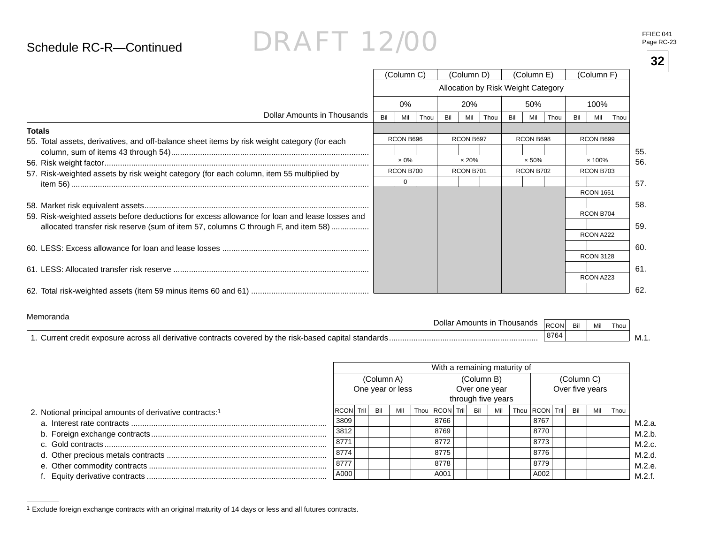### Schedule RC-R—Continued

## DRAFT 12/00

FFIEC 041Page RC-23

|                                                                                               |     |              |      |     |              |                                    |     |               |      |     |                  | 32  |
|-----------------------------------------------------------------------------------------------|-----|--------------|------|-----|--------------|------------------------------------|-----|---------------|------|-----|------------------|-----|
|                                                                                               |     | (Column C)   |      |     | (Column D)   |                                    |     | (Column E)    |      |     | (Column F)       |     |
|                                                                                               |     |              |      |     |              | Allocation by Risk Weight Category |     |               |      |     |                  |     |
|                                                                                               |     | $0\%$        |      |     | 20%          |                                    |     | 50%           |      |     | 100%             |     |
| Dollar Amounts in Thousands                                                                   | Bil | Mil          | Thou | Bil | Mil          | Thou                               | Bil | Mil           | Thou | Bil | Thou<br>Mil      |     |
| <b>Totals</b>                                                                                 |     |              |      |     |              |                                    |     |               |      |     |                  |     |
| 55. Total assets, derivatives, and off-balance sheet items by risk weight category (for each  |     | RCON B696    |      |     | RCON B697    |                                    |     | RCON B698     |      |     | RCON B699        |     |
|                                                                                               |     |              |      |     |              |                                    |     |               |      |     |                  | 55. |
|                                                                                               |     | $\times 0\%$ |      |     | $\times$ 20% |                                    |     | $\times 50\%$ |      |     | $\times$ 100%    | 56. |
| 57. Risk-weighted assets by risk weight category (for each column, item 55 multiplied by      |     | RCON B700    |      |     | RCON B701    |                                    |     | RCON B702     |      |     | RCON B703        |     |
|                                                                                               |     | $\Omega$     |      |     |              |                                    |     |               |      |     |                  | 57. |
|                                                                                               |     |              |      |     |              |                                    |     |               |      |     | <b>RCON 1651</b> |     |
|                                                                                               |     |              |      |     |              |                                    |     |               |      |     |                  | 58. |
| 59. Risk-weighted assets before deductions for excess allowance for loan and lease losses and |     |              |      |     |              |                                    |     |               |      |     | RCON B704        |     |
| allocated transfer risk reserve (sum of item 57, columns C through F, and item 58)            |     |              |      |     |              |                                    |     |               |      |     |                  | 59. |
|                                                                                               |     |              |      |     |              |                                    |     |               |      |     | RCON A222        |     |
|                                                                                               |     |              |      |     |              |                                    |     |               |      |     |                  | 60. |
|                                                                                               |     |              |      |     |              |                                    |     |               |      |     | <b>RCON 3128</b> |     |
|                                                                                               |     |              |      |     |              |                                    |     |               |      |     |                  | 61  |
|                                                                                               |     |              |      |     |              |                                    |     |               |      |     | RCON A223        |     |
|                                                                                               |     |              |      |     |              |                                    |     |               |      |     |                  |     |
|                                                                                               |     |              |      |     |              |                                    |     |               |      |     |                  | 62  |

#### Memoranda

| 17101110101100<br>l housands<br>וחו<br>' Amounts                                                            | n<br><b>RUUN</b> | Bil | Mil | Thou |     |
|-------------------------------------------------------------------------------------------------------------|------------------|-----|-----|------|-----|
| J by the risk-based.<br>e contracts covered.<br>standards<br>Curren<br>rivative<br><b>AVNOC</b><br>וגז<br>. | 8764             |     |     |      | M.1 |

|                                                         |           |            |                  | With a remaining maturity of |            |                                     |                    |            |                 |      |
|---------------------------------------------------------|-----------|------------|------------------|------------------------------|------------|-------------------------------------|--------------------|------------|-----------------|------|
|                                                         |           | (Column A) | One year or less |                              | (Column B) | Over one year<br>through five years |                    | (Column C) | Over five years |      |
| 2. Notional principal amounts of derivative contracts:1 | RCON Tril | Bil        | Mil              | Thou   RCON   Tril           | Bil        | Mil                                 | Thou RCON Tril Bil |            | Mil             | Thou |
|                                                         | 3809      |            |                  | 8766                         |            |                                     | 8767               |            |                 |      |
|                                                         | 3812      |            |                  | 8769                         |            |                                     | 8770               |            |                 |      |
|                                                         | 8771      |            |                  | 8772                         |            |                                     | 8773               |            |                 |      |
|                                                         | 8774      |            |                  | 8775                         |            |                                     | 8776               |            |                 |      |
|                                                         | 18777     |            |                  | 8778                         |            |                                     | 8779               |            |                 |      |
|                                                         | A000      |            |                  | A001                         |            |                                     | A002               |            |                 |      |

<sup>1</sup> Exclude foreign exchange contracts with an original maturity of 14 days or less and all futures contracts.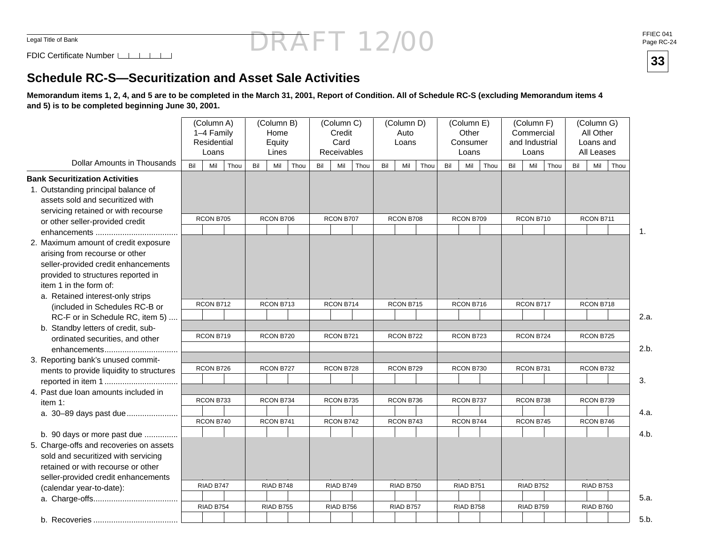### DRAFT 12/00FFIEC 041 Page RC-24

FDIC Certificate Number

### **Schedule RC-S—Securitization and Asset Sale Activities**

**Memorandum items 1, 2, 4, and 5 are to be completed in the March 31, 2001, Report of Condition. All of Schedule RC-S (excluding Memorandum items 4 and 5) is to be completed beginning June 30, 2001.**

| <b>Dollar Amounts in Thousands</b>                                                                                                                                                                                | Bil | (Column A)<br>1-4 Family<br>Residential<br>Loans<br>Mil | Thou | Bil | (Column B)<br>Home<br>Equity<br>Lines<br>Mil | Thou | Bil | (Column C)<br>Credit<br>Card<br>Receivables<br>Mil | Thou | Bil | (Column D)<br>Auto<br>Loans<br>Mil | Thou | Bil | (Column E)<br>Other<br>Consumer<br>Loans<br>Mil | Thou | Commercial<br>and Industrial<br>Bil | (Column F)<br>Loans<br>Mil | Thou | Bil | (Column G)<br>All Other<br>Loans and<br>All Leases<br>Mil | Thou |      |
|-------------------------------------------------------------------------------------------------------------------------------------------------------------------------------------------------------------------|-----|---------------------------------------------------------|------|-----|----------------------------------------------|------|-----|----------------------------------------------------|------|-----|------------------------------------|------|-----|-------------------------------------------------|------|-------------------------------------|----------------------------|------|-----|-----------------------------------------------------------|------|------|
| <b>Bank Securitization Activities</b>                                                                                                                                                                             |     |                                                         |      |     |                                              |      |     |                                                    |      |     |                                    |      |     |                                                 |      |                                     |                            |      |     |                                                           |      |      |
| 1. Outstanding principal balance of<br>assets sold and securitized with<br>servicing retained or with recourse                                                                                                    |     |                                                         |      |     |                                              |      |     |                                                    |      |     |                                    |      |     |                                                 |      |                                     |                            |      |     |                                                           |      |      |
| or other seller-provided credit                                                                                                                                                                                   |     | RCON B705                                               |      |     | RCON B706                                    |      |     | RCON B707                                          |      |     | RCON B708                          |      |     | RCON B709                                       |      |                                     | RCON B710                  |      |     | RCON B711                                                 |      |      |
|                                                                                                                                                                                                                   |     |                                                         |      |     |                                              |      |     |                                                    |      |     |                                    |      |     |                                                 |      |                                     |                            |      |     |                                                           |      | 1.   |
| 2. Maximum amount of credit exposure<br>arising from recourse or other<br>seller-provided credit enhancements<br>provided to structures reported in<br>item 1 in the form of:<br>a. Retained interest-only strips |     |                                                         |      |     |                                              |      |     |                                                    |      |     |                                    |      |     |                                                 |      |                                     |                            |      |     |                                                           |      |      |
| (included in Schedules RC-B or                                                                                                                                                                                    |     | RCON B712                                               |      |     | RCON B713                                    |      |     | RCON B714                                          |      |     | RCON B715                          |      |     | RCON B716                                       |      |                                     | RCON B717                  |      |     | RCON B718                                                 |      |      |
| RC-F or in Schedule RC, item 5)                                                                                                                                                                                   |     |                                                         |      |     |                                              |      |     |                                                    |      |     |                                    |      |     |                                                 |      |                                     |                            |      |     |                                                           |      | 2.a. |
| b. Standby letters of credit, sub-                                                                                                                                                                                |     |                                                         |      |     |                                              |      |     |                                                    |      |     |                                    |      |     |                                                 |      |                                     |                            |      |     |                                                           |      |      |
| ordinated securities, and other                                                                                                                                                                                   |     | RCON B719                                               |      |     | RCON B720                                    |      |     | RCON B721                                          |      |     | RCON B722                          |      |     | RCON B723                                       |      |                                     | RCON B724                  |      |     | RCON B725                                                 |      |      |
|                                                                                                                                                                                                                   |     |                                                         |      |     |                                              |      |     |                                                    |      |     |                                    |      |     |                                                 |      |                                     |                            |      |     |                                                           |      | 2.b. |
| 3. Reporting bank's unused commit-                                                                                                                                                                                |     |                                                         |      |     |                                              |      |     |                                                    |      |     |                                    |      |     |                                                 |      |                                     |                            |      |     |                                                           |      |      |
| ments to provide liquidity to structures                                                                                                                                                                          |     | RCON B726                                               |      |     | RCON B727                                    |      |     | RCON B728                                          |      |     | RCON B729                          |      |     | RCON B730                                       |      |                                     | RCON B731                  |      |     | RCON B732                                                 |      |      |
|                                                                                                                                                                                                                   |     |                                                         |      |     |                                              |      |     |                                                    |      |     |                                    |      |     |                                                 |      |                                     |                            |      |     |                                                           |      | 3.   |
| 4. Past due loan amounts included in                                                                                                                                                                              |     |                                                         |      |     |                                              |      |     |                                                    |      |     |                                    |      |     |                                                 |      |                                     |                            |      |     |                                                           |      |      |
| item $1:$                                                                                                                                                                                                         |     | RCON B733                                               |      |     | RCON B734                                    |      |     | RCON B735                                          |      |     | RCON B736                          |      |     | RCON B737                                       |      |                                     | RCON B738                  |      |     | RCON B739                                                 |      |      |
| a. 30-89 days past due                                                                                                                                                                                            |     | RCON B740                                               |      |     | RCON B741                                    |      |     | RCON B742                                          |      |     | RCON B743                          |      |     | RCON B744                                       |      |                                     | RCON B745                  |      |     | RCON B746                                                 |      | 4.a. |
|                                                                                                                                                                                                                   |     |                                                         |      |     |                                              |      |     |                                                    |      |     |                                    |      |     |                                                 |      |                                     |                            |      |     |                                                           |      |      |
| b. 90 days or more past due                                                                                                                                                                                       |     |                                                         |      |     |                                              |      |     |                                                    |      |     |                                    |      |     |                                                 |      |                                     |                            |      |     |                                                           |      | 4.b. |
| 5. Charge-offs and recoveries on assets                                                                                                                                                                           |     |                                                         |      |     |                                              |      |     |                                                    |      |     |                                    |      |     |                                                 |      |                                     |                            |      |     |                                                           |      |      |
| sold and securitized with servicing                                                                                                                                                                               |     |                                                         |      |     |                                              |      |     |                                                    |      |     |                                    |      |     |                                                 |      |                                     |                            |      |     |                                                           |      |      |
| retained or with recourse or other                                                                                                                                                                                |     |                                                         |      |     |                                              |      |     |                                                    |      |     |                                    |      |     |                                                 |      |                                     |                            |      |     |                                                           |      |      |
| seller-provided credit enhancements                                                                                                                                                                               |     | RIAD B747                                               |      |     | RIAD B748                                    |      |     | RIAD B749                                          |      |     | RIAD B750                          |      |     | RIAD B751                                       |      |                                     | RIAD B752                  |      |     | RIAD B753                                                 |      |      |
| (calendar year-to-date):                                                                                                                                                                                          |     |                                                         |      |     |                                              |      |     |                                                    |      |     |                                    |      |     |                                                 |      |                                     |                            |      |     |                                                           |      |      |
|                                                                                                                                                                                                                   |     | RIAD B754                                               |      |     | RIAD B755                                    |      |     | RIAD B756                                          |      |     | RIAD B757                          |      |     | RIAD B758                                       |      |                                     | RIAD B759                  |      |     | RIAD B760                                                 |      | 5.a. |
|                                                                                                                                                                                                                   |     |                                                         |      |     |                                              |      |     |                                                    |      |     |                                    |      |     |                                                 |      |                                     |                            |      |     |                                                           |      | 5.b. |

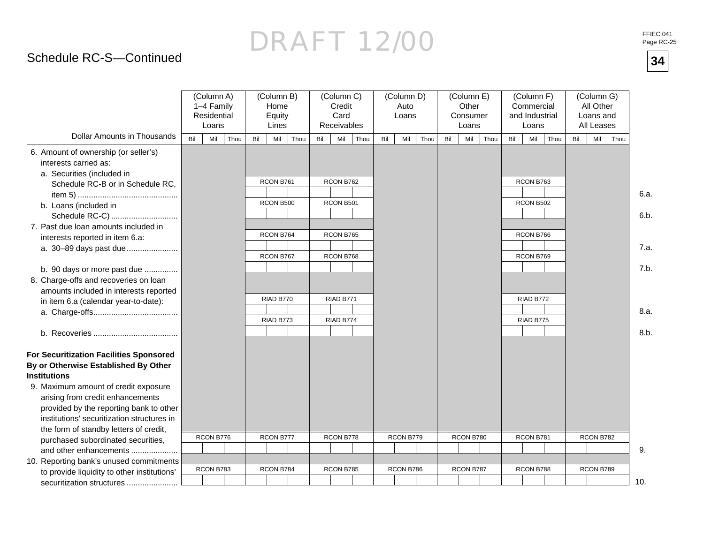## DRAFT 12/00**34**

## Schedule RC-S—Continued

|                                                                                             |     | (Column A)<br>1-4 Family<br>Residential<br>Loans |      |     | (Column B)<br>Home<br>Equity<br>Lines |     | (Column C)<br>Credit<br>Card<br>Receivables |      |     | (Column D)<br>Auto<br>Loans |      |     | (Column E)<br>Other<br>Consumer<br>Loans |      | (Column F)<br>Commercial<br>and Industrial | Loans                  |      |     | (Column G)<br>All Other<br>Loans and<br>All Leases |      |
|---------------------------------------------------------------------------------------------|-----|--------------------------------------------------|------|-----|---------------------------------------|-----|---------------------------------------------|------|-----|-----------------------------|------|-----|------------------------------------------|------|--------------------------------------------|------------------------|------|-----|----------------------------------------------------|------|
| <b>Dollar Amounts in Thousands</b>                                                          | Bil | Mil                                              | Thou | Bil | Mil<br>Thou                           | Bil | Mil                                         | Thou | Bil | Mil                         | Thou | Bil | Mil                                      | Thou | Bil                                        | Mil                    | Thou | Bil | Mil                                                | Thou |
| 6. Amount of ownership (or seller's)<br>interests carried as:<br>a. Securities (included in |     |                                                  |      |     |                                       |     |                                             |      |     |                             |      |     |                                          |      |                                            |                        |      |     |                                                    |      |
| Schedule RC-B or in Schedule RC,                                                            |     |                                                  |      |     | RCON B761                             |     | RCON B762                                   |      |     |                             |      |     |                                          |      |                                            | RCON B763              |      |     |                                                    | 6.a. |
| b. Loans (included in                                                                       |     |                                                  |      |     | RCON B500                             |     | RCON B501                                   |      |     |                             |      |     |                                          |      |                                            | RCON B502              |      |     |                                                    |      |
| Schedule RC-C)<br>7. Past due loan amounts included in                                      |     |                                                  |      |     |                                       |     |                                             |      |     |                             |      |     |                                          |      |                                            |                        |      |     |                                                    | 6.b. |
| interests reported in item 6.a:<br>a. 30-89 days past due                                   |     |                                                  |      |     | RCON B764<br>RCON B767                |     | RCON B765<br>RCON B768                      |      |     |                             |      |     |                                          |      |                                            | RCON B766<br>RCON B769 |      |     |                                                    | 7.a. |
| b. 90 days or more past due<br>8. Charge-offs and recoveries on loan                        |     |                                                  |      |     |                                       |     |                                             |      |     |                             |      |     |                                          |      |                                            |                        |      |     |                                                    | 7.b. |
| amounts included in interests reported<br>in item 6.a (calendar year-to-date):              |     |                                                  |      |     | RIAD B770                             |     | RIAD B771                                   |      |     |                             |      |     |                                          |      |                                            | RIAD B772              |      |     |                                                    | 8.a. |
|                                                                                             |     |                                                  |      |     | RIAD B773                             |     | RIAD B774                                   |      |     |                             |      |     |                                          |      |                                            | RIAD B775              |      |     |                                                    | 8.b. |
|                                                                                             |     |                                                  |      |     |                                       |     |                                             |      |     |                             |      |     |                                          |      |                                            |                        |      |     |                                                    |      |
| For Securitization Facilities Sponsored                                                     |     |                                                  |      |     |                                       |     |                                             |      |     |                             |      |     |                                          |      |                                            |                        |      |     |                                                    |      |
| By or Otherwise Established By Other<br><b>Institutions</b>                                 |     |                                                  |      |     |                                       |     |                                             |      |     |                             |      |     |                                          |      |                                            |                        |      |     |                                                    |      |
| 9. Maximum amount of credit exposure                                                        |     |                                                  |      |     |                                       |     |                                             |      |     |                             |      |     |                                          |      |                                            |                        |      |     |                                                    |      |
| arising from credit enhancements                                                            |     |                                                  |      |     |                                       |     |                                             |      |     |                             |      |     |                                          |      |                                            |                        |      |     |                                                    |      |
| provided by the reporting bank to other                                                     |     |                                                  |      |     |                                       |     |                                             |      |     |                             |      |     |                                          |      |                                            |                        |      |     |                                                    |      |
| institutions' securitization structures in                                                  |     |                                                  |      |     |                                       |     |                                             |      |     |                             |      |     |                                          |      |                                            |                        |      |     |                                                    |      |
| the form of standby letters of credit,                                                      |     |                                                  |      |     |                                       |     |                                             |      |     |                             |      |     |                                          |      |                                            |                        |      |     |                                                    |      |
| purchased subordinated securities,                                                          |     | RCON B776                                        |      |     | RCON B777                             |     | RCON B778                                   |      |     | RCON B779                   |      |     | RCON B780                                |      |                                            | RCON B781              |      |     | RCON B782                                          |      |
| and other enhancements                                                                      |     |                                                  |      |     |                                       |     |                                             |      |     |                             |      |     |                                          |      |                                            |                        |      |     |                                                    | 9.   |
| 10. Reporting bank's unused commitments                                                     |     |                                                  |      |     |                                       |     |                                             |      |     |                             |      |     |                                          |      |                                            |                        |      |     |                                                    |      |
| to provide liquidity to other institutions'                                                 |     | RCON B783                                        |      |     | RCON B784                             |     | RCON B785                                   |      |     | RCON B786                   |      |     | RCON B787                                |      |                                            | RCON B788              |      |     | RCON B789                                          |      |
| securitization structures                                                                   |     |                                                  |      |     |                                       |     |                                             |      |     |                             |      |     |                                          |      |                                            |                        |      |     |                                                    | 10.  |

FFIEC 041<br>Page RC-25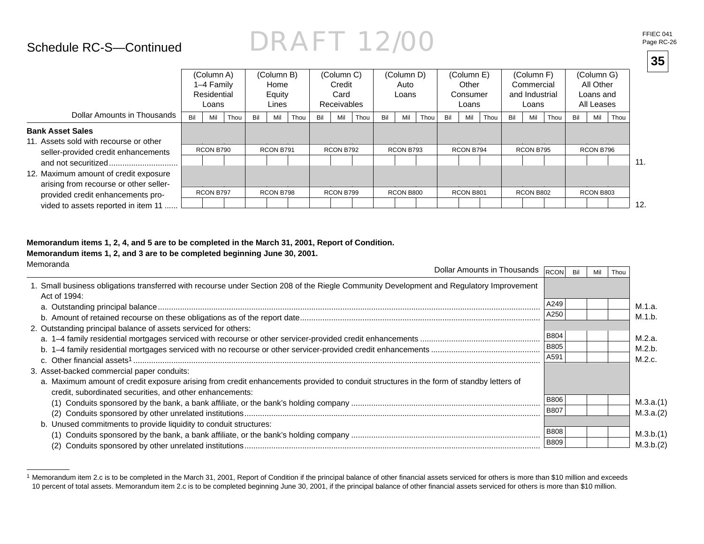### Schedule RC-S—Continued

## DRAFT 12/00

|            |            |            |            |                |            | € |
|------------|------------|------------|------------|----------------|------------|---|
| (Column B) | (Column C) | (Column D) | (Column E) | (Column F)     | (Column G) |   |
| Home       | Credit     | Auto       | Other      | Commercial     | All Other  |   |
| Equity     | Card       | Loans      | Consumer   | and Industrial | Loans and  |   |
|            |            |            |            |                |            |   |

|                                                                                                                                                             |     | 1-4 Family<br>Residential<br>Loans |      |     | Home<br>Equity<br>Lines |      |     | Credit<br>Card<br><b>Receivables</b> |      |     | Auto<br>Loans |      |     | Other<br>Consumer<br>Loans |      |     | Commercial<br>and Industrial<br>Loans |      |     | All Other<br>Loans and<br>All Leases |      |
|-------------------------------------------------------------------------------------------------------------------------------------------------------------|-----|------------------------------------|------|-----|-------------------------|------|-----|--------------------------------------|------|-----|---------------|------|-----|----------------------------|------|-----|---------------------------------------|------|-----|--------------------------------------|------|
| Dollar Amounts in Thousands                                                                                                                                 | Bil | Mil                                | Thou | Bil | Mil                     | Thou | Bil | Mil                                  | Thou | Bil | Mil           | Thou | Bil | Mil                        | Thou | Bil | Mil                                   | Thou | Bil | Mil                                  | Thou |
| <b>Bank Asset Sales</b><br>11. Assets sold with recourse or other<br>seller-provided credit enhancements<br>and not securitized                             |     | RCON B790                          |      |     | RCON B791               |      |     | RCON B792                            |      |     | RCON B793     |      |     | RCON B794                  |      |     | RCON B795                             |      |     | RCON B796                            |      |
| 12. Maximum amount of credit exposure<br>arising from recourse or other seller-<br>provided credit enhancements pro-<br>vided to assets reported in item 11 |     | RCON B797                          |      |     | RCON B798               |      |     | RCON B799                            |      |     | RCON B800     |      |     | RCON B801                  |      |     | RCON B802                             |      |     | RCON B803                            |      |

#### **Memorandum items 1, 2, 4, and 5 are to be completed in the March 31, 2001, Report of Condition.**

(Column A)

#### **Memorandum items 1, 2, and 3 are to be completed beginning June 30, 2001.**

| Memoranda<br>Dollar Amounts in Thousands $\sqrt{R}$ <sub>RCON</sub>                                                                                                                                |             | Bil | Thou |           |
|----------------------------------------------------------------------------------------------------------------------------------------------------------------------------------------------------|-------------|-----|------|-----------|
| 1. Small business obligations transferred with recourse under Section 208 of the Riegle Community Development and Regulatory Improvement<br>Act of 1994:                                           |             |     |      |           |
|                                                                                                                                                                                                    | A249        |     |      | M.1.a.    |
|                                                                                                                                                                                                    | A250        |     |      | M.1.b.    |
| 2. Outstanding principal balance of assets serviced for others:                                                                                                                                    |             |     |      |           |
|                                                                                                                                                                                                    | <b>B804</b> |     |      | M.2.a.    |
|                                                                                                                                                                                                    | <b>B805</b> |     |      | M.2.b.    |
|                                                                                                                                                                                                    | A591        |     |      | M.2.c.    |
| 3. Asset-backed commercial paper conduits:                                                                                                                                                         |             |     |      |           |
| a. Maximum amount of credit exposure arising from credit enhancements provided to conduit structures in the form of standby letters of<br>credit, subordinated securities, and other enhancements: |             |     |      |           |
|                                                                                                                                                                                                    | <b>B806</b> |     |      | M.3.a.(1) |
| (2)                                                                                                                                                                                                | <b>B807</b> |     |      | M.3.a.(2) |
| b. Unused commitments to provide liquidity to conduit structures:                                                                                                                                  |             |     |      |           |
|                                                                                                                                                                                                    | <b>B808</b> |     |      | M.3.b.(1) |
|                                                                                                                                                                                                    | <b>B809</b> |     |      | M.3.b.(2) |

<sup>&</sup>lt;sup>1</sup> Memorandum item 2.c is to be completed in the March 31, 2001, Report of Condition if the principal balance of other financial assets serviced for others is more than \$10 million and exceeds 10 percent of total assets. Memorandum item 2.c is to be completed beginning June 30, 2001, if the principal balance of other fi nancial assets serviced for others is more than \$10 million.

FFIEC 041<br>Page RC-26

**35**

11.

12.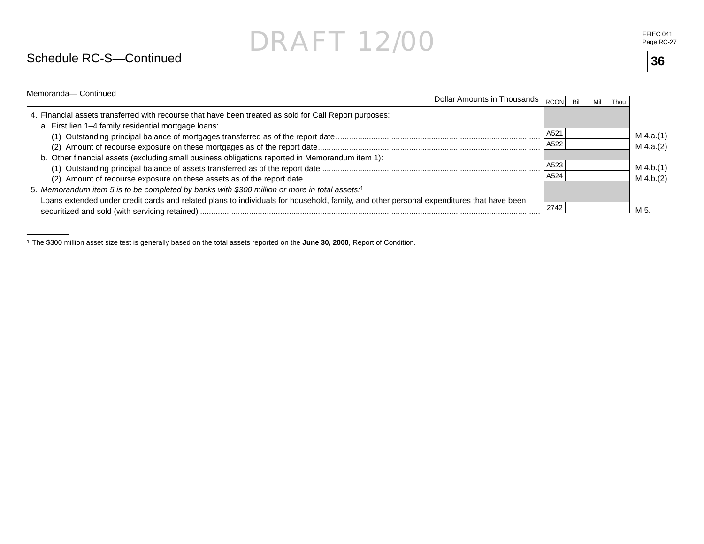### Schedule RC-S—Continued

FFIEC 041<br>Page RC-27

| Memoranda-Continued                                                                                                                      | Dollar Amounts in Thousands $\overline{ _{\rm RCON} }$ |      | Bil | Mil | Thou |           |
|------------------------------------------------------------------------------------------------------------------------------------------|--------------------------------------------------------|------|-----|-----|------|-----------|
| 4. Financial assets transferred with recourse that have been treated as sold for Call Report purposes:                                   |                                                        |      |     |     |      |           |
| a. First lien 1-4 family residential mortgage loans:                                                                                     |                                                        |      |     |     |      |           |
|                                                                                                                                          |                                                        | A521 |     |     |      | M.4.a.(1) |
|                                                                                                                                          |                                                        | A522 |     |     |      | M.4.a.(2) |
| b. Other financial assets (excluding small business obligations reported in Memorandum item 1):                                          |                                                        |      |     |     |      |           |
|                                                                                                                                          |                                                        | A523 |     |     |      | M.4.b.(1) |
|                                                                                                                                          |                                                        | A524 |     |     |      | M.4.b.(2) |
| 5. Memorandum item 5 is to be completed by banks with \$300 million or more in total assets:1                                            |                                                        |      |     |     |      |           |
| Loans extended under credit cards and related plans to individuals for household, family, and other personal expenditures that have been |                                                        | 2742 |     |     |      | M.5       |

1 The \$300 million asset size test is generally based on the total assets reported on the **June 30, 2000**, Report of Condition.

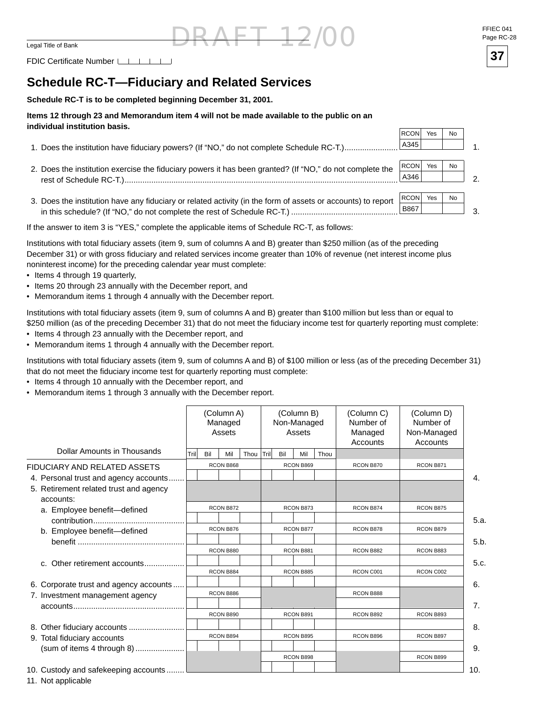FDIC Certificate Number  $\Box$   $\Box$ 

### **Schedule RC-T—Fiduciary and Related Services**

**Schedule RC-T is to be completed beginning December 31, 2001.**

#### **Items 12 through 23 and Memorandum item 4 will not be made available to the public on an individual institution basis.**

|                                                                                                              | <b>RCON</b>  | Yes | No |  |
|--------------------------------------------------------------------------------------------------------------|--------------|-----|----|--|
| 1. Does the institution have fiduciary powers? (If "NO," do not complete Schedule RC-T.)                     | A345         |     |    |  |
|                                                                                                              |              |     |    |  |
| 2. Does the institution exercise the fiduciary powers it has been granted? (If "NO," do not complete the     | <b>RCONI</b> | Yes | No |  |
|                                                                                                              |              |     |    |  |
|                                                                                                              |              |     |    |  |
| 3. Does the institution have any fiduciary or related activity (in the form of assets or accounts) to report | <b>RCON</b>  | Yes | No |  |
|                                                                                                              | B867         |     |    |  |

If the answer to item 3 is "YES," complete the applicable items of Schedule RC-T, as follows:

Institutions with total fiduciary assets (item 9, sum of columns A and B) greater than \$250 million (as of the preceding December 31) or with gross fiduciary and related services income greater than 10% of revenue (net interest income plus noninterest income) for the preceding calendar year must complete:

- Items 4 through 19 quarterly,
- Items 20 through 23 annually with the December report, and
- Memorandum items 1 through 4 annually with the December report.

Institutions with total fiduciary assets (item 9, sum of columns A and B) greater than \$100 million but less than or equal to \$250 million (as of the preceding December 31) that do not meet the fiduciary income test for quarterly reporting must complete:

- Items 4 through 23 annually with the December report, and
- Memorandum items 1 through 4 annually with the December report.

Institutions with total fiduciary assets (item 9, sum of columns A and B) of \$100 million or less (as of the preceding December 31) that do not meet the fiduciary income test for quarterly reporting must complete:

- Items 4 through 10 annually with the December report, and
- Memorandum items 1 through 3 annually with the December report.

|                                        | (Column A)<br>Managed<br>Assets |     |           |      |      | (Column B)<br>Non-Managed<br>Assets |           |      | (Column C)<br>Number of<br>Managed<br>Accounts | (Column D)<br>Number of<br>Non-Managed<br>Accounts |      |
|----------------------------------------|---------------------------------|-----|-----------|------|------|-------------------------------------|-----------|------|------------------------------------------------|----------------------------------------------------|------|
| Dollar Amounts in Thousands            | Trill                           | Bil | Mil       | Thou | Tril | Bil                                 | Mil       | Thou |                                                |                                                    |      |
| FIDUCIARY AND RELATED ASSETS           |                                 |     | RCON B868 |      |      |                                     | RCON B869 |      | RCON B870                                      | RCON B871                                          |      |
| 4. Personal trust and agency accounts  |                                 |     |           |      |      |                                     |           |      |                                                |                                                    | 4.   |
| 5. Retirement related trust and agency |                                 |     |           |      |      |                                     |           |      |                                                |                                                    |      |
| accounts:                              |                                 |     |           |      |      |                                     |           |      |                                                |                                                    |      |
| a. Employee benefit-defined            |                                 |     | RCON B872 |      |      |                                     | RCON B873 |      | RCON B874                                      | RCON B875                                          |      |
|                                        |                                 |     |           |      |      |                                     |           |      |                                                |                                                    | 5.a. |
| b. Employee benefit-defined            |                                 |     | RCON B876 |      |      |                                     | RCON B877 |      | RCON B878                                      | RCON B879                                          |      |
|                                        |                                 |     |           |      |      |                                     |           |      |                                                |                                                    | 5.b. |
|                                        |                                 |     | RCON B880 |      |      |                                     | RCON B881 |      | RCON B882                                      | RCON B883                                          |      |
| c. Other retirement accounts           |                                 |     |           |      |      |                                     |           |      |                                                |                                                    | 5.c. |
|                                        |                                 |     | RCON B884 |      |      |                                     | RCON B885 |      | RCON C001                                      | RCON C002                                          |      |
| 6. Corporate trust and agency accounts |                                 |     |           |      |      |                                     |           |      |                                                |                                                    | 6.   |
| 7. Investment management agency        |                                 |     | RCON B886 |      |      |                                     |           |      | RCON B888                                      |                                                    |      |
|                                        |                                 |     |           |      |      |                                     |           |      |                                                |                                                    | 7.   |
|                                        |                                 |     | RCON B890 |      |      |                                     | RCON B891 |      | RCON B892                                      | RCON B893                                          |      |
|                                        |                                 |     |           |      |      |                                     |           |      |                                                |                                                    | 8.   |
| 9. Total fiduciary accounts            |                                 |     | RCON B894 |      |      |                                     | RCON B895 |      | RCON B896                                      | RCON B897                                          |      |
|                                        |                                 |     |           |      |      |                                     |           |      |                                                |                                                    | 9.   |
|                                        |                                 |     |           |      |      |                                     | RCON B898 |      |                                                | RCON B899                                          |      |
| 10. Custody and safekeeping accounts   |                                 |     |           |      |      |                                     |           |      |                                                |                                                    | 10.  |

11. Not applicable

 $FT 12/00$  FFIEC 041<br>Page RC-2 Page RC-28

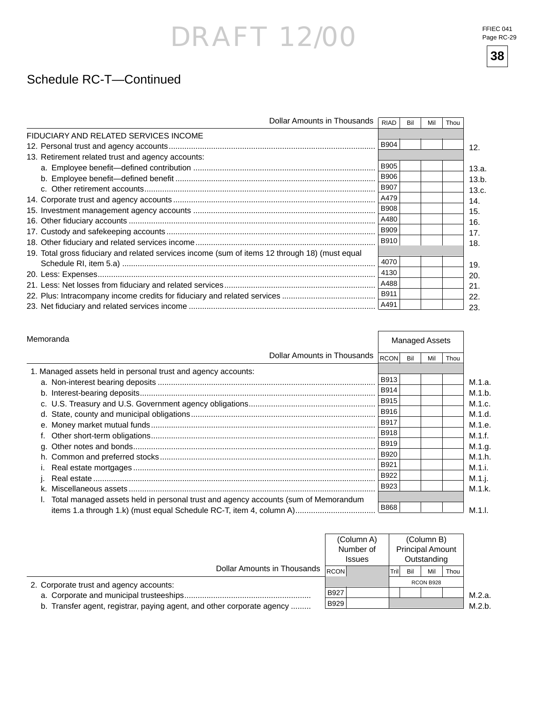FFIEC 041 Page RC-29

**38**



|                                                                                                | Dollar Amounts in Thousands | <b>RIAD</b> | Bil | Mil | Thou |
|------------------------------------------------------------------------------------------------|-----------------------------|-------------|-----|-----|------|
| FIDUCIARY AND RELATED SERVICES INCOME                                                          |                             |             |     |     |      |
|                                                                                                |                             | <b>B904</b> |     |     |      |
| 13. Retirement related trust and agency accounts:                                              |                             |             |     |     |      |
|                                                                                                |                             | <b>B905</b> |     |     |      |
|                                                                                                |                             | <b>B906</b> |     |     |      |
|                                                                                                |                             | <b>B907</b> |     |     |      |
|                                                                                                |                             | A479        |     |     |      |
|                                                                                                |                             | <b>B908</b> |     |     |      |
|                                                                                                |                             | A480        |     |     |      |
|                                                                                                |                             | <b>B909</b> |     |     |      |
|                                                                                                |                             | B910        |     |     |      |
| 19. Total gross fiduciary and related services income (sum of items 12 through 18) (must equal |                             |             |     |     |      |
|                                                                                                |                             | 4070        |     |     |      |
|                                                                                                |                             | 4130        |     |     |      |
|                                                                                                |                             | A488        |     |     |      |
|                                                                                                |                             | B911        |     |     |      |
|                                                                                                |                             | A491        |     |     |      |

| Memoranda                                                                          |                             | <b>Managed Assets</b> |     |     |      |  |  |
|------------------------------------------------------------------------------------|-----------------------------|-----------------------|-----|-----|------|--|--|
|                                                                                    | Dollar Amounts in Thousands | RCON                  | Bil | Mil | Thou |  |  |
| 1. Managed assets held in personal trust and agency accounts:                      |                             |                       |     |     |      |  |  |
|                                                                                    |                             | B913                  |     |     |      |  |  |
|                                                                                    |                             | <b>B914</b>           |     |     |      |  |  |
|                                                                                    |                             | <b>B915</b>           |     |     |      |  |  |
|                                                                                    |                             | B916                  |     |     |      |  |  |
|                                                                                    |                             | B917                  |     |     |      |  |  |
|                                                                                    |                             | <b>B918</b>           |     |     |      |  |  |
|                                                                                    |                             | <b>B919</b>           |     |     |      |  |  |
|                                                                                    |                             | <b>B920</b>           |     |     |      |  |  |
|                                                                                    |                             | B921                  |     |     |      |  |  |
|                                                                                    |                             | B922                  |     |     |      |  |  |
|                                                                                    |                             | B923                  |     |     |      |  |  |
| Total managed assets held in personal trust and agency accounts (sum of Memorandum |                             |                       |     |     |      |  |  |
| items 1.a through 1.k) (must equal Schedule RC-T, item 4, column A)                |                             | B868                  |     |     |      |  |  |

|                                                                        |       | (Column A)<br>Number of<br><b>Issues</b> |       |     | (Column B)<br><b>Principal Amount</b><br>Outstanding |      |        |
|------------------------------------------------------------------------|-------|------------------------------------------|-------|-----|------------------------------------------------------|------|--------|
| Dollar Amounts in Thousands                                            | RCONI |                                          | Trill | Bil | Mil                                                  | Thou |        |
| 2. Corporate trust and agency accounts:                                |       |                                          |       |     | RCON B928                                            |      |        |
| a. Corporate and municipal trusteeships                                | B927  |                                          |       |     |                                                      |      | M.2.a. |
| b. Transfer agent, registrar, paying agent, and other corporate agency | B929  |                                          |       |     |                                                      |      | M.2.b. |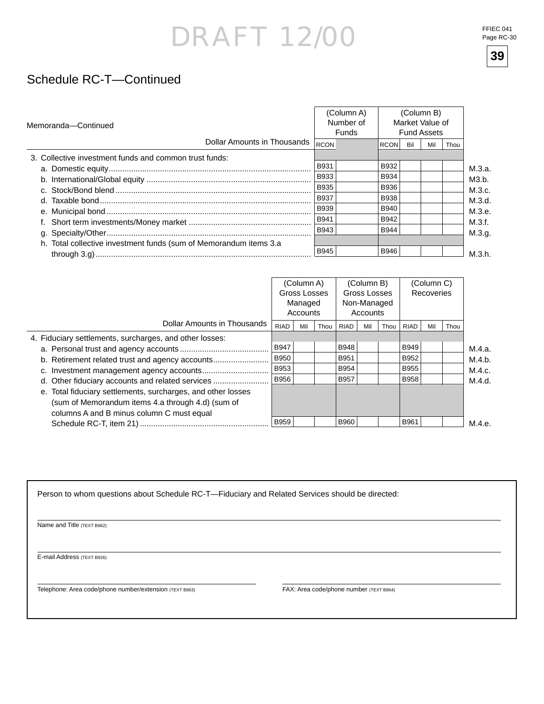FFIEC 041 Page RC-30



### Schedule RC-T—Continued

| Memoranda-Continued                                               |  |             | (Column A)<br>Number of<br>Funds | (Column B)<br>Market Value of<br><b>Fund Assets</b> |     |     |      |  |  |
|-------------------------------------------------------------------|--|-------------|----------------------------------|-----------------------------------------------------|-----|-----|------|--|--|
| Dollar Amounts in Thousands                                       |  | <b>RCON</b> |                                  | <b>RCON</b>                                         | Bil | Mil | Thou |  |  |
| 3. Collective investment funds and common trust funds:            |  |             |                                  |                                                     |     |     |      |  |  |
|                                                                   |  | B931        |                                  | B932                                                |     |     |      |  |  |
|                                                                   |  | <b>B933</b> |                                  | <b>B934</b>                                         |     |     |      |  |  |
|                                                                   |  | <b>B935</b> |                                  | <b>B936</b>                                         |     |     |      |  |  |
|                                                                   |  | <b>B937</b> |                                  | <b>B938</b>                                         |     |     |      |  |  |
|                                                                   |  | <b>B939</b> |                                  | <b>B940</b>                                         |     |     |      |  |  |
|                                                                   |  | B941        |                                  | <b>B942</b>                                         |     |     |      |  |  |
|                                                                   |  | <b>B943</b> |                                  | <b>B944</b>                                         |     |     |      |  |  |
| h. Total collective investment funds (sum of Memorandum items 3.a |  |             |                                  |                                                     |     |     |      |  |  |
|                                                                   |  | <b>B945</b> |                                  | <b>B946</b>                                         |     |     |      |  |  |

|                                                              | (Column A)<br>Gross Losses<br>Managed<br>Accounts |     |      | (Column B)<br>Gross Losses<br>Non-Managed<br>Accounts |     |      | (Column C)<br>Recoveries |     |      |        |
|--------------------------------------------------------------|---------------------------------------------------|-----|------|-------------------------------------------------------|-----|------|--------------------------|-----|------|--------|
| Dollar Amounts in Thousands                                  | <b>RIAD</b>                                       | Mil | Thou | RIAD                                                  | Mil | Thou | <b>RIAD</b>              | Mil | Thou |        |
| 4. Fiduciary settlements, surcharges, and other losses:      |                                                   |     |      |                                                       |     |      |                          |     |      |        |
|                                                              | <b>B947</b>                                       |     |      | <b>B948</b>                                           |     |      | <b>B949</b>              |     |      | M.4.a. |
| b. Retirement related trust and agency accounts              | <b>B950</b>                                       |     |      | B951                                                  |     |      | B952                     |     |      | M.4.b. |
|                                                              | B953                                              |     |      | <b>B954</b>                                           |     |      | <b>B955</b>              |     |      | M.4.c. |
| d. Other fiduciary accounts and related services             | B956                                              |     |      | B957                                                  |     |      | <b>B958</b>              |     |      | M.4.d. |
| e. Total fiduciary settlements, surcharges, and other losses |                                                   |     |      |                                                       |     |      |                          |     |      |        |
| (sum of Memorandum items 4.a through 4.d) (sum of            |                                                   |     |      |                                                       |     |      |                          |     |      |        |
| columns A and B minus column C must equal                    |                                                   |     |      |                                                       |     |      |                          |     |      |        |
|                                                              | <b>B959</b>                                       |     |      | <b>B960</b>                                           |     |      | B961                     |     |      | M.4.e. |

Person to whom questions about Schedule RC-T—Fiduciary and Related Services should be directed:

Name and Title (TEXT B962)

E-mail Address (TEXT B926)

Telephone: Area code/phone number/extension (TEXT B963) FAX: Area code/phone number (TEXT B964)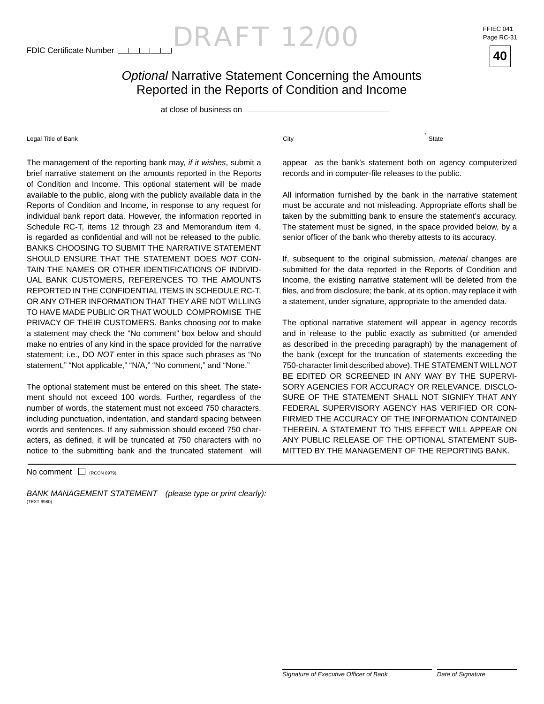$\text{ORAFT } 12/00$  FFIEC 041

Page RC-31



at close of business on

#### Legal Title of Bank City

The management of the reporting bank may, *if it wishes*, submit a brief narrative statement on the amounts reported in the Reports of Condition and Income. This optional statement will be made available to the public, along with the publicly available data in the Reports of Condition and Income, in response to any request for individual bank report data. However, the information reported in Schedule RC-T, items 12 through 23 and Memorandum item 4, is regarded as confidential and will not be released to the public. BANKS CHOOSING TO SUBMIT THE NARRATIVE STATEMENT SHOULD ENSURE THAT THE STATEMENT DOES *NOT* CON-TAIN THE NAMES OR OTHER IDENTIFICATIONS OF INDIVID-UAL BANK CUSTOMERS, REFERENCES TO THE AMOUNTS REPORTED IN THE CONFIDENTIAL ITEMS IN SCHEDULE RC-T, OR ANY OTHER INFORMATION THAT THEY ARE NOT WILLING. TO HAVE MADE PUBLIC OR THAT WOULD COMPROMISE THE PRIVACY OF THEIR CUSTOMERS. Banks choosing *not* to make a statement may check the "No comment" box below and should make no entries of any kind in the space provided for the narrative statement; i.e., DO *NOT* enter in this space such phrases as "No statement," "Not applicable," "N/A," "No comment," and "None."

The optional statement must be entered on this sheet. The statement should not exceed 100 words. Further, regardless of the number of words, the statement must not exceed 750 characters, including punctuation, indentation, and standard spacing between words and sentences. If any submission should exceed 750 characters, as defined, it will be truncated at 750 characters with no notice to the submitting bank and the truncated statement will

 $No$  comment  $\Box$  (RCON 6979)

*BANK MANAGEMENT STATEMENT (please type or print clearly):* (TEXT 6980)

State

,

appear as the bank's statement both on agency computerized records and in computer-file releases to the public.

All information furnished by the bank in the narrative statement must be accurate and not misleading. Appropriate efforts shall be taken by the submitting bank to ensure the statement's accuracy. The statement must be signed, in the space provided below, by a senior officer of the bank who thereby attests to its accuracy.

If, subsequent to the original submission, *material* changes are submitted for the data reported in the Reports of Condition and Income, the existing narrative statement will be deleted from the files, and from disclosure; the bank, at its option, may replace it with a statement, under signature, appropriate to the amended data.

The optional narrative statement will appear in agency records and in release to the public exactly as submitted (or amended as described in the preceding paragraph) by the management of the bank (except for the truncation of statements exceeding the 750-character limit described above). THE STATEMENT WILL *NOT* BE EDITED OR SCREENED IN ANY WAY BY THE SUPERVI-SORY AGENCIES FOR ACCURACY OR RELEVANCE. DISCLO-SURE OF THE STATEMENT SHALL NOT SIGNIFY THAT ANY FEDERAL SUPERVISORY AGENCY HAS VERIFIED OR CON-FIRMED THE ACCURACY OF THE INFORMATION CONTAINED THEREIN. A STATEMENT TO THIS EFFECT WILL APPEAR ON ANY PUBLIC RELEASE OF THE OPTIONAL STATEMENT SUB-MITTED BY THE MANAGEMENT OF THE REPORTING BANK.